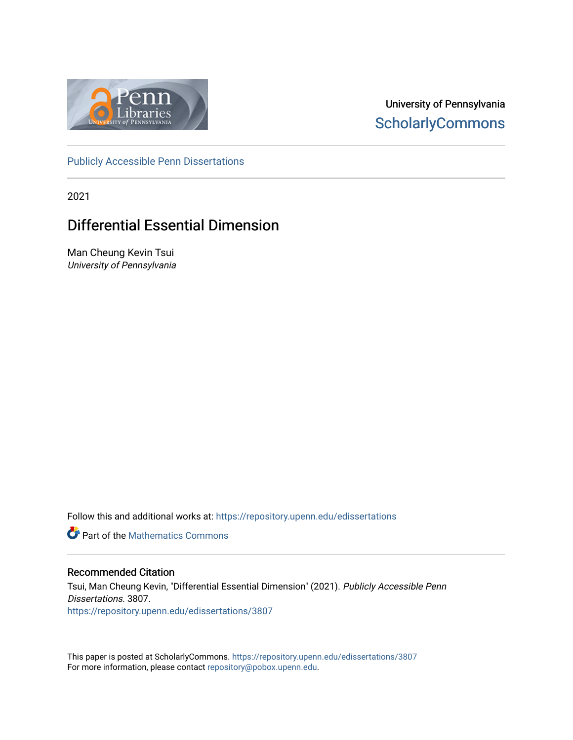

University of Pennsylvania **ScholarlyCommons** 

[Publicly Accessible Penn Dissertations](https://repository.upenn.edu/edissertations)

2021

# Differential Essential Dimension

Man Cheung Kevin Tsui University of Pennsylvania

Follow this and additional works at: [https://repository.upenn.edu/edissertations](https://repository.upenn.edu/edissertations?utm_source=repository.upenn.edu%2Fedissertations%2F3807&utm_medium=PDF&utm_campaign=PDFCoverPages) 

*C* Part of the [Mathematics Commons](http://network.bepress.com/hgg/discipline/174?utm_source=repository.upenn.edu%2Fedissertations%2F3807&utm_medium=PDF&utm_campaign=PDFCoverPages)

### Recommended Citation

Tsui, Man Cheung Kevin, "Differential Essential Dimension" (2021). Publicly Accessible Penn Dissertations. 3807. [https://repository.upenn.edu/edissertations/3807](https://repository.upenn.edu/edissertations/3807?utm_source=repository.upenn.edu%2Fedissertations%2F3807&utm_medium=PDF&utm_campaign=PDFCoverPages) 

This paper is posted at ScholarlyCommons.<https://repository.upenn.edu/edissertations/3807> For more information, please contact [repository@pobox.upenn.edu.](mailto:repository@pobox.upenn.edu)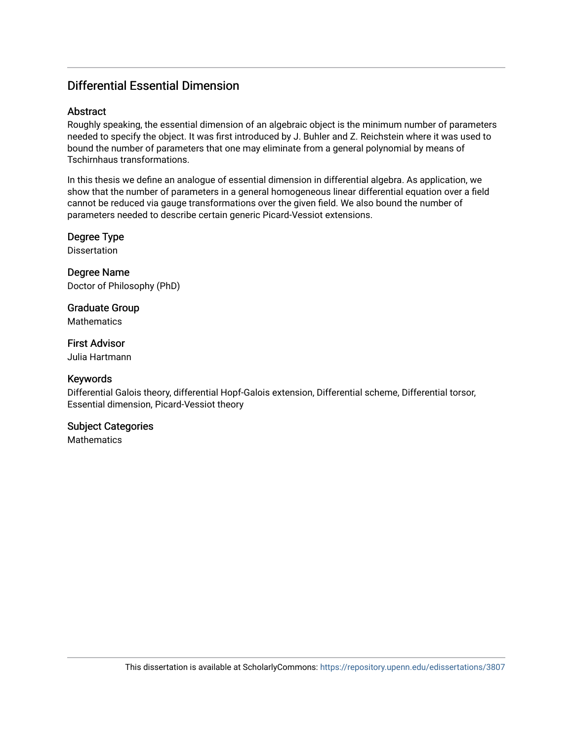## Differential Essential Dimension

### Abstract

Roughly speaking, the essential dimension of an algebraic object is the minimum number of parameters needed to specify the object. It was first introduced by J. Buhler and Z. Reichstein where it was used to bound the number of parameters that one may eliminate from a general polynomial by means of Tschirnhaus transformations.

In this thesis we define an analogue of essential dimension in differential algebra. As application, we show that the number of parameters in a general homogeneous linear differential equation over a field cannot be reduced via gauge transformations over the given field. We also bound the number of parameters needed to describe certain generic Picard-Vessiot extensions.

Degree Type Dissertation

Degree Name Doctor of Philosophy (PhD)

Graduate Group **Mathematics** 

First Advisor Julia Hartmann

### Keywords

Differential Galois theory, differential Hopf-Galois extension, Differential scheme, Differential torsor, Essential dimension, Picard-Vessiot theory

### Subject Categories

**Mathematics**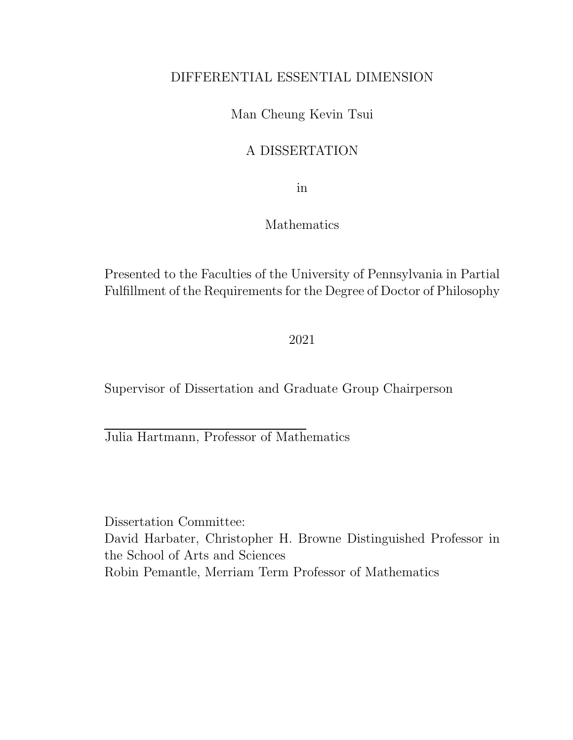## DIFFERENTIAL ESSENTIAL DIMENSION

## Man Cheung Kevin Tsui

## A DISSERTATION

in

### Mathematics

Presented to the Faculties of the University of Pennsylvania in Partial Fulfillment of the Requirements for the Degree of Doctor of Philosophy

2021

Supervisor of Dissertation and Graduate Group Chairperson

Julia Hartmann, Professor of Mathematics

Dissertation Committee: David Harbater, Christopher H. Browne Distinguished Professor in the School of Arts and Sciences Robin Pemantle, Merriam Term Professor of Mathematics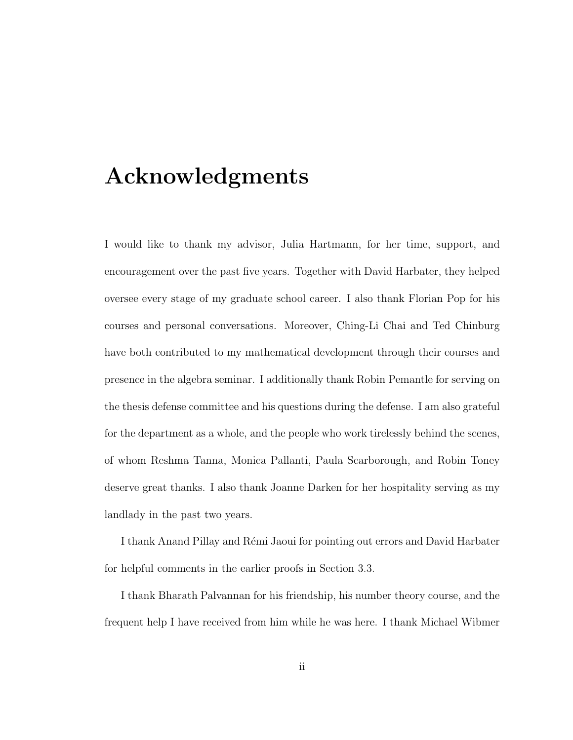# Acknowledgments

I would like to thank my advisor, Julia Hartmann, for her time, support, and encouragement over the past five years. Together with David Harbater, they helped oversee every stage of my graduate school career. I also thank Florian Pop for his courses and personal conversations. Moreover, Ching-Li Chai and Ted Chinburg have both contributed to my mathematical development through their courses and presence in the algebra seminar. I additionally thank Robin Pemantle for serving on the thesis defense committee and his questions during the defense. I am also grateful for the department as a whole, and the people who work tirelessly behind the scenes, of whom Reshma Tanna, Monica Pallanti, Paula Scarborough, and Robin Toney deserve great thanks. I also thank Joanne Darken for her hospitality serving as my landlady in the past two years.

I thank Anand Pillay and R´emi Jaoui for pointing out errors and David Harbater for helpful comments in the earlier proofs in Section 3.3.

I thank Bharath Palvannan for his friendship, his number theory course, and the frequent help I have received from him while he was here. I thank Michael Wibmer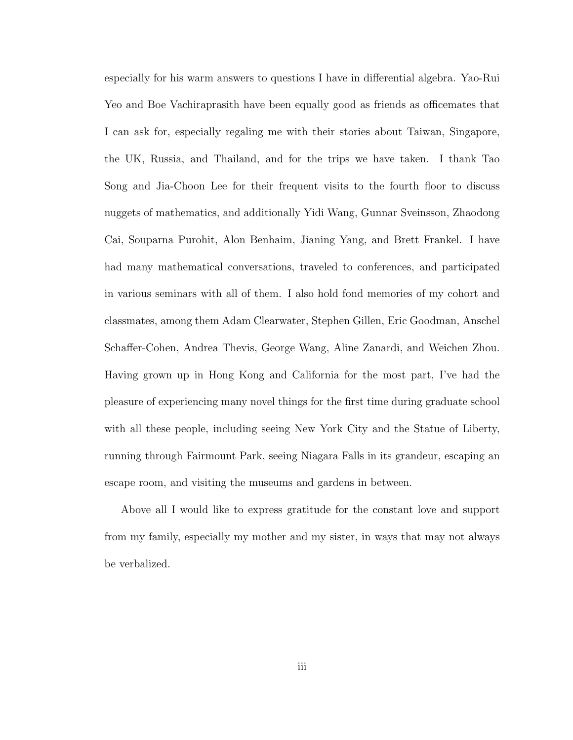especially for his warm answers to questions I have in differential algebra. Yao-Rui Yeo and Boe Vachiraprasith have been equally good as friends as officemates that I can ask for, especially regaling me with their stories about Taiwan, Singapore, the UK, Russia, and Thailand, and for the trips we have taken. I thank Tao Song and Jia-Choon Lee for their frequent visits to the fourth floor to discuss nuggets of mathematics, and additionally Yidi Wang, Gunnar Sveinsson, Zhaodong Cai, Souparna Purohit, Alon Benhaim, Jianing Yang, and Brett Frankel. I have had many mathematical conversations, traveled to conferences, and participated in various seminars with all of them. I also hold fond memories of my cohort and classmates, among them Adam Clearwater, Stephen Gillen, Eric Goodman, Anschel Schaffer-Cohen, Andrea Thevis, George Wang, Aline Zanardi, and Weichen Zhou. Having grown up in Hong Kong and California for the most part, I've had the pleasure of experiencing many novel things for the first time during graduate school with all these people, including seeing New York City and the Statue of Liberty, running through Fairmount Park, seeing Niagara Falls in its grandeur, escaping an escape room, and visiting the museums and gardens in between.

Above all I would like to express gratitude for the constant love and support from my family, especially my mother and my sister, in ways that may not always be verbalized.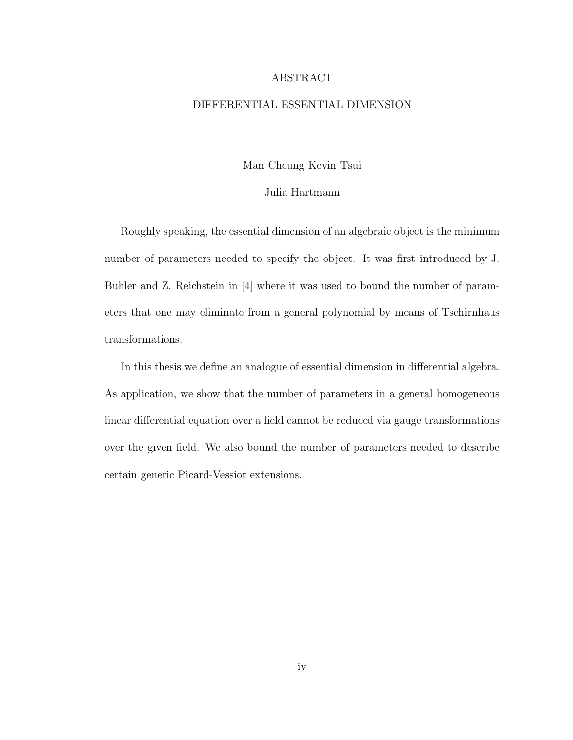#### ABSTRACT

### DIFFERENTIAL ESSENTIAL DIMENSION

Man Cheung Kevin Tsui

#### Julia Hartmann

Roughly speaking, the essential dimension of an algebraic object is the minimum number of parameters needed to specify the object. It was first introduced by J. Buhler and Z. Reichstein in [4] where it was used to bound the number of parameters that one may eliminate from a general polynomial by means of Tschirnhaus transformations.

In this thesis we define an analogue of essential dimension in differential algebra. As application, we show that the number of parameters in a general homogeneous linear differential equation over a field cannot be reduced via gauge transformations over the given field. We also bound the number of parameters needed to describe certain generic Picard-Vessiot extensions.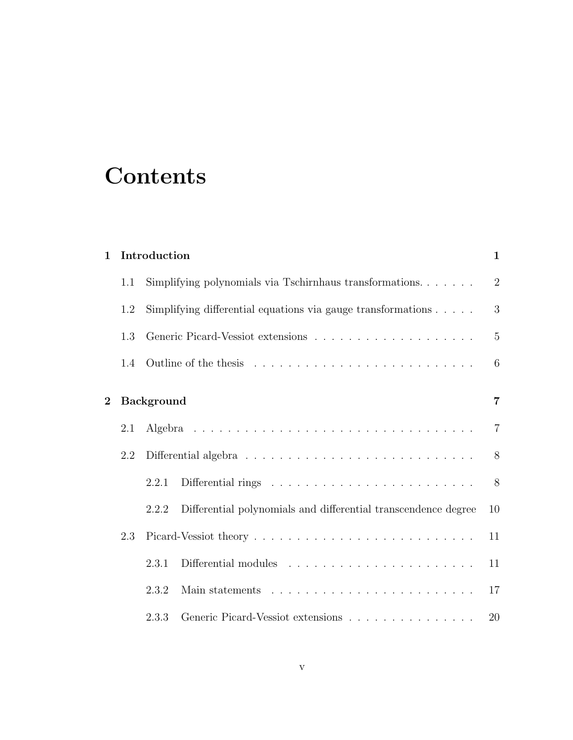# **Contents**

| $\mathbf{1}$   | Introduction |                                                                                       |                                                                        |                |  |
|----------------|--------------|---------------------------------------------------------------------------------------|------------------------------------------------------------------------|----------------|--|
|                | 1.1          |                                                                                       | Simplifying polynomials via Tschirnhaus transformations                | $\overline{2}$ |  |
|                | 1.2          | Simplifying differential equations via gauge transformations $\ldots$ .               |                                                                        | 3              |  |
|                | 1.3          |                                                                                       |                                                                        |                |  |
|                | 1.4          |                                                                                       |                                                                        | 6              |  |
| $\overline{2}$ |              | <b>Background</b>                                                                     |                                                                        |                |  |
|                | 2.1          |                                                                                       |                                                                        | $\overline{7}$ |  |
|                | 2.2          | Differential algebra $\ldots \ldots \ldots \ldots \ldots \ldots \ldots \ldots \ldots$ |                                                                        |                |  |
|                |              | 2.2.1                                                                                 |                                                                        | 8              |  |
|                |              | 2.2.2                                                                                 | Differential polynomials and differential transcendence degree         | 10             |  |
|                | 2.3          |                                                                                       |                                                                        | 11             |  |
|                |              | 2.3.1                                                                                 | Differential modules $\dots \dots \dots \dots \dots \dots \dots \dots$ | 11             |  |
|                |              | 2.3.2                                                                                 |                                                                        | 17             |  |
|                |              | 2.3.3                                                                                 | Generic Picard-Vessiot extensions                                      | 20             |  |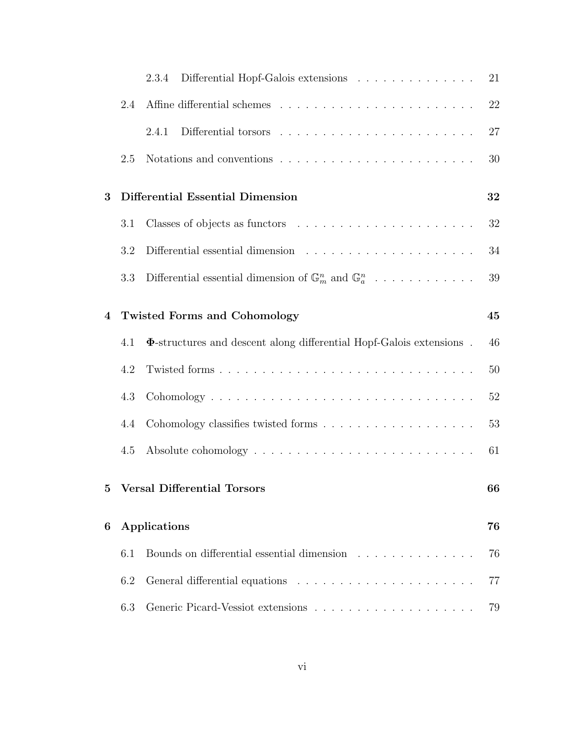|                |     | Differential Hopf-Galois extensions $\ldots \ldots \ldots \ldots \ldots$<br>2.3.4 | 21 |  |
|----------------|-----|-----------------------------------------------------------------------------------|----|--|
|                | 2.4 |                                                                                   | 22 |  |
|                |     | 2.4.1                                                                             | 27 |  |
|                | 2.5 | Notations and conventions $\ldots \ldots \ldots \ldots \ldots \ldots \ldots$      | 30 |  |
| 3              |     | Differential Essential Dimension<br>32                                            |    |  |
|                | 3.1 |                                                                                   | 32 |  |
|                | 3.2 |                                                                                   | 34 |  |
|                | 3.3 | Differential essential dimension of $\mathbb{G}_m^n$ and $\mathbb{G}_a^n$         | 39 |  |
| $\overline{4}$ |     | <b>Twisted Forms and Cohomology</b><br>45                                         |    |  |
|                | 4.1 | $\Phi$ -structures and descent along differential Hopf-Galois extensions.         | 46 |  |
|                | 4.2 |                                                                                   | 50 |  |
|                | 4.3 |                                                                                   | 52 |  |
|                | 4.4 |                                                                                   | 53 |  |
|                | 4.5 |                                                                                   | 61 |  |
|                |     | 5 Versal Differential Torsors<br>66                                               |    |  |
| 6              |     | Applications                                                                      |    |  |
|                | 6.1 | Bounds on differential essential dimension                                        | 76 |  |
|                | 6.2 |                                                                                   | 77 |  |
|                | 6.3 |                                                                                   | 79 |  |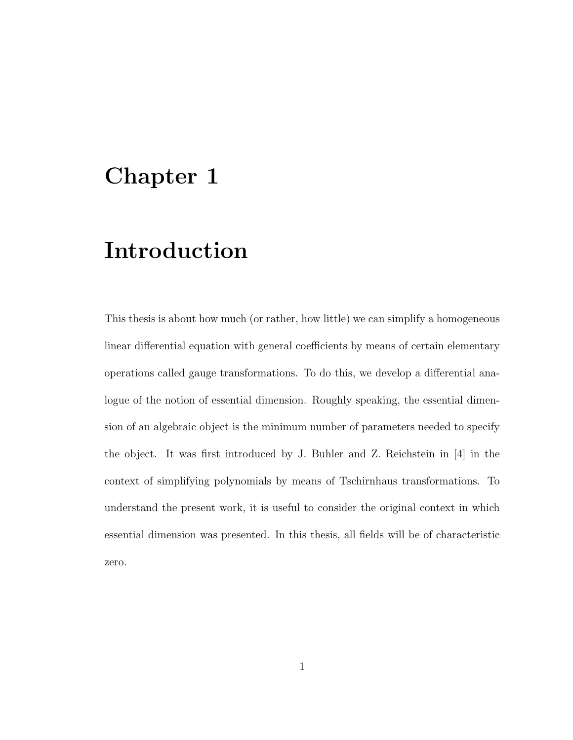# Chapter 1

# Introduction

This thesis is about how much (or rather, how little) we can simplify a homogeneous linear differential equation with general coefficients by means of certain elementary operations called gauge transformations. To do this, we develop a differential analogue of the notion of essential dimension. Roughly speaking, the essential dimension of an algebraic object is the minimum number of parameters needed to specify the object. It was first introduced by J. Buhler and Z. Reichstein in [4] in the context of simplifying polynomials by means of Tschirnhaus transformations. To understand the present work, it is useful to consider the original context in which essential dimension was presented. In this thesis, all fields will be of characteristic zero.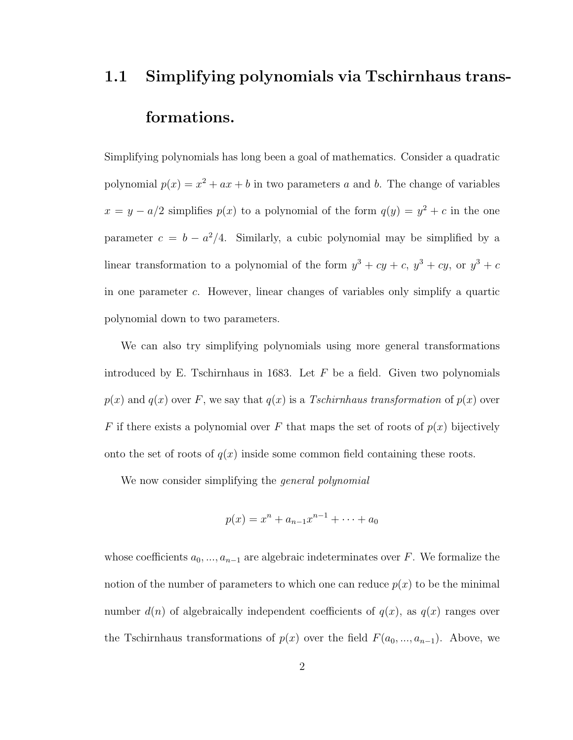# 1.1 Simplifying polynomials via Tschirnhaus transformations.

Simplifying polynomials has long been a goal of mathematics. Consider a quadratic polynomial  $p(x) = x^2 + ax + b$  in two parameters a and b. The change of variables  $x = y - a/2$  simplifies  $p(x)$  to a polynomial of the form  $q(y) = y^2 + c$  in the one parameter  $c = b - a^2/4$ . Similarly, a cubic polynomial may be simplified by a linear transformation to a polynomial of the form  $y^3 + cy + c$ ,  $y^3 + cy$ , or  $y^3 + c$ in one parameter c. However, linear changes of variables only simplify a quartic polynomial down to two parameters.

We can also try simplifying polynomials using more general transformations introduced by E. Tschirnhaus in 1683. Let  $F$  be a field. Given two polynomials  $p(x)$  and  $q(x)$  over F, we say that  $q(x)$  is a Tschirnhaus transformation of  $p(x)$  over F if there exists a polynomial over F that maps the set of roots of  $p(x)$  bijectively onto the set of roots of  $q(x)$  inside some common field containing these roots.

We now consider simplifying the *general polynomial* 

$$
p(x) = x^n + a_{n-1}x^{n-1} + \dots + a_0
$$

whose coefficients  $a_0, ..., a_{n-1}$  are algebraic indeterminates over F. We formalize the notion of the number of parameters to which one can reduce  $p(x)$  to be the minimal number  $d(n)$  of algebraically independent coefficients of  $q(x)$ , as  $q(x)$  ranges over the Tschirnhaus transformations of  $p(x)$  over the field  $F(a_0, ..., a_{n-1})$ . Above, we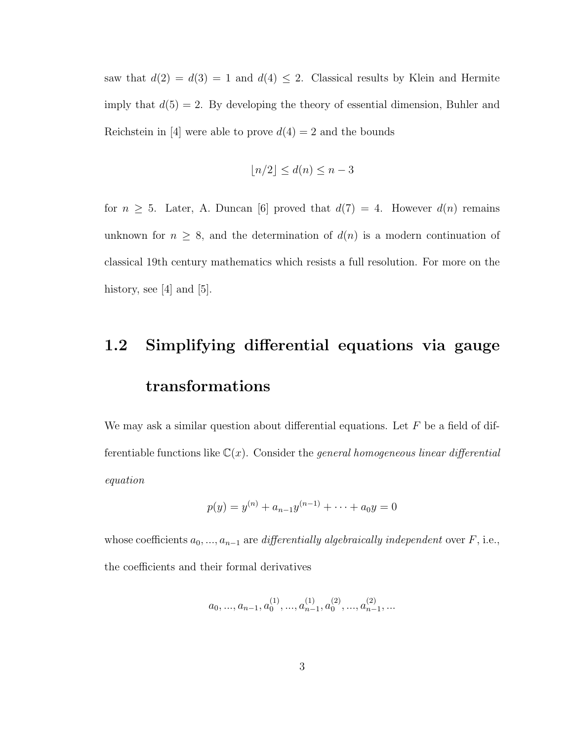saw that  $d(2) = d(3) = 1$  and  $d(4) \leq 2$ . Classical results by Klein and Hermite imply that  $d(5) = 2$ . By developing the theory of essential dimension, Buhler and Reichstein in [4] were able to prove  $d(4) = 2$  and the bounds

$$
\lfloor n/2 \rfloor \le d(n) \le n - 3
$$

for  $n \geq 5$ . Later, A. Duncan [6] proved that  $d(7) = 4$ . However  $d(n)$  remains unknown for  $n \geq 8$ , and the determination of  $d(n)$  is a modern continuation of classical 19th century mathematics which resists a full resolution. For more on the history, see  $[4]$  and  $[5]$ .

# 1.2 Simplifying differential equations via gauge transformations

We may ask a similar question about differential equations. Let  $F$  be a field of differentiable functions like  $\mathbb{C}(x)$ . Consider the *general homogeneous linear differential* equation

$$
p(y) = y^{(n)} + a_{n-1}y^{(n-1)} + \dots + a_0y = 0
$$

whose coefficients  $a_0, ..., a_{n-1}$  are differentially algebraically independent over F, i.e., the coefficients and their formal derivatives

$$
a_0, ..., a_{n-1}, a_0^{(1)}, ..., a_{n-1}^{(1)}, a_0^{(2)}, ..., a_{n-1}^{(2)}, ...
$$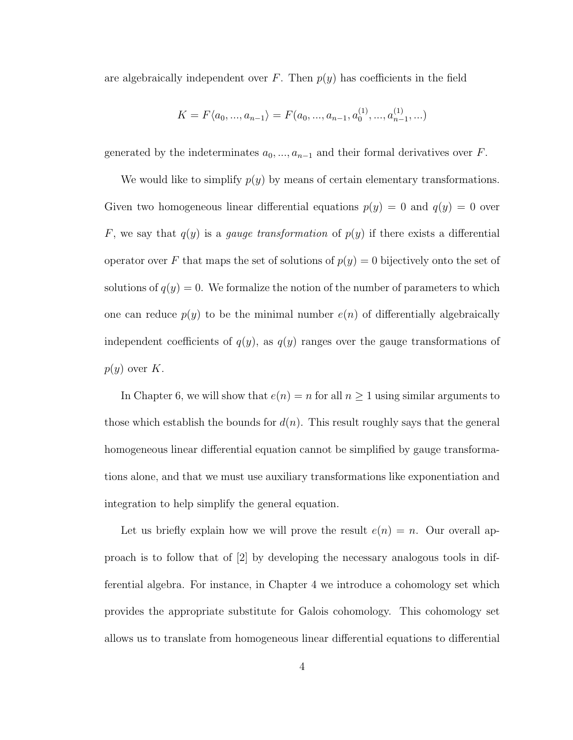are algebraically independent over F. Then  $p(y)$  has coefficients in the field

$$
K = F\langle a_0, ..., a_{n-1} \rangle = F(a_0, ..., a_{n-1}, a_0^{(1)}, ..., a_{n-1}^{(1)}, ...)
$$

generated by the indeterminates  $a_0, ..., a_{n-1}$  and their formal derivatives over F.

We would like to simplify  $p(y)$  by means of certain elementary transformations. Given two homogeneous linear differential equations  $p(y) = 0$  and  $q(y) = 0$  over F, we say that  $q(y)$  is a *gauge transformation* of  $p(y)$  if there exists a differential operator over F that maps the set of solutions of  $p(y) = 0$  bijectively onto the set of solutions of  $q(y) = 0$ . We formalize the notion of the number of parameters to which one can reduce  $p(y)$  to be the minimal number  $e(n)$  of differentially algebraically independent coefficients of  $q(y)$ , as  $q(y)$  ranges over the gauge transformations of  $p(y)$  over K.

In Chapter 6, we will show that  $e(n) = n$  for all  $n \ge 1$  using similar arguments to those which establish the bounds for  $d(n)$ . This result roughly says that the general homogeneous linear differential equation cannot be simplified by gauge transformations alone, and that we must use auxiliary transformations like exponentiation and integration to help simplify the general equation.

Let us briefly explain how we will prove the result  $e(n) = n$ . Our overall approach is to follow that of [2] by developing the necessary analogous tools in differential algebra. For instance, in Chapter 4 we introduce a cohomology set which provides the appropriate substitute for Galois cohomology. This cohomology set allows us to translate from homogeneous linear differential equations to differential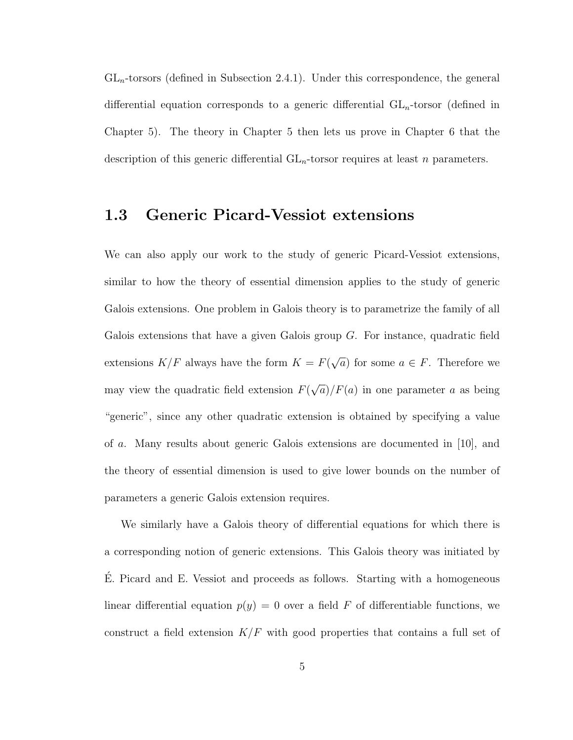$GL_n$ -torsors (defined in Subsection 2.4.1). Under this correspondence, the general differential equation corresponds to a generic differential  $GL_n$ -torsor (defined in Chapter 5). The theory in Chapter 5 then lets us prove in Chapter 6 that the description of this generic differential  $GL_n$ -torsor requires at least n parameters.

## 1.3 Generic Picard-Vessiot extensions

We can also apply our work to the study of generic Picard-Vessiot extensions, similar to how the theory of essential dimension applies to the study of generic Galois extensions. One problem in Galois theory is to parametrize the family of all Galois extensions that have a given Galois group  $G$ . For instance, quadratic field extensions  $K/F$  always have the form  $K = F($ √  $\overline{a}$ ) for some  $a \in F$ . Therefore we may view the quadratic field extension  $F($ √  $\overline{a}/F(a)$  in one parameter a as being "generic", since any other quadratic extension is obtained by specifying a value of a. Many results about generic Galois extensions are documented in [10], and the theory of essential dimension is used to give lower bounds on the number of parameters a generic Galois extension requires.

We similarly have a Galois theory of differential equations for which there is a corresponding notion of generic extensions. This Galois theory was initiated by E. Picard and E. Vessiot and proceeds as follows. Starting with a homogeneous ´ linear differential equation  $p(y) = 0$  over a field F of differentiable functions, we construct a field extension  $K/F$  with good properties that contains a full set of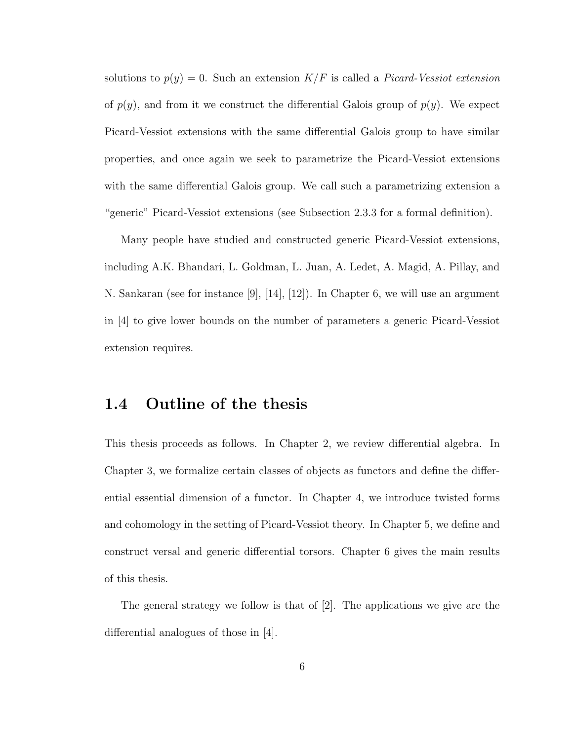solutions to  $p(y) = 0$ . Such an extension  $K/F$  is called a *Picard-Vessiot extension* of  $p(y)$ , and from it we construct the differential Galois group of  $p(y)$ . We expect Picard-Vessiot extensions with the same differential Galois group to have similar properties, and once again we seek to parametrize the Picard-Vessiot extensions with the same differential Galois group. We call such a parametrizing extension a "generic" Picard-Vessiot extensions (see Subsection 2.3.3 for a formal definition).

Many people have studied and constructed generic Picard-Vessiot extensions, including A.K. Bhandari, L. Goldman, L. Juan, A. Ledet, A. Magid, A. Pillay, and N. Sankaran (see for instance [9], [14], [12]). In Chapter 6, we will use an argument in [4] to give lower bounds on the number of parameters a generic Picard-Vessiot extension requires.

## 1.4 Outline of the thesis

This thesis proceeds as follows. In Chapter 2, we review differential algebra. In Chapter 3, we formalize certain classes of objects as functors and define the differential essential dimension of a functor. In Chapter 4, we introduce twisted forms and cohomology in the setting of Picard-Vessiot theory. In Chapter 5, we define and construct versal and generic differential torsors. Chapter 6 gives the main results of this thesis.

The general strategy we follow is that of [2]. The applications we give are the differential analogues of those in [4].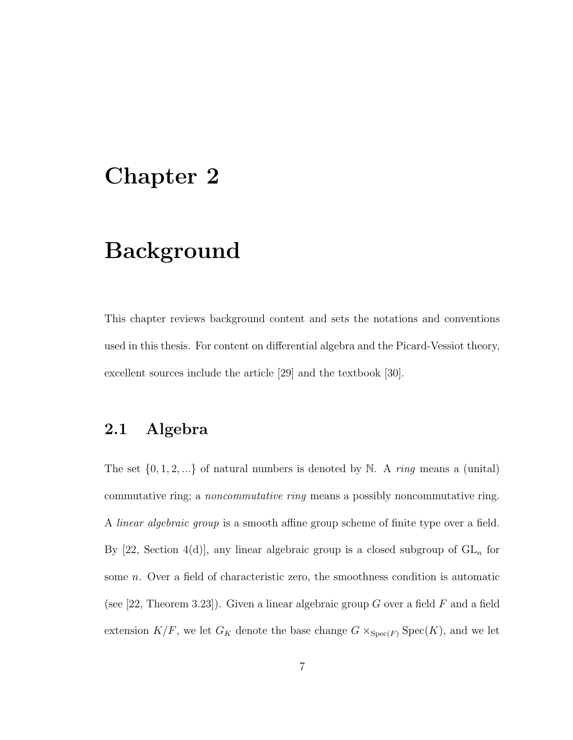# Chapter 2

# Background

This chapter reviews background content and sets the notations and conventions used in this thesis. For content on differential algebra and the Picard-Vessiot theory, excellent sources include the article [29] and the textbook [30].

# 2.1 Algebra

The set  $\{0, 1, 2, ...\}$  of natural numbers is denoted by N. A *ring* means a (unital) commutative ring; a noncommutative ring means a possibly noncommutative ring. A *linear algebraic group* is a smooth affine group scheme of finite type over a field. By [22, Section 4(d)], any linear algebraic group is a closed subgroup of  $GL_n$  for some n. Over a field of characteristic zero, the smoothness condition is automatic (see [22, Theorem 3.23]). Given a linear algebraic group G over a field F and a field extension  $K/F$ , we let  $G_K$  denote the base change  $G \times_{Spec(F)} Spec(K)$ , and we let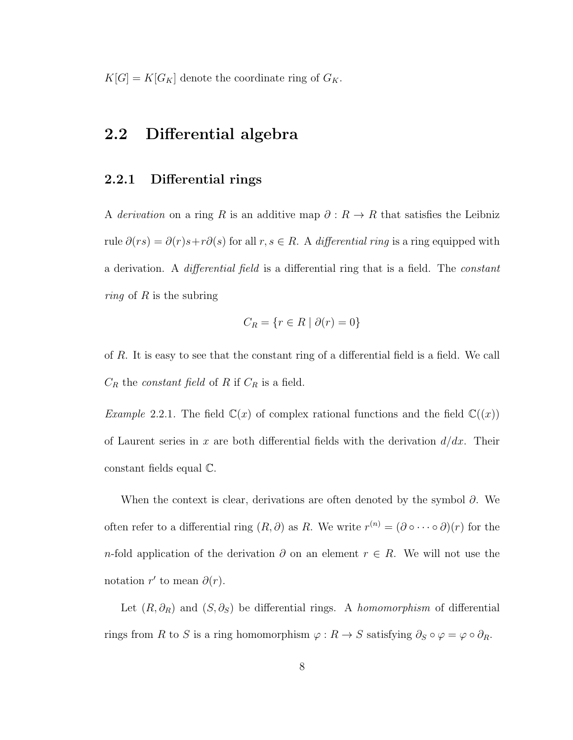$K[G] = K[G_K]$  denote the coordinate ring of  $G_K$ .

# 2.2 Differential algebra

### 2.2.1 Differential rings

A derivation on a ring R is an additive map  $\partial: R \to R$  that satisfies the Leibniz rule  $\partial(rs) = \partial(r)s + r\partial(s)$  for all  $r, s \in R$ . A differential ring is a ring equipped with a derivation. A *differential field* is a differential ring that is a field. The *constant ring* of R is the subring

$$
C_R = \{ r \in R \mid \partial(r) = 0 \}
$$

of R. It is easy to see that the constant ring of a differential field is a field. We call  $C_R$  the *constant field* of R if  $C_R$  is a field.

*Example* 2.2.1. The field  $\mathbb{C}(x)$  of complex rational functions and the field  $\mathbb{C}((x))$ of Laurent series in x are both differential fields with the derivation  $d/dx$ . Their constant fields equal C.

When the context is clear, derivations are often denoted by the symbol  $\partial$ . We often refer to a differential ring  $(R, \partial)$  as R. We write  $r^{(n)} = (\partial \circ \cdots \circ \partial)(r)$  for the n-fold application of the derivation  $\partial$  on an element  $r \in R$ . We will not use the notation r' to mean  $\partial(r)$ .

Let  $(R, \partial_R)$  and  $(S, \partial_S)$  be differential rings. A homomorphism of differential rings from R to S is a ring homomorphism  $\varphi: R \to S$  satisfying  $\partial_S \circ \varphi = \varphi \circ \partial_R$ .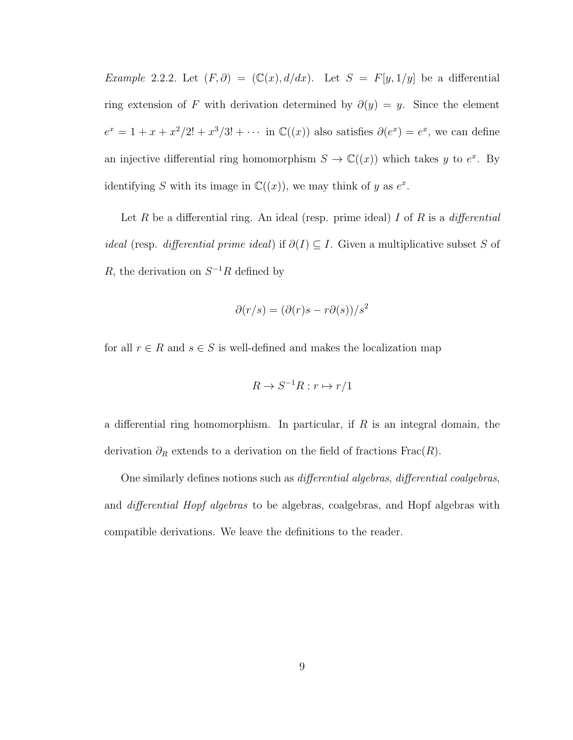Example 2.2.2. Let  $(F, \partial) = (\mathbb{C}(x), d/dx)$ . Let  $S = F[y, 1/y]$  be a differential ring extension of F with derivation determined by  $\partial(y) = y$ . Since the element  $e^x = 1 + x + x^2/2! + x^3/3! + \cdots$  in  $\mathbb{C}((x))$  also satisfies  $\partial(e^x) = e^x$ , we can define an injective differential ring homomorphism  $S \to \mathbb{C}((x))$  which takes y to  $e^x$ . By identifying S with its image in  $\mathbb{C}((x))$ , we may think of y as  $e^x$ .

Let R be a differential ring. An ideal (resp. prime ideal) I of R is a differential *ideal* (resp. *differential prime ideal*) if  $\partial(I) \subseteq I$ . Given a multiplicative subset S of R, the derivation on  $S^{-1}R$  defined by

$$
\partial(r/s)=(\partial(r)s-r\partial(s))/s^2
$$

for all  $r \in R$  and  $s \in S$  is well-defined and makes the localization map

$$
R \to S^{-1}R : r \mapsto r/1
$$

a differential ring homomorphism. In particular, if  $R$  is an integral domain, the derivation  $\partial_R$  extends to a derivation on the field of fractions Frac $(R)$ .

One similarly defines notions such as differential algebras, differential coalgebras, and differential Hopf algebras to be algebras, coalgebras, and Hopf algebras with compatible derivations. We leave the definitions to the reader.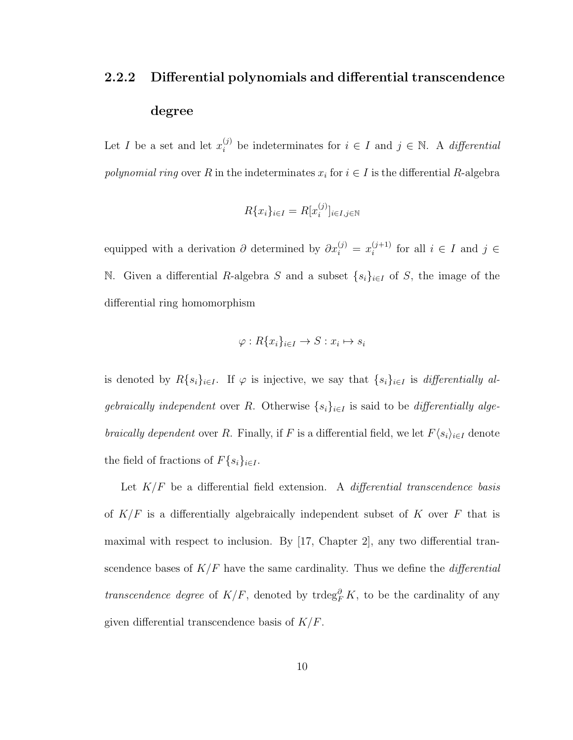# 2.2.2 Differential polynomials and differential transcendence degree

Let I be a set and let  $x_i^{(j)}$  be indeterminates for  $i \in I$  and  $j \in \mathbb{N}$ . A differential polynomial ring over R in the indeterminates  $x_i$  for  $i \in I$  is the differential R-algebra

$$
R\{x_i\}_{i\in I} = R[x_i^{(j)}]_{i\in I, j\in \mathbb{N}}
$$

equipped with a derivation  $\partial$  determined by  $\partial x_i^{(j)} = x_i^{(j+1)}$  $i^{(j+1)}$  for all  $i \in I$  and  $j \in$ N. Given a differential R-algebra S and a subset  $\{s_i\}_{i\in I}$  of S, the image of the differential ring homomorphism

$$
\varphi: R\{x_i\}_{i\in I} \to S: x_i \mapsto s_i
$$

is denoted by  $R\{s_i\}_{i\in I}$ . If  $\varphi$  is injective, we say that  $\{s_i\}_{i\in I}$  is *differentially al*gebraically independent over R. Otherwise  $\{s_i\}_{i\in I}$  is said to be differentially algebraically dependent over R. Finally, if F is a differential field, we let  $F\langle s_i \rangle_{i \in I}$  denote the field of fractions of  $F\{s_i\}_{i\in I}$ .

Let  $K/F$  be a differential field extension. A *differential transcendence basis* of  $K/F$  is a differentially algebraically independent subset of K over F that is maximal with respect to inclusion. By [17, Chapter 2], any two differential transcendence bases of  $K/F$  have the same cardinality. Thus we define the *differential* transcendence degree of  $K/F$ , denoted by trdeg<sup>∂</sup><sub>F</sub> $K$ , to be the cardinality of any given differential transcendence basis of  $K/F$ .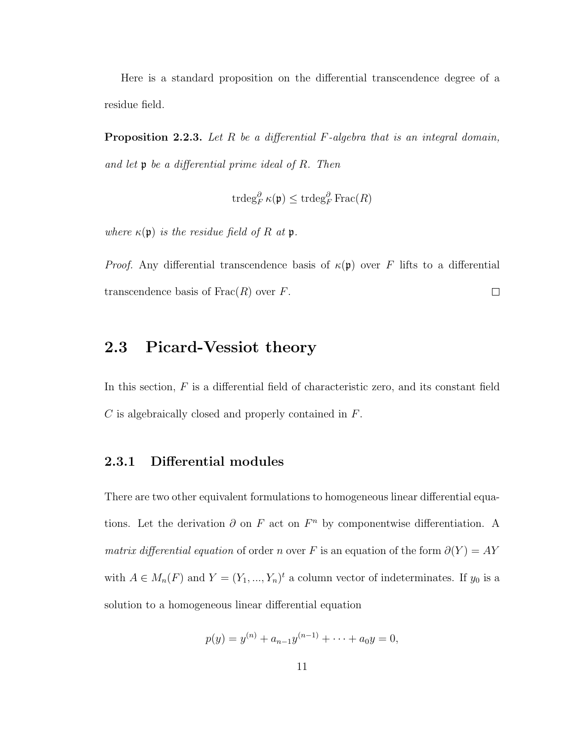Here is a standard proposition on the differential transcendence degree of a residue field.

**Proposition 2.2.3.** Let  $R$  be a differential  $F$ -algebra that is an integral domain, and let p be a differential prime ideal of R. Then

$$
\operatorname{trdeg}^{\partial}_F \kappa(\mathfrak{p}) \leq \operatorname{trdeg}^{\partial}_F \operatorname{Frac}(R)
$$

where  $\kappa(\mathfrak{p})$  is the residue field of R at  $\mathfrak{p}$ .

*Proof.* Any differential transcendence basis of  $\kappa(\mathfrak{p})$  over F lifts to a differential transcendence basis of  $Frac(R)$  over F.  $\Box$ 

# 2.3 Picard-Vessiot theory

In this section,  $F$  is a differential field of characteristic zero, and its constant field C is algebraically closed and properly contained in F.

### 2.3.1 Differential modules

There are two other equivalent formulations to homogeneous linear differential equations. Let the derivation  $\partial$  on F act on  $F<sup>n</sup>$  by componentwise differentiation. A *matrix differential equation* of order *n* over F is an equation of the form  $\partial(Y) = AY$ with  $A \in M_n(F)$  and  $Y = (Y_1, ..., Y_n)^t$  a column vector of indeterminates. If  $y_0$  is a solution to a homogeneous linear differential equation

$$
p(y) = y^{(n)} + a_{n-1}y^{(n-1)} + \cdots + a_0y = 0,
$$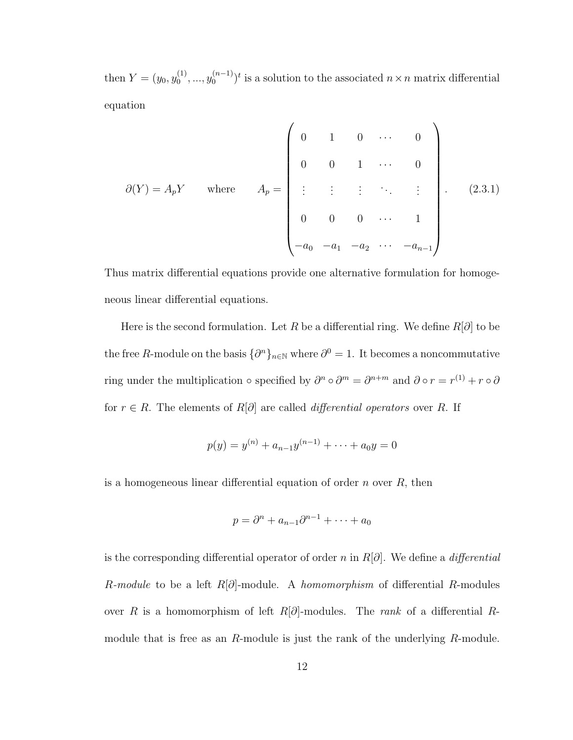then  $Y = (y_0, y_0^{(1)})$  $y_0^{(1)},..., y_0^{(n-1)}$  $\binom{n-1}{0}$ <sup>t</sup> is a solution to the associated  $n \times n$  matrix differential equation

$$
\partial(Y) = A_p Y \quad \text{where} \quad A_p = \begin{pmatrix} 0 & 1 & 0 & \cdots & 0 \\ 0 & 0 & 1 & \cdots & 0 \\ \vdots & \vdots & \vdots & \ddots & \vdots \\ 0 & 0 & 0 & \cdots & 1 \\ -a_0 & -a_1 & -a_2 & \cdots & -a_{n-1} \end{pmatrix} . \tag{2.3.1}
$$

Thus matrix differential equations provide one alternative formulation for homogeneous linear differential equations.

Here is the second formulation. Let R be a differential ring. We define  $R[\partial]$  to be the free R-module on the basis  $\{\partial^n\}_{n\in\mathbb{N}}$  where  $\partial^0 = 1$ . It becomes a noncommutative ring under the multiplication  $\circ$  specified by  $\partial^n \circ \partial^m = \partial^{n+m}$  and  $\partial \circ r = r^{(1)} + r \circ \partial$ for  $r \in R$ . The elements of  $R[\partial]$  are called *differential operators* over R. If

$$
p(y) = y^{(n)} + a_{n-1}y^{(n-1)} + \dots + a_0y = 0
$$

is a homogeneous linear differential equation of order  $n$  over  $R$ , then

$$
p = \partial^n + a_{n-1}\partial^{n-1} + \cdots + a_0
$$

is the corresponding differential operator of order n in  $R[\partial]$ . We define a *differential* R-module to be a left  $R[\partial]$ -module. A homomorphism of differential R-modules over R is a homomorphism of left R[ $\partial$ ]-modules. The *rank* of a differential Rmodule that is free as an R-module is just the rank of the underlying R-module.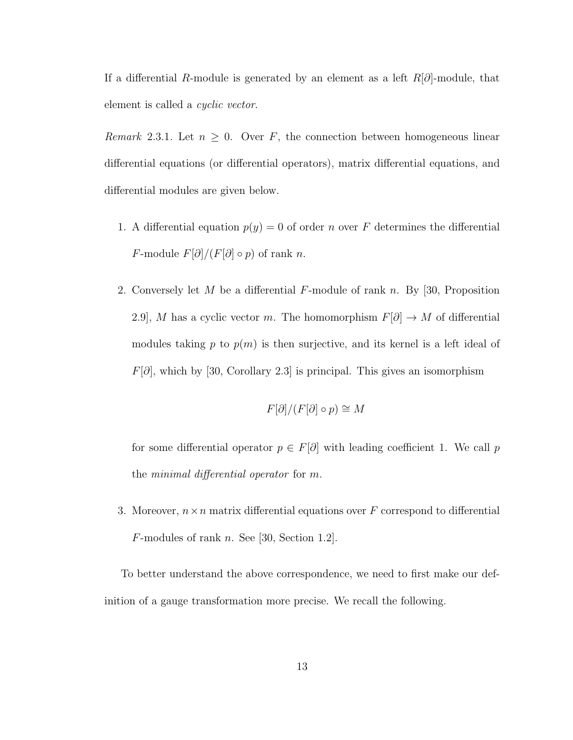If a differential R-module is generated by an element as a left  $R[\partial]$ -module, that element is called a *cyclic vector*.

Remark 2.3.1. Let  $n \geq 0$ . Over F, the connection between homogeneous linear differential equations (or differential operators), matrix differential equations, and differential modules are given below.

- 1. A differential equation  $p(y) = 0$  of order n over F determines the differential F-module  $F[\partial]/(F[\partial] \circ p)$  of rank n.
- 2. Conversely let M be a differential F-module of rank n. By [30, Proposition 2.9], M has a cyclic vector m. The homomorphism  $F[\partial] \to M$  of differential modules taking p to  $p(m)$  is then surjective, and its kernel is a left ideal of  $F[*∂*],$  which by [30, Corollary 2.3] is principal. This gives an isomorphism

$$
F[\partial]/(F[\partial] \circ p) \cong M
$$

for some differential operator  $p \in F[\partial]$  with leading coefficient 1. We call p the minimal differential operator for m.

3. Moreover,  $n \times n$  matrix differential equations over F correspond to differential  $F$ -modules of rank n. See [30, Section 1.2].

To better understand the above correspondence, we need to first make our definition of a gauge transformation more precise. We recall the following.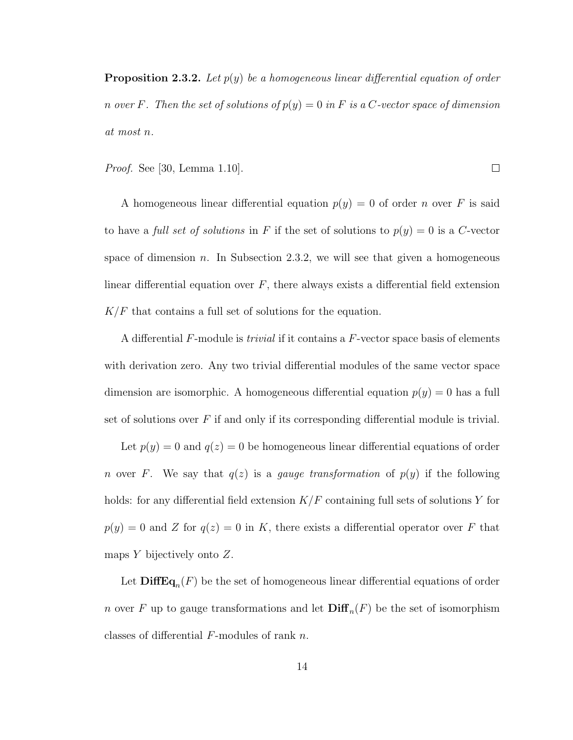**Proposition 2.3.2.** Let  $p(y)$  be a homogeneous linear differential equation of order n over F. Then the set of solutions of  $p(y) = 0$  in F is a C-vector space of dimension at most n.

Proof. See [30, Lemma 1.10].

A homogeneous linear differential equation  $p(y) = 0$  of order n over F is said to have a *full set of solutions* in F if the set of solutions to  $p(y) = 0$  is a C-vector space of dimension n. In Subsection 2.3.2, we will see that given a homogeneous linear differential equation over  $F$ , there always exists a differential field extension  $K/F$  that contains a full set of solutions for the equation.

A differential F-module is trivial if it contains a F-vector space basis of elements with derivation zero. Any two trivial differential modules of the same vector space dimension are isomorphic. A homogeneous differential equation  $p(y) = 0$  has a full set of solutions over  $F$  if and only if its corresponding differential module is trivial.

Let  $p(y) = 0$  and  $q(z) = 0$  be homogeneous linear differential equations of order n over F. We say that  $q(z)$  is a gauge transformation of  $p(y)$  if the following holds: for any differential field extension  $K/F$  containing full sets of solutions Y for  $p(y) = 0$  and Z for  $q(z) = 0$  in K, there exists a differential operator over F that maps  $Y$  bijectively onto  $Z$ .

Let  $\text{DiffEq}_n(F)$  be the set of homogeneous linear differential equations of order *n* over F up to gauge transformations and let  $\text{Diff}_n(F)$  be the set of isomorphism classes of differential F-modules of rank n.

 $\Box$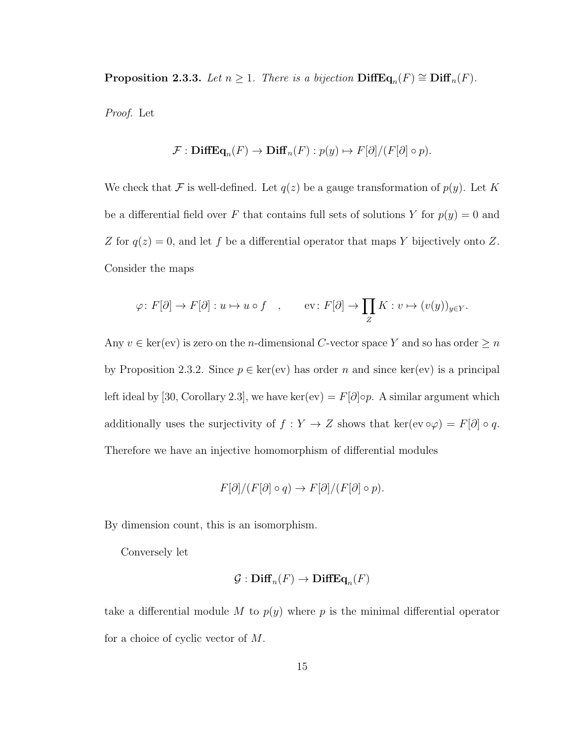**Proposition 2.3.3.** Let  $n \geq 1$ . There is a bijection  $\text{DiffEq}_n(F) \cong \text{Diff}_n(F)$ .

Proof. Let

$$
\mathcal{F}: \mathbf{DiffEq}_n(F) \to \mathbf{Diff}_n(F): p(y) \mapsto F[\partial]/(F[\partial] \circ p).
$$

We check that F is well-defined. Let  $q(z)$  be a gauge transformation of  $p(y)$ . Let K be a differential field over F that contains full sets of solutions Y for  $p(y) = 0$  and Z for  $q(z) = 0$ , and let f be a differential operator that maps Y bijectively onto Z. Consider the maps

$$
\varphi \colon F[\partial] \to F[\partial] : u \mapsto u \circ f \quad , \qquad \text{ev} \colon F[\partial] \to \prod_Z K : v \mapsto (v(y))_{y \in Y}.
$$

Any  $v \in \text{ker}(ev)$  is zero on the *n*-dimensional C-vector space Y and so has order  $\geq n$ by Proposition 2.3.2. Since  $p \in \text{ker}(ev)$  has order n and since  $\text{ker}(ev)$  is a principal left ideal by [30, Corollary 2.3], we have ker(ev) =  $F[\partial] \circ p$ . A similar argument which additionally uses the surjectivity of  $f: Y \to Z$  shows that ker(ev  $\circ \varphi$ ) =  $F[\partial] \circ q$ . Therefore we have an injective homomorphism of differential modules

$$
F[\partial]/(F[\partial] \circ q) \to F[\partial]/(F[\partial] \circ p).
$$

By dimension count, this is an isomorphism.

Conversely let

$$
\mathcal{G}: \mathbf{Diff}_n(F) \to \mathbf{DiffEq}_n(F)
$$

take a differential module M to  $p(y)$  where p is the minimal differential operator for a choice of cyclic vector of M.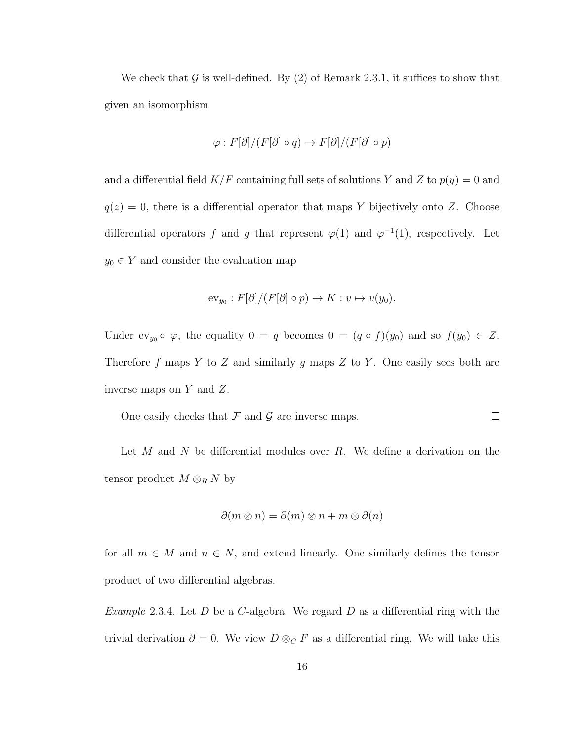We check that G is well-defined. By  $(2)$  of Remark 2.3.1, it suffices to show that given an isomorphism

$$
\varphi : F[\partial]/(F[\partial] \circ q) \to F[\partial]/(F[\partial] \circ p)
$$

and a differential field  $K/F$  containing full sets of solutions Y and Z to  $p(y) = 0$  and  $q(z) = 0$ , there is a differential operator that maps Y bijectively onto Z. Choose differential operators f and g that represent  $\varphi(1)$  and  $\varphi^{-1}(1)$ , respectively. Let  $y_0 \in Y$  and consider the evaluation map

$$
\mathrm{ev}_{y_0}: F[\partial]/(F[\partial] \circ p) \to K: v \mapsto v(y_0).
$$

Under  $ev_{y_0} \circ \varphi$ , the equality  $0 = q$  becomes  $0 = (q \circ f)(y_0)$  and so  $f(y_0) \in Z$ . Therefore f maps Y to Z and similarly g maps Z to Y. One easily sees both are inverse maps on  $Y$  and  $Z$ .

One easily checks that  $\mathcal F$  and  $\mathcal G$  are inverse maps.  $\Box$ 

Let  $M$  and  $N$  be differential modules over  $R$ . We define a derivation on the tensor product  $M \otimes_R N$  by

$$
\partial(m \otimes n) = \partial(m) \otimes n + m \otimes \partial(n)
$$

for all  $m \in M$  and  $n \in N$ , and extend linearly. One similarly defines the tensor product of two differential algebras.

*Example* 2.3.4. Let D be a C-algebra. We regard D as a differential ring with the trivial derivation  $\partial = 0$ . We view  $D \otimes_C F$  as a differential ring. We will take this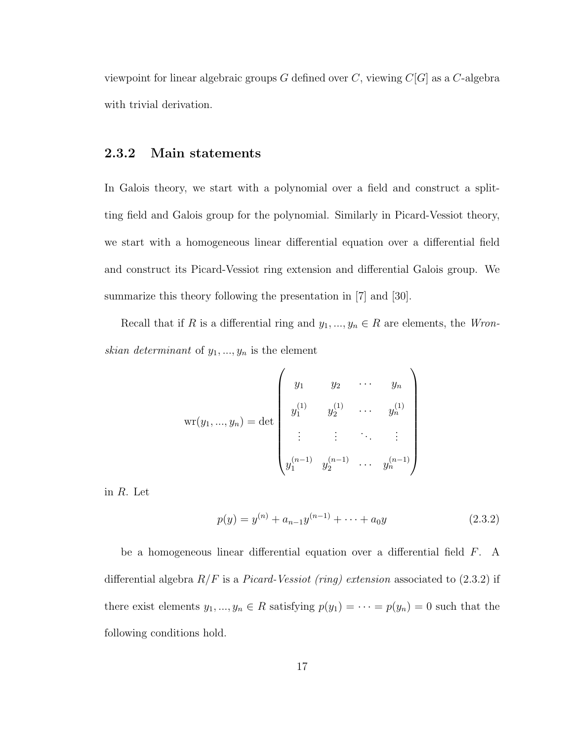viewpoint for linear algebraic groups  $G$  defined over  $C$ , viewing  $C[G]$  as a  $C$ -algebra with trivial derivation.

### 2.3.2 Main statements

In Galois theory, we start with a polynomial over a field and construct a splitting field and Galois group for the polynomial. Similarly in Picard-Vessiot theory, we start with a homogeneous linear differential equation over a differential field and construct its Picard-Vessiot ring extension and differential Galois group. We summarize this theory following the presentation in [7] and [30].

Recall that if R is a differential ring and  $y_1, ..., y_n \in R$  are elements, the Wronskian determinant of  $y_1, ..., y_n$  is the element

$$
\mathrm{wr}(y_1, ..., y_n) = \det \begin{pmatrix} y_1 & y_2 & \cdots & y_n \\ y_1^{(1)} & y_2^{(1)} & \cdots & y_n^{(1)} \\ \vdots & \vdots & \ddots & \vdots \\ y_1^{(n-1)} & y_2^{(n-1)} & \cdots & y_n^{(n-1)} \end{pmatrix}
$$

in R. Let

$$
p(y) = y^{(n)} + a_{n-1}y^{(n-1)} + \dots + a_0y \tag{2.3.2}
$$

be a homogeneous linear differential equation over a differential field F. A differential algebra  $R/F$  is a *Picard-Vessiot (ring) extension* associated to  $(2.3.2)$  if there exist elements  $y_1, ..., y_n \in R$  satisfying  $p(y_1) = \cdots = p(y_n) = 0$  such that the following conditions hold.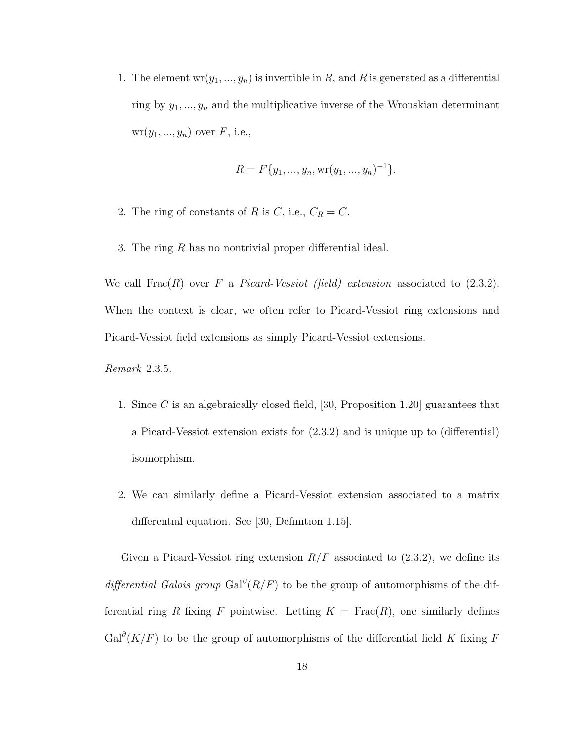1. The element  $wr(y_1, ..., y_n)$  is invertible in R, and R is generated as a differential ring by  $y_1, ..., y_n$  and the multiplicative inverse of the Wronskian determinant  $wr(y_1, ..., y_n)$  over  $F$ , i.e.,

$$
R = F\{y_1, ..., y_n, \text{wr}(y_1, ..., y_n)^{-1}\}.
$$

- 2. The ring of constants of R is C, i.e.,  $C_R = C$ .
- 3. The ring R has no nontrivial proper differential ideal.

We call  $Frac(R)$  over F a Picard-Vessiot (field) extension associated to  $(2.3.2)$ . When the context is clear, we often refer to Picard-Vessiot ring extensions and Picard-Vessiot field extensions as simply Picard-Vessiot extensions.

Remark 2.3.5.

- 1. Since C is an algebraically closed field, [30, Proposition 1.20] guarantees that a Picard-Vessiot extension exists for (2.3.2) and is unique up to (differential) isomorphism.
- 2. We can similarly define a Picard-Vessiot extension associated to a matrix differential equation. See [30, Definition 1.15].

Given a Picard-Vessiot ring extension  $R/F$  associated to  $(2.3.2)$ , we define its differential Galois group Gal<sup>∂</sup>( $R/F$ ) to be the group of automorphisms of the differential ring R fixing F pointwise. Letting  $K = \text{Frac}(R)$ , one similarly defines  $Gal^{\partial}(K/F)$  to be the group of automorphisms of the differential field K fixing F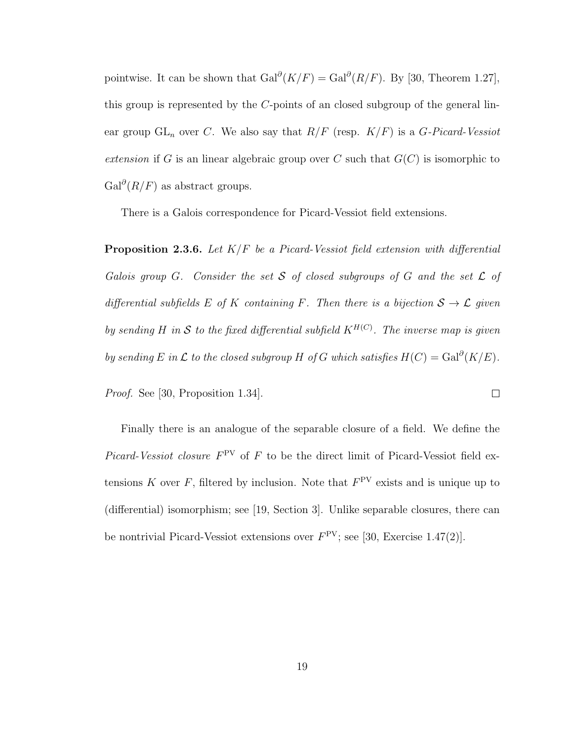pointwise. It can be shown that  $Gal^{\partial}(K/F) = Gal^{\partial}(R/F)$ . By [30, Theorem 1.27], this group is represented by the C-points of an closed subgroup of the general linear group  $GL_n$  over C. We also say that  $R/F$  (resp.  $K/F$ ) is a G-Picard-Vessiot extension if G is an linear algebraic group over C such that  $G(C)$  is isomorphic to  $Gal^{\partial}(R/F)$  as abstract groups.

There is a Galois correspondence for Picard-Vessiot field extensions.

**Proposition 2.3.6.** Let  $K/F$  be a Picard-Vessiot field extension with differential Galois group G. Consider the set  $S$  of closed subgroups of  $G$  and the set  $\mathcal L$  of differential subfields E of K containing F. Then there is a bijection  $S \to \mathcal{L}$  given by sending H in S to the fixed differential subfield  $K^{H(C)}$ . The inverse map is given by sending E in L to the closed subgroup H of G which satisfies  $H(C) = \text{Gal}^{\partial}(K/E)$ .

 $\Box$ 

Proof. See [30, Proposition 1.34].

Finally there is an analogue of the separable closure of a field. We define the *Picard-Vessiot closure*  $F^{PV}$  of F to be the direct limit of Picard-Vessiot field extensions K over F, filtered by inclusion. Note that  $F<sup>PV</sup>$  exists and is unique up to (differential) isomorphism; see [19, Section 3]. Unlike separable closures, there can be nontrivial Picard-Vessiot extensions over  $F<sup>PV</sup>$ ; see [30, Exercise 1.47(2)].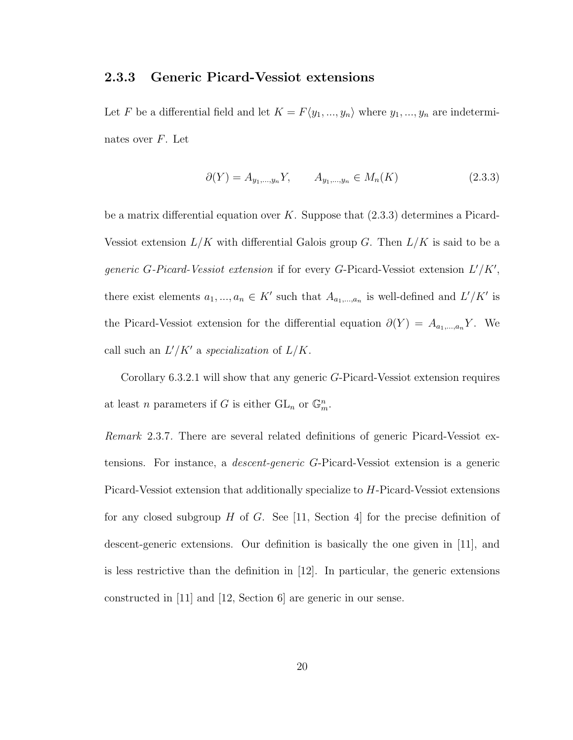### 2.3.3 Generic Picard-Vessiot extensions

Let F be a differential field and let  $K = F\langle y_1, ..., y_n \rangle$  where  $y_1, ..., y_n$  are indeterminates over  $F$ . Let

$$
\partial(Y) = A_{y_1, \dots, y_n} Y, \qquad A_{y_1, \dots, y_n} \in M_n(K) \tag{2.3.3}
$$

be a matrix differential equation over  $K$ . Suppose that  $(2.3.3)$  determines a Picard-Vessiot extension  $L/K$  with differential Galois group G. Then  $L/K$  is said to be a generic G-Picard-Vessiot extension if for every G-Picard-Vessiot extension  $L'/K'$ , there exist elements  $a_1, ..., a_n \in K'$  such that  $A_{a_1,...,a_n}$  is well-defined and  $L'/K'$  is the Picard-Vessiot extension for the differential equation  $\partial(Y) = A_{a_1,...,a_n}Y$ . We call such an  $L'/K'$  a specialization of  $L/K$ .

Corollary 6.3.2.1 will show that any generic G-Picard-Vessiot extension requires at least *n* parameters if *G* is either  $GL_n$  or  $\mathbb{G}_m^n$ .

Remark 2.3.7. There are several related definitions of generic Picard-Vessiot extensions. For instance, a descent-generic G-Picard-Vessiot extension is a generic Picard-Vessiot extension that additionally specialize to H-Picard-Vessiot extensions for any closed subgroup H of G. See [11, Section 4] for the precise definition of descent-generic extensions. Our definition is basically the one given in [11], and is less restrictive than the definition in [12]. In particular, the generic extensions constructed in [11] and [12, Section 6] are generic in our sense.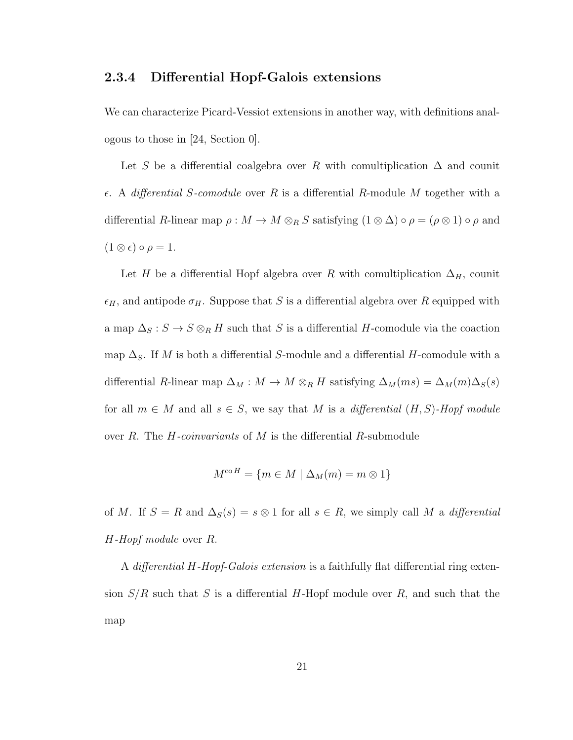### 2.3.4 Differential Hopf-Galois extensions

We can characterize Picard-Vessiot extensions in another way, with definitions analogous to those in [24, Section 0].

Let S be a differential coalgebra over R with comultiplication  $\Delta$  and counit  $\epsilon$ . A differential S-comodule over R is a differential R-module M together with a differential R-linear map  $\rho : M \to M \otimes_R S$  satisfying  $(1 \otimes \Delta) \circ \rho = (\rho \otimes 1) \circ \rho$  and  $(1 \otimes \epsilon) \circ \rho = 1.$ 

Let H be a differential Hopf algebra over R with comultiplication  $\Delta_H$ , counit  $\epsilon_H$ , and antipode  $\sigma_H$ . Suppose that S is a differential algebra over R equipped with a map  $\Delta_S : S \to S \otimes_R H$  such that S is a differential H-comodule via the coaction map  $\Delta_S$ . If M is both a differential S-module and a differential H-comodule with a differential R-linear map  $\Delta_M : M \to M \otimes_R H$  satisfying  $\Delta_M(ms) = \Delta_M(m)\Delta_S(s)$ for all  $m \in M$  and all  $s \in S$ , we say that M is a differential  $(H, S)$ -Hopf module over  $R$ . The  $H$ -coinvariants of  $M$  is the differential  $R$ -submodule

$$
M^{\mathrm{co}\,H} = \{ m \in M \mid \Delta_M(m) = m \otimes 1 \}
$$

of M. If  $S = R$  and  $\Delta_S(s) = s \otimes 1$  for all  $s \in R$ , we simply call M a differential H-Hopf module over R.

A differential H-Hopf-Galois extension is a faithfully flat differential ring extension  $S/R$  such that S is a differential H-Hopf module over R, and such that the map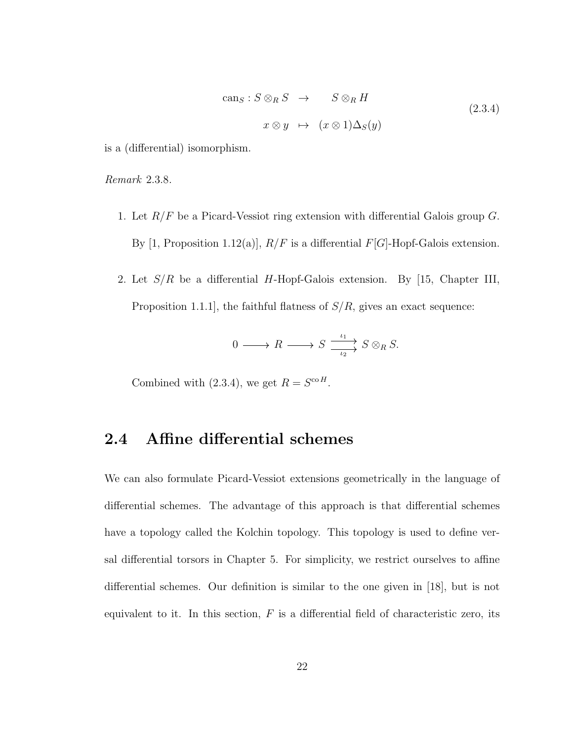$$
can_S: S \otimes_R S \to S \otimes_R H
$$
  

$$
x \otimes y \mapsto (x \otimes 1) \Delta_S(y)
$$
 (2.3.4)

is a (differential) isomorphism.

Remark 2.3.8.

- 1. Let  $R/F$  be a Picard-Vessiot ring extension with differential Galois group  $G$ . By [1, Proposition 1.12(a)],  $R/F$  is a differential  $F[G]$ -Hopf-Galois extension.
- 2. Let  $S/R$  be a differential H-Hopf-Galois extension. By [15, Chapter III, Proposition 1.1.1, the faithful flatness of  $S/R$ , gives an exact sequence:

$$
0 \longrightarrow R \longrightarrow S \xrightarrow{\iota_1} S \otimes_R S.
$$

Combined with (2.3.4), we get  $R = S^{\text{co }H}$ .

# 2.4 Affine differential schemes

We can also formulate Picard-Vessiot extensions geometrically in the language of differential schemes. The advantage of this approach is that differential schemes have a topology called the Kolchin topology. This topology is used to define versal differential torsors in Chapter 5. For simplicity, we restrict ourselves to affine differential schemes. Our definition is similar to the one given in [18], but is not equivalent to it. In this section,  $F$  is a differential field of characteristic zero, its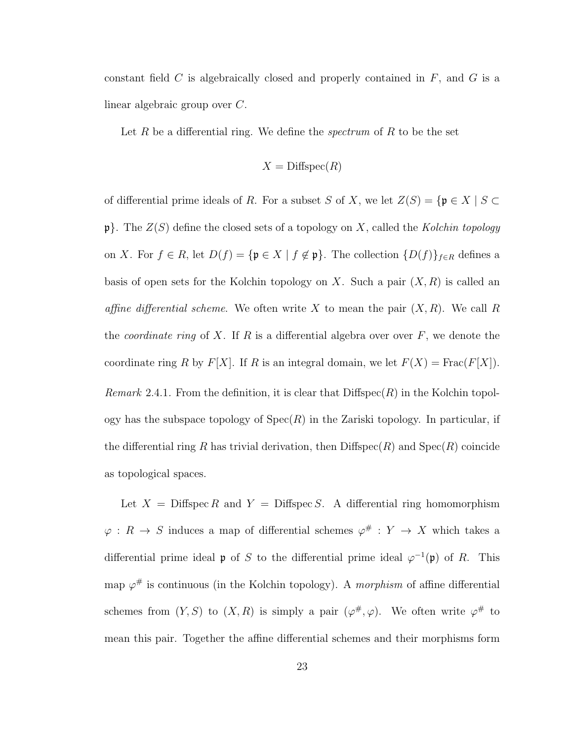constant field  $C$  is algebraically closed and properly contained in  $F$ , and  $G$  is a linear algebraic group over C.

Let R be a differential ring. We define the *spectrum* of R to be the set

$$
X = \text{Diffspec}(R)
$$

of differential prime ideals of R. For a subset S of X, we let  $Z(S) = \{ \mathfrak{p} \in X \mid S \subset$  $\mathfrak{p}$ . The  $Z(S)$  define the closed sets of a topology on X, called the Kolchin topology on X. For  $f \in R$ , let  $D(f) = {\mathfrak{p} \in X \mid f \notin \mathfrak{p}}$ . The collection  ${D(f)}_{f \in R}$  defines a basis of open sets for the Kolchin topology on X. Such a pair  $(X, R)$  is called an affine differential scheme. We often write X to mean the pair  $(X, R)$ . We call R the *coordinate ring* of X. If R is a differential algebra over over  $F$ , we denote the coordinate ring R by  $F[X]$ . If R is an integral domain, we let  $F(X) = \text{Frac}(F[X])$ . *Remark* 2.4.1. From the definition, it is clear that  $\text{Diffspec}(R)$  in the Kolchin topology has the subspace topology of  $Spec(R)$  in the Zariski topology. In particular, if the differential ring R has trivial derivation, then  $\text{Diffspec}(R)$  and  $\text{Spec}(R)$  coincide as topological spaces.

Let  $X = \text{Diffspec } R$  and  $Y = \text{Diffspec } S$ . A differential ring homomorphism  $\varphi: R \to S$  induces a map of differential schemes  $\varphi^{\#}: Y \to X$  which takes a differential prime ideal **p** of S to the differential prime ideal  $\varphi^{-1}(\mathfrak{p})$  of R. This map  $\varphi^{\#}$  is continuous (in the Kolchin topology). A *morphism* of affine differential schemes from  $(Y, S)$  to  $(X, R)$  is simply a pair  $(\varphi^{\#}, \varphi)$ . We often write  $\varphi^{\#}$  to mean this pair. Together the affine differential schemes and their morphisms form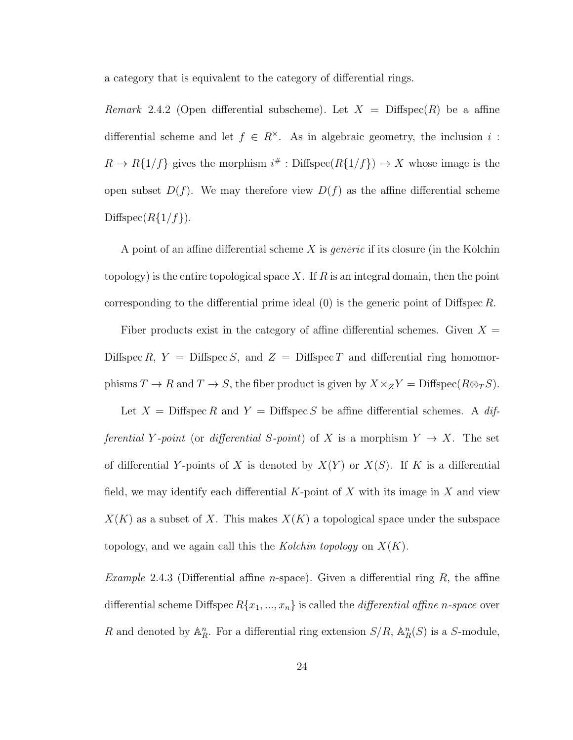a category that is equivalent to the category of differential rings.

Remark 2.4.2 (Open differential subscheme). Let  $X = \text{Diffspec}(R)$  be a affine differential scheme and let  $f \in R^{\times}$ . As in algebraic geometry, the inclusion i:  $R \to R\{1/f\}$  gives the morphism  $i^{\#}$ : Diffspec $(R\{1/f\}) \to X$  whose image is the open subset  $D(f)$ . We may therefore view  $D(f)$  as the affine differential scheme Diffspec $(R{1/f}).$ 

A point of an affine differential scheme  $X$  is *generic* if its closure (in the Kolchin topology) is the entire topological space X. If  $R$  is an integral domain, then the point corresponding to the differential prime ideal  $(0)$  is the generic point of Diffspec R.

Fiber products exist in the category of affine differential schemes. Given  $X =$ Diffspec R,  $Y =$  Diffspec S, and  $Z =$  Diffspec T and differential ring homomorphisms  $T \to R$  and  $T \to S$ , the fiber product is given by  $X \times_Z Y = \text{Diffspec}(R \otimes_T S)$ .

Let  $X = \text{Diffspec } R$  and  $Y = \text{Diffspec } S$  be affine differential schemes. A differential Y-point (or differential S-point) of X is a morphism  $Y \to X$ . The set of differential Y-points of X is denoted by  $X(Y)$  or  $X(S)$ . If K is a differential field, we may identify each differential  $K$ -point of X with its image in X and view  $X(K)$  as a subset of X. This makes  $X(K)$  a topological space under the subspace topology, and we again call this the Kolchin topology on  $X(K)$ .

*Example* 2.4.3 (Differential affine *n*-space). Given a differential ring  $R$ , the affine differential scheme Diffspec  $R\{x_1, ..., x_n\}$  is called the *differential affine n-space* over R and denoted by  $\mathbb{A}_R^n$ . For a differential ring extension  $S/R$ ,  $\mathbb{A}_R^n(S)$  is a S-module,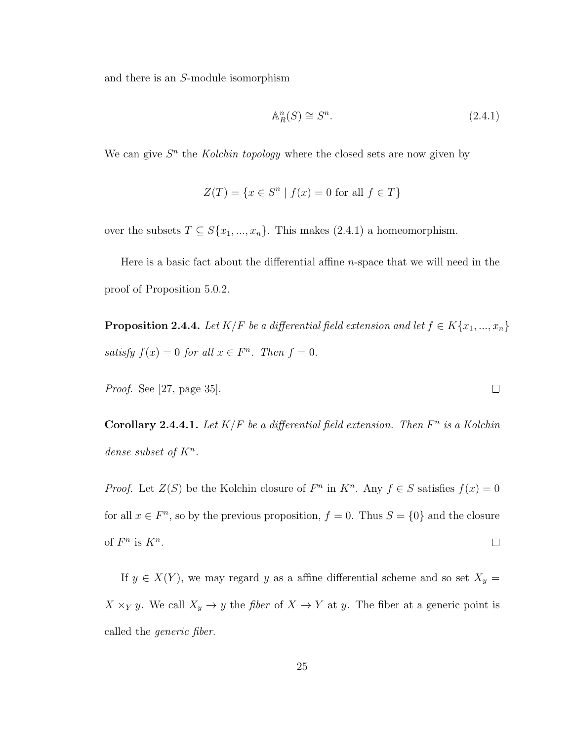and there is an S-module isomorphism

$$
\mathbb{A}_R^n(S) \cong S^n. \tag{2.4.1}
$$

We can give  $S<sup>n</sup>$  the Kolchin topology where the closed sets are now given by

$$
Z(T) = \{ x \in S^n \mid f(x) = 0 \text{ for all } f \in T \}
$$

over the subsets  $T \subseteq S\{x_1, ..., x_n\}$ . This makes (2.4.1) a homeomorphism.

Here is a basic fact about the differential affine n-space that we will need in the proof of Proposition 5.0.2.

**Proposition 2.4.4.** Let  $K/F$  be a differential field extension and let  $f \in K\{x_1, ..., x_n\}$ satisfy  $f(x) = 0$  for all  $x \in F<sup>n</sup>$ . Then  $f = 0$ .

Proof. See [27, page 35].

Corollary 2.4.4.1. Let  $K/F$  be a differential field extension. Then  $F^n$  is a Kolchin dense subset of  $K^n$ .

*Proof.* Let  $Z(S)$  be the Kolchin closure of  $F<sup>n</sup>$  in  $K<sup>n</sup>$ . Any  $f \in S$  satisfies  $f(x) = 0$ for all  $x \in F<sup>n</sup>$ , so by the previous proposition,  $f = 0$ . Thus  $S = \{0\}$  and the closure of  $F^n$  is  $K^n$ .  $\Box$ 

If  $y \in X(Y)$ , we may regard y as a affine differential scheme and so set  $X_y =$  $X \times_Y y$ . We call  $X_y \to y$  the *fiber* of  $X \to Y$  at y. The fiber at a generic point is called the generic fiber.

 $\Box$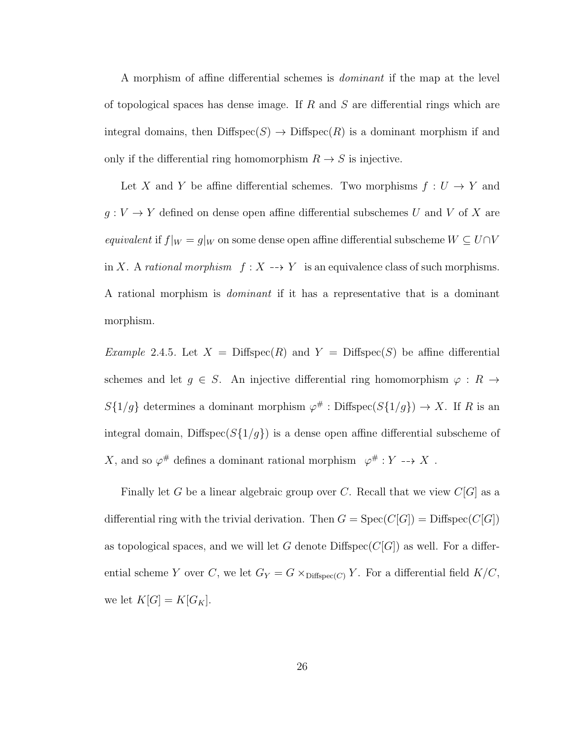A morphism of affine differential schemes is dominant if the map at the level of topological spaces has dense image. If  $R$  and  $S$  are differential rings which are integral domains, then  $\text{Diffspec}(S) \to \text{Diffspec}(R)$  is a dominant morphism if and only if the differential ring homomorphism  $R \to S$  is injective.

Let X and Y be affine differential schemes. Two morphisms  $f: U \to Y$  and  $g:V\rightarrow Y$  defined on dense open affine differential subschemes  $U$  and  $V$  of  $X$  are equivalent if  $f|_W = g|_W$  on some dense open affine differential subscheme  $W \subseteq U \cap V$ in X. A rational morphism  $f : X \dashrightarrow Y$  is an equivalence class of such morphisms. A rational morphism is dominant if it has a representative that is a dominant morphism.

*Example* 2.4.5. Let  $X = \text{Diffspec}(R)$  and  $Y = \text{Diffspec}(S)$  be affine differential schemes and let  $g \in S$ . An injective differential ring homomorphism  $\varphi : R \to$  $S{1/g}$  determines a dominant morphism  $\varphi^{\#}$ : Diffspec $(S{1/g}) \to X$ . If R is an integral domain, Diffspec $(S{1/g})$  is a dense open affine differential subscheme of X, and so  $\varphi^{\#}$  defines a dominant rational morphism  $\varphi^{\#}: Y \dashrightarrow X$ .

Finally let G be a linear algebraic group over C. Recall that we view  $C[G]$  as a differential ring with the trivial derivation. Then  $G = \text{Spec}(C[G]) = \text{Diffspec}(C[G])$ as topological spaces, and we will let G denote  $\text{Diffspec}(C[G])$  as well. For a differential scheme Y over C, we let  $G_Y = G \times_{\text{Diffspec}(C)} Y$ . For a differential field  $K/C$ , we let  $K[G] = K[G_K]$ .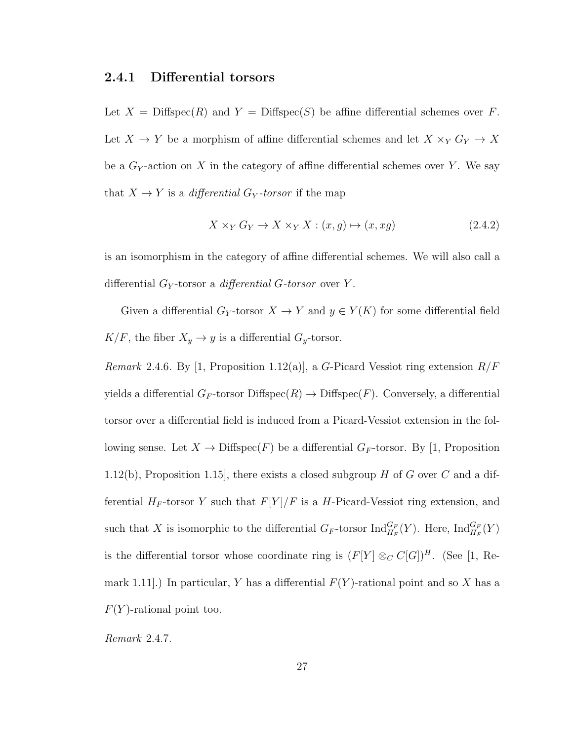### 2.4.1 Differential torsors

Let  $X = \text{Diffspec}(R)$  and  $Y = \text{Diffspec}(S)$  be affine differential schemes over F. Let  $X$   $\rightarrow$   $Y$  be a morphism of affine differential schemes and let  $X\times_Y G_Y\rightarrow X$ be a  $G_Y$ -action on X in the category of affine differential schemes over Y. We say that  $X \to Y$  is a *differential*  $G_Y$ -torsor if the map

$$
X \times_Y G_Y \to X \times_Y X : (x, g) \mapsto (x, xg) \tag{2.4.2}
$$

is an isomorphism in the category of affine differential schemes. We will also call a differential  $G_Y$ -torsor a *differential G-torsor* over Y.

Given a differential  $G_Y$ -torsor  $X \to Y$  and  $y \in Y(K)$  for some differential field  $K/F$ , the fiber  $X_y \to y$  is a differential  $G_y$ -torsor.

Remark 2.4.6. By [1, Proposition 1.12(a)], a G-Picard Vessiot ring extension  $R/F$ yields a differential  $G_F$ -torsor Diffspec $(R) \to \text{Diffspec}(F)$ . Conversely, a differential torsor over a differential field is induced from a Picard-Vessiot extension in the following sense. Let  $X \to \text{Diffspec}(F)$  be a differential  $G_F$ -torsor. By [1, Proposition 1.12(b), Proposition 1.15, there exists a closed subgroup H of G over C and a differential  $H_F$ -torsor Y such that  $F[Y]/F$  is a H-Picard-Vessiot ring extension, and such that X is isomorphic to the differential  $G_F$ -torsor  $\text{Ind}_{H_F}^{G_F}(Y)$ . Here,  $\text{Ind}_{H_F}^{G_F}(Y)$ is the differential torsor whose coordinate ring is  $(F[Y] \otimes_C C[G])^H$ . (See [1, Remark 1.11.) In particular, Y has a differential  $F(Y)$ -rational point and so X has a  $F(Y)$ -rational point too.

Remark 2.4.7.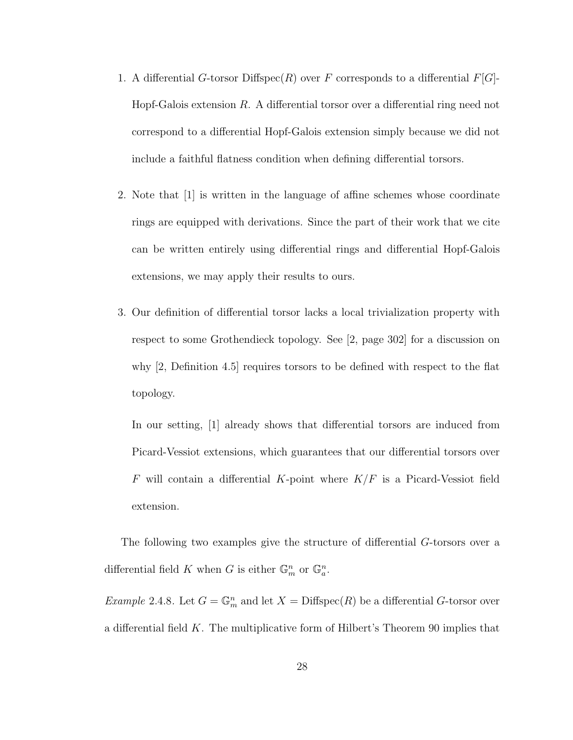- 1. A differential G-torsor Diffspec $(R)$  over F corresponds to a differential  $F[G]$ -Hopf-Galois extension  $R$ . A differential torsor over a differential ring need not correspond to a differential Hopf-Galois extension simply because we did not include a faithful flatness condition when defining differential torsors.
- 2. Note that [1] is written in the language of affine schemes whose coordinate rings are equipped with derivations. Since the part of their work that we cite can be written entirely using differential rings and differential Hopf-Galois extensions, we may apply their results to ours.
- 3. Our definition of differential torsor lacks a local trivialization property with respect to some Grothendieck topology. See [2, page 302] for a discussion on why [2, Definition 4.5] requires torsors to be defined with respect to the flat topology.

In our setting, [1] already shows that differential torsors are induced from Picard-Vessiot extensions, which guarantees that our differential torsors over  $F$  will contain a differential K-point where  $K/F$  is a Picard-Vessiot field extension.

The following two examples give the structure of differential G-torsors over a differential field K when G is either  $\mathbb{G}_m^n$  or  $\mathbb{G}_a^n$ .

Example 2.4.8. Let  $G = \mathbb{G}_m^n$  and let  $X = \text{Diffspec}(R)$  be a differential G-torsor over a differential field  $K$ . The multiplicative form of Hilbert's Theorem 90 implies that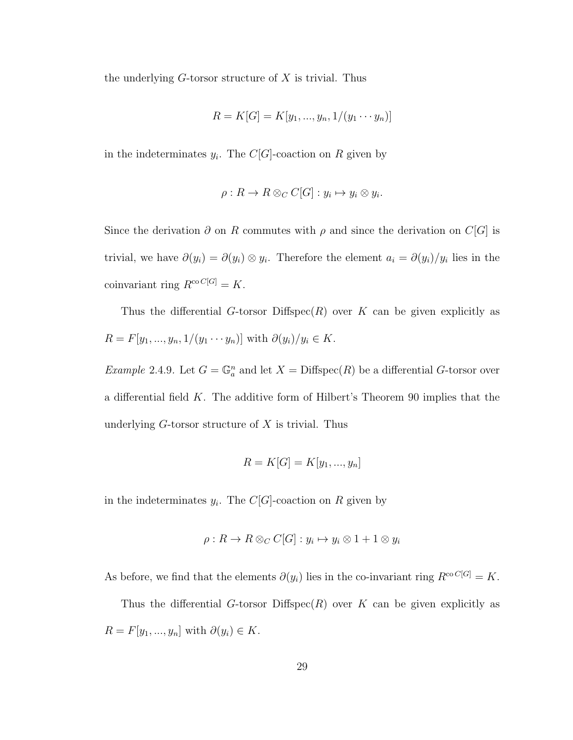the underlying  $G$ -torsor structure of  $X$  is trivial. Thus

$$
R = K[G] = K[y_1, ..., y_n, 1/(y_1 \cdots y_n)]
$$

in the indeterminates  $y_i$ . The  $C[G]$ -coaction on R given by

$$
\rho: R \to R \otimes_C C[G] : y_i \mapsto y_i \otimes y_i.
$$

Since the derivation  $\partial$  on R commutes with  $\rho$  and since the derivation on  $C[G]$  is trivial, we have  $\partial(y_i) = \partial(y_i) \otimes y_i$ . Therefore the element  $a_i = \partial(y_i)/y_i$  lies in the coinvariant ring  $R^{co\,Cl[G]} = K$ .

Thus the differential G-torsor Diffspec $(R)$  over K can be given explicitly as  $R = F[y_1, ..., y_n, 1/(y_1 \cdots y_n)]$  with  $\partial(y_i)/y_i \in K$ .

Example 2.4.9. Let  $G = \mathbb{G}_a^n$  and let  $X = \text{Diffspec}(R)$  be a differential G-torsor over a differential field  $K$ . The additive form of Hilbert's Theorem 90 implies that the underlying  $G$ -torsor structure of  $X$  is trivial. Thus

$$
R = K[G] = K[y_1, \ldots, y_n]
$$

in the indeterminates  $y_i$ . The  $C[G]$ -coaction on R given by

$$
\rho: R \to R \otimes_C C[G] : y_i \mapsto y_i \otimes 1 + 1 \otimes y_i
$$

As before, we find that the elements  $\partial(y_i)$  lies in the co-invariant ring  $R^{co\,Cl[G]} = K$ .

Thus the differential G-torsor Diffspec $(R)$  over K can be given explicitly as  $R = F[y_1, ..., y_n]$  with  $\partial(y_i) \in K$ .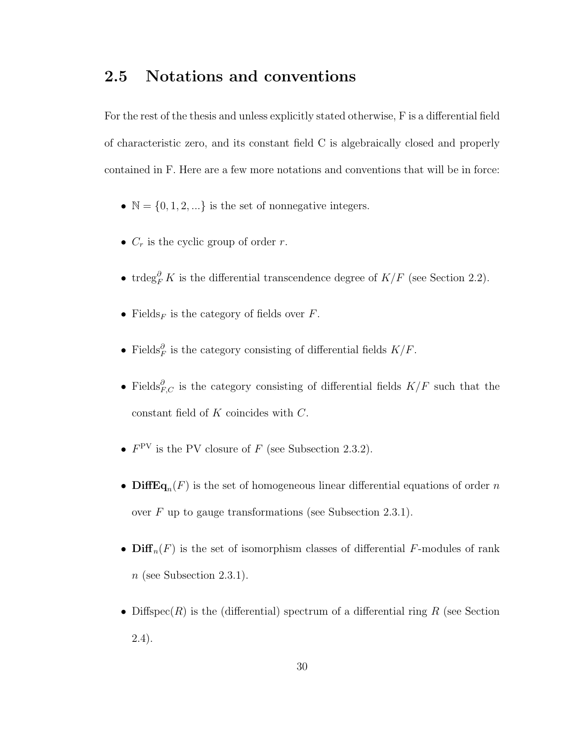### 2.5 Notations and conventions

For the rest of the thesis and unless explicitly stated otherwise, F is a differential field of characteristic zero, and its constant field C is algebraically closed and properly contained in F. Here are a few more notations and conventions that will be in force:

- $\mathbb{N} = \{0, 1, 2, \ldots\}$  is the set of nonnegative integers.
- $C_r$  is the cyclic group of order r.
- trdeg ${}^{\partial}_{F}K$  is the differential transcendence degree of  $K/F$  (see Section 2.2).
- Fields<sub>F</sub> is the category of fields over  $F$ .
- Fields $^{\partial}_{F}$  is the category consisting of differential fields  $K/F$ .
- Fields $^{\partial}_{F,C}$  is the category consisting of differential fields  $K/F$  such that the constant field of  $K$  coincides with  $C$ .
- $F<sup>PV</sup>$  is the PV closure of F (see Subsection 2.3.2).
- **DiffEq**<sub>n</sub> $(F)$  is the set of homogeneous linear differential equations of order n over F up to gauge transformations (see Subsection 2.3.1).
- $\text{Diff}_n(F)$  is the set of isomorphism classes of differential F-modules of rank  $n$  (see Subsection 2.3.1).
- Diffspec $(R)$  is the (differential) spectrum of a differential ring R (see Section 2.4).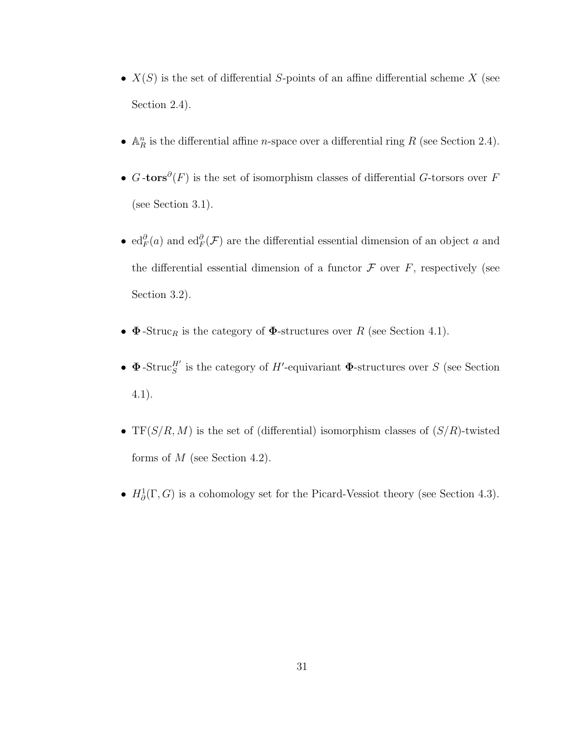- $X(S)$  is the set of differential S-points of an affine differential scheme X (see Section 2.4).
- $\mathbb{A}^n_R$  is the differential affine *n*-space over a differential ring R (see Section 2.4).
- $G$ -tors $\partial(F)$  is the set of isomorphism classes of differential G-torsors over F (see Section 3.1).
- $ed_F^{\partial}(a)$  and  $ed_F^{\partial}(\mathcal{F})$  are the differential essential dimension of an object a and the differential essential dimension of a functor  $\mathcal F$  over  $F$ , respectively (see Section 3.2).
- $\Phi$ -Struc<sub>R</sub> is the category of  $\Phi$ -structures over R (see Section 4.1).
- $\Phi$ -Struc<sup>H'</sup> is the category of H'-equivariant  $\Phi$ -structures over S (see Section 4.1).
- TF( $S/R$ , M) is the set of (differential) isomorphism classes of  $(S/R)$ -twisted forms of  $M$  (see Section 4.2).
- $H^1_\partial(\Gamma, G)$  is a cohomology set for the Picard-Vessiot theory (see Section 4.3).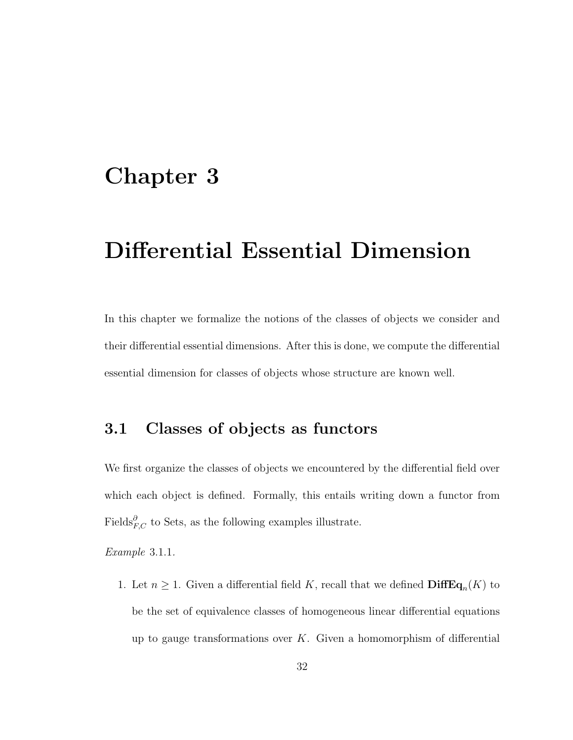# Chapter 3

# Differential Essential Dimension

In this chapter we formalize the notions of the classes of objects we consider and their differential essential dimensions. After this is done, we compute the differential essential dimension for classes of objects whose structure are known well.

### 3.1 Classes of objects as functors

We first organize the classes of objects we encountered by the differential field over which each object is defined. Formally, this entails writing down a functor from Fields ${}^{\partial}_{F,C}$  to Sets, as the following examples illustrate.

Example 3.1.1.

1. Let  $n \geq 1$ . Given a differential field K, recall that we defined  $\text{DiffEq}_n(K)$  to be the set of equivalence classes of homogeneous linear differential equations up to gauge transformations over  $K$ . Given a homomorphism of differential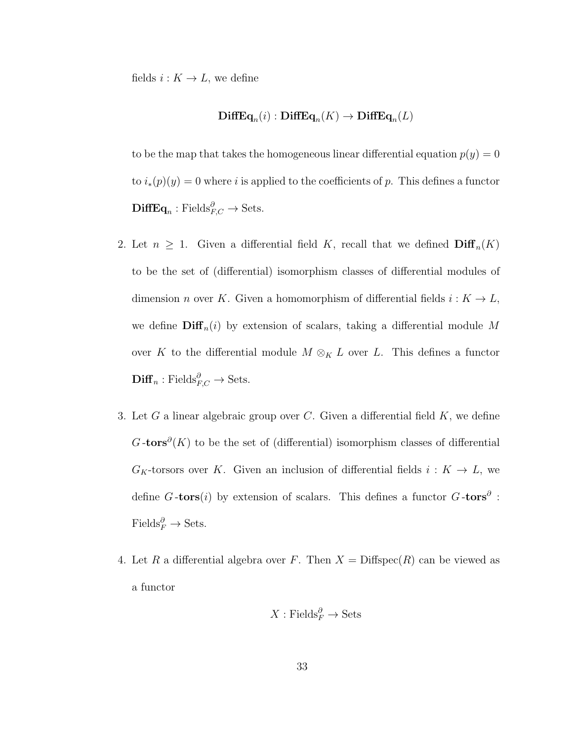fields  $i : K \to L$ , we define

#### $\mathbf{DiffEq}_n(i) : \mathbf{DiffEq}_n(K) \to \mathbf{DiffEq}_n(L)$

to be the map that takes the homogeneous linear differential equation  $p(y) = 0$ to  $i_*(p)(y) = 0$  where i is applied to the coefficients of p. This defines a functor  $\mathbf{DiffEq}_{n} : \text{Fields}_{F,C}^{\partial} \to \text{Sets}.$ 

- 2. Let  $n \geq 1$ . Given a differential field K, recall that we defined  $\text{Diff}_n(K)$ to be the set of (differential) isomorphism classes of differential modules of dimension *n* over K. Given a homomorphism of differential fields  $i : K \to L$ , we define  $\text{Diff}_n(i)$  by extension of scalars, taking a differential module M over K to the differential module  $M \otimes_K L$  over L. This defines a functor  $\mathbf{Diff}_n : \text{Fields}_{F,C}^{\partial} \to \text{Sets}.$
- 3. Let  $G$  a linear algebraic group over  $C$ . Given a differential field  $K$ , we define  $G$ -tors<sup>∂</sup>(K) to be the set of (differential) isomorphism classes of differential  $G_K$ -torsors over K. Given an inclusion of differential fields  $i: K \to L$ , we define G-tors $(i)$  by extension of scalars. This defines a functor G-tors<sup> $\partial$ </sup>:  $\text{Fields}_{F}^{\partial} \to \text{Sets}.$
- 4. Let R a differential algebra over F. Then  $X = \text{Diffspec}(R)$  can be viewed as a functor

$$
X: \mathrm{Fields}_F^{\partial} \to \mathrm{Sets}
$$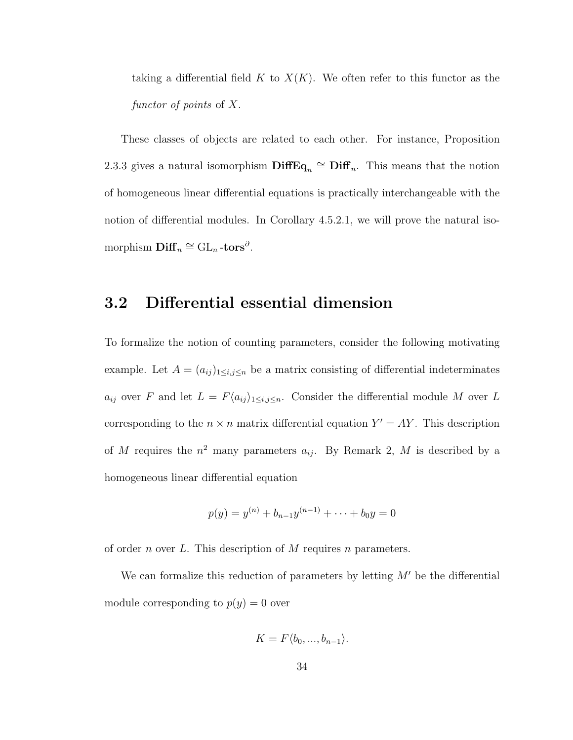taking a differential field K to  $X(K)$ . We often refer to this functor as the functor of points of X.

These classes of objects are related to each other. For instance, Proposition 2.3.3 gives a natural isomorphism  $\text{DiffEq}_n \cong \text{Diff}_n$ . This means that the notion of homogeneous linear differential equations is practically interchangeable with the notion of differential modules. In Corollary 4.5.2.1, we will prove the natural isomorphism  $\mathbf{Diff}_n \cong \mathrm{GL}_n\text{-tors}^\partial.$ 

### 3.2 Differential essential dimension

To formalize the notion of counting parameters, consider the following motivating example. Let  $A = (a_{ij})_{1 \le i,j \le n}$  be a matrix consisting of differential indeterminates  $a_{ij}$  over F and let  $L = F\langle a_{ij} \rangle_{1 \leq i,j \leq n}$ . Consider the differential module M over L corresponding to the  $n \times n$  matrix differential equation  $Y' = AY$ . This description of M requires the  $n^2$  many parameters  $a_{ij}$ . By Remark 2, M is described by a homogeneous linear differential equation

$$
p(y) = y^{(n)} + b_{n-1}y^{(n-1)} + \cdots + b_0y = 0
$$

of order n over L. This description of M requires n parameters.

We can formalize this reduction of parameters by letting  $M'$  be the differential module corresponding to  $p(y) = 0$  over

$$
K = F\langle b_0, ..., b_{n-1} \rangle.
$$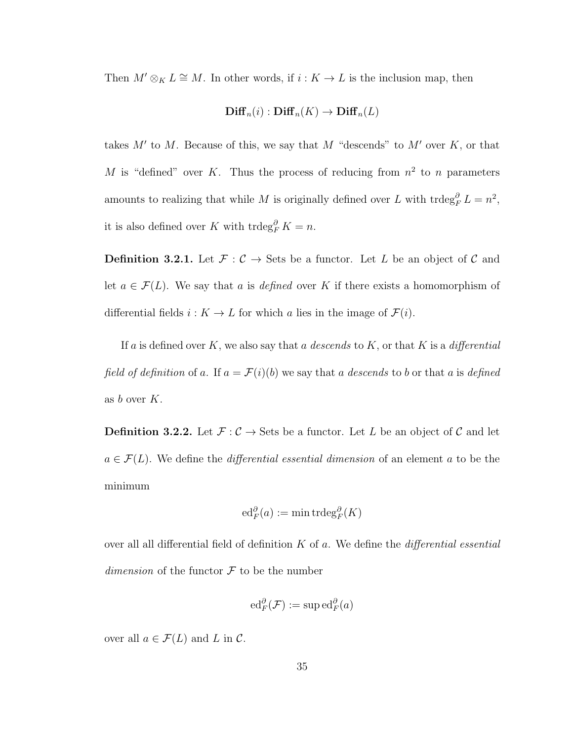Then  $M' \otimes_K L \cong M$ . In other words, if  $i : K \to L$  is the inclusion map, then

### $\text{Diff}_n(i) : \text{Diff}_n(K) \to \text{Diff}_n(L)$

takes  $M'$  to M. Because of this, we say that M "descends" to  $M'$  over  $K$ , or that M is "defined" over K. Thus the process of reducing from  $n^2$  to n parameters amounts to realizing that while M is originally defined over L with  $\text{trdeg}_F^{\partial} L = n^2$ , it is also defined over K with  $\operatorname{trdeg}_F^{\partial} K = n$ .

**Definition 3.2.1.** Let  $\mathcal{F} : \mathcal{C} \to \mathcal{S}$ ets be a functor. Let L be an object of  $\mathcal{C}$  and let  $a \in \mathcal{F}(L)$ . We say that a is defined over K if there exists a homomorphism of differential fields  $i : K \to L$  for which a lies in the image of  $\mathcal{F}(i)$ .

If a is defined over K, we also say that a descends to K, or that K is a differential field of definition of a. If  $a = \mathcal{F}(i)(b)$  we say that a descends to b or that a is defined as  $b$  over  $K$ .

**Definition 3.2.2.** Let  $\mathcal{F} : \mathcal{C} \to \mathbf{Sets}$  be a functor. Let L be an object of  $\mathcal{C}$  and let  $a \in \mathcal{F}(L)$ . We define the *differential essential dimension* of an element a to be the minimum

$$
\mathrm{ed}_F^{\partial}(a) := \min \mathrm{trdeg}_F^{\partial}(K)
$$

over all all differential field of definition  $K$  of  $a$ . We define the *differential essential* dimension of the functor  $\mathcal F$  to be the number

$$
\mathrm{ed}_F^{\partial}(\mathcal{F}) := \mathrm{sup}\,\mathrm{ed}_F^{\partial}(a)
$$

over all  $a \in \mathcal{F}(L)$  and L in C.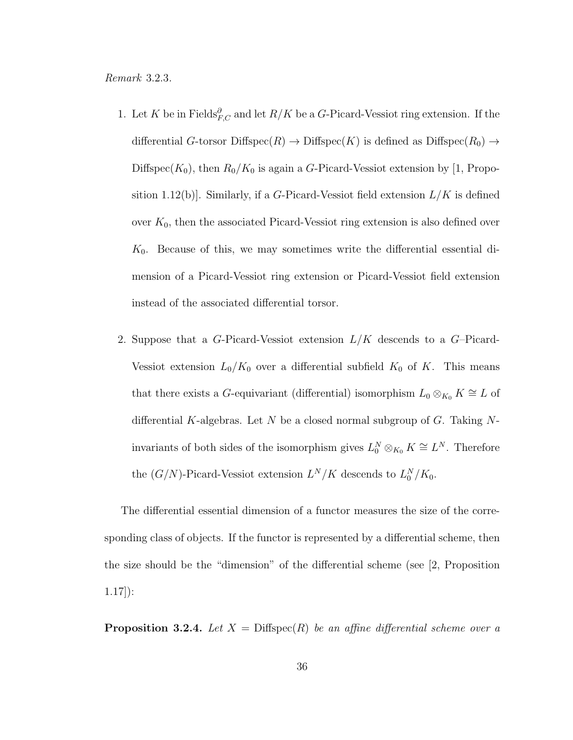Remark 3.2.3.

- 1. Let K be in Fields $^{\partial}_{F,C}$  and let  $R/K$  be a G-Picard-Vessiot ring extension. If the differential G-torsor Diffspec $(R) \to \text{Diffspec}(K)$  is defined as Diffspec $(R_0) \to$ Diffspec( $K_0$ ), then  $R_0/K_0$  is again a G-Picard-Vessiot extension by [1, Proposition 1.12(b). Similarly, if a G-Picard-Vessiot field extension  $L/K$  is defined over  $K_0$ , then the associated Picard-Vessiot ring extension is also defined over  $K_0$ . Because of this, we may sometimes write the differential essential dimension of a Picard-Vessiot ring extension or Picard-Vessiot field extension instead of the associated differential torsor.
- 2. Suppose that a G-Picard-Vessiot extension  $L/K$  descends to a G-Picard-Vessiot extension  $L_0/K_0$  over a differential subfield  $K_0$  of K. This means that there exists a G-equivariant (differential) isomorphism  $L_0 \otimes_{K_0} K \cong L$  of differential K-algebras. Let N be a closed normal subgroup of  $G$ . Taking Ninvariants of both sides of the isomorphism gives  $L_0^N \otimes_{K_0} K \cong L^N$ . Therefore the  $(G/N)$ -Picard-Vessiot extension  $L^N/K$  descends to  $L_0^N/K_0$ .

The differential essential dimension of a functor measures the size of the corresponding class of objects. If the functor is represented by a differential scheme, then the size should be the "dimension" of the differential scheme (see [2, Proposition 1.17]):

**Proposition 3.2.4.** Let  $X = \text{Diffspec}(R)$  be an affine differential scheme over a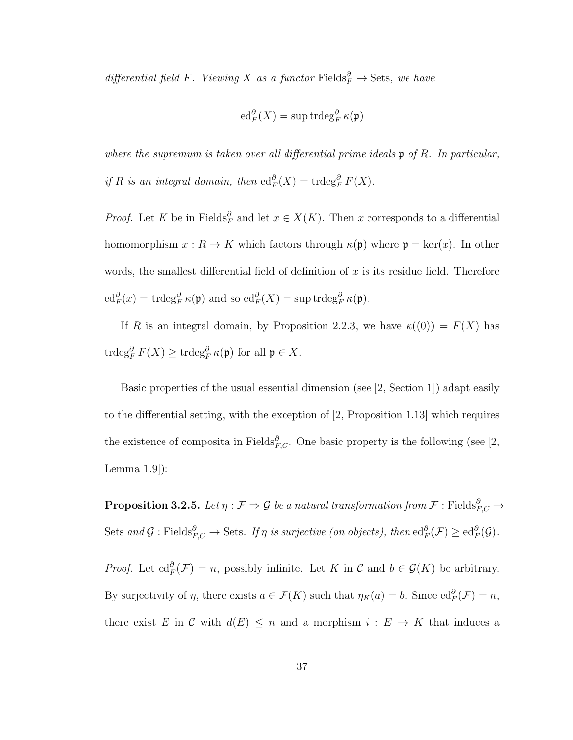differential field F. Viewing X as a functor Fields $^{\partial}_{F} \rightarrow$  Sets, we have

$$
\operatorname{ed}_F^{\partial}(X)=\sup\operatorname{trdeg}_F^{\partial}\kappa(\mathfrak{p})
$$

where the supremum is taken over all differential prime ideals  $\mathfrak{p}$  of R. In particular, if R is an integral domain, then  $\mathrm{ed}_F^{\partial}(X) = \mathrm{trdeg}_F^{\partial} F(X)$ .

*Proof.* Let K be in Fields<sup> $\partial$ </sup> and let  $x \in X(K)$ . Then x corresponds to a differential homomorphism  $x : R \to K$  which factors through  $\kappa(\mathfrak{p})$  where  $\mathfrak{p} = \text{ker}(x)$ . In other words, the smallest differential field of definition of  $x$  is its residue field. Therefore  $\operatorname{ed}_F^{\partial}(x) = \operatorname{trdeg}_F^{\partial} \kappa(\mathfrak{p})$  and so  $\operatorname{ed}_F^{\partial}(X) = \sup \operatorname{trdeg}_F^{\partial} \kappa(\mathfrak{p}).$ 

If R is an integral domain, by Proposition 2.2.3, we have  $\kappa((0)) = F(X)$  has  $\operatorname{trdeg}_F^{\partial} F(X) \geq \operatorname{trdeg}_F^{\partial} \kappa(\mathfrak{p})$  for all  $\mathfrak{p} \in X$ .  $\Box$ 

Basic properties of the usual essential dimension (see [2, Section 1]) adapt easily to the differential setting, with the exception of [2, Proposition 1.13] which requires the existence of composita in Fields $^{\partial}_{F,C}$ . One basic property is the following (see [2, Lemma 1.9]):

 $\bf{Proposition 3.2.5.}$  Let  $\eta: \mathcal{F} \Rightarrow \mathcal{G}$  be a natural transformation from  $\mathcal{F}: \text{Fields}_{F,C}^{\partial} \rightarrow$ Sets and  $\mathcal G$  : Fields $_{F,C}^{\partial} \to$  Sets. If  $\eta$  is surjective (on objects), then  $\mathrm{ed}_F^{\partial}(\mathcal F) \geq \mathrm{ed}_F^{\partial}(\mathcal G)$ .

*Proof.* Let  $ed_F^{\partial}(\mathcal{F}) = n$ , possibly infinite. Let K in C and  $b \in \mathcal{G}(K)$  be arbitrary. By surjectivity of  $\eta$ , there exists  $a \in \mathcal{F}(K)$  such that  $\eta_K(a) = b$ . Since  $\mathrm{ed}_F^{\partial}(\mathcal{F}) = n$ , there exist E in C with  $d(E) \leq n$  and a morphism  $i : E \to K$  that induces a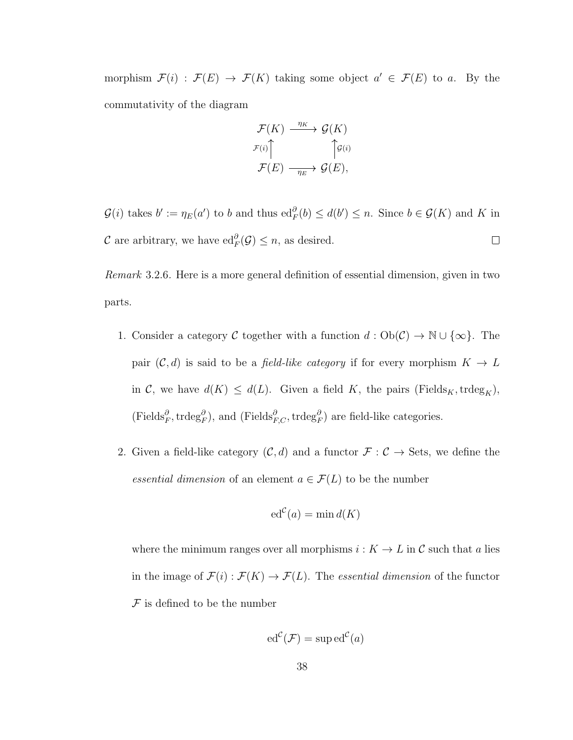morphism  $\mathcal{F}(i) : \mathcal{F}(E) \to \mathcal{F}(K)$  taking some object  $a' \in \mathcal{F}(E)$  to a. By the commutativity of the diagram

$$
\mathcal{F}(K) \xrightarrow{\eta_K} \mathcal{G}(K)
$$

$$
\mathcal{F}(i) \uparrow \qquad \qquad \uparrow \mathcal{G}(i)
$$

$$
\mathcal{F}(E) \xrightarrow{\eta_E} \mathcal{G}(E),
$$

 $\mathcal{G}(i)$  takes  $b' := \eta_E(a')$  to b and thus  $ed_F^{\partial}(b) \leq d(b') \leq n$ . Since  $b \in \mathcal{G}(K)$  and K in C are arbitrary, we have  $\mathrm{ed}_F^{\partial}(\mathcal{G}) \leq n$ , as desired.  $\Box$ 

Remark 3.2.6. Here is a more general definition of essential dimension, given in two parts.

- 1. Consider a category C together with a function  $d : Ob(\mathcal{C}) \to \mathbb{N} \cup \{\infty\}$ . The pair  $(C, d)$  is said to be a *field-like category* if for every morphism  $K \to L$ in C, we have  $d(K) \leq d(L)$ . Given a field K, the pairs (Fields<sub>K</sub>, trdeg<sub>K</sub>),  $(\text{Fields}_{F}^{\partial}, \text{trdeg}_{F}^{\partial}),$  and  $(\text{Fields}_{F,C}^{\partial}, \text{trdeg}_{F}^{\partial})$  are field-like categories.
- 2. Given a field-like category  $(C, d)$  and a functor  $\mathcal{F} : C \to \text{Sets}$ , we define the essential dimension of an element  $a \in \mathcal{F}(L)$  to be the number

$$
\mathrm{ed}^{\mathcal{C}}(a) = \min d(K)
$$

where the minimum ranges over all morphisms  $i : K \to L$  in  $\mathcal C$  such that a lies in the image of  $\mathcal{F}(i) : \mathcal{F}(K) \to \mathcal{F}(L)$ . The *essential dimension* of the functor  $\mathcal F$  is defined to be the number

$$
ed^{\mathcal{C}}(\mathcal{F}) = \sup ed^{\mathcal{C}}(a)
$$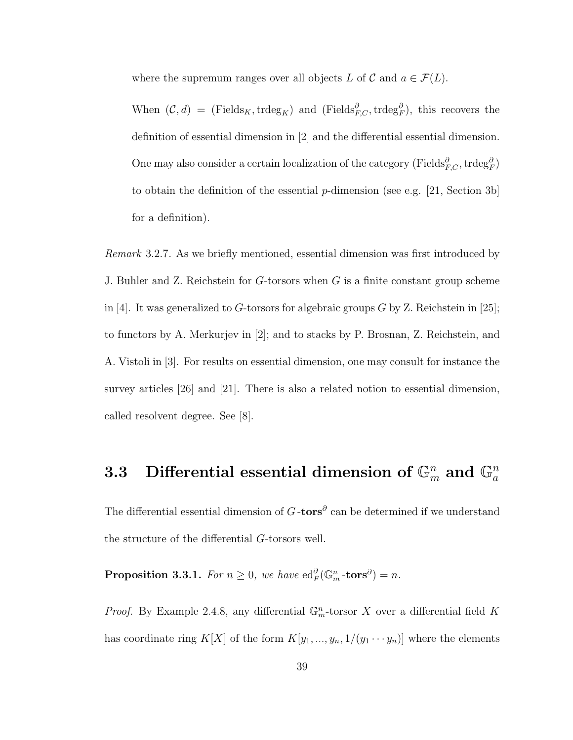where the supremum ranges over all objects L of C and  $a \in \mathcal{F}(L)$ .

When  $(C, d) = (\text{Fields}_K, \text{trdeg}_K)$  and  $(\text{Fields}_{F, C}^{\partial}, \text{trdeg}_F^{\partial})$ , this recovers the definition of essential dimension in [2] and the differential essential dimension. One may also consider a certain localization of the category (Fields $_{F,C}^{\partial}$ , trdeg $_{F}^{\partial}$ ) to obtain the definition of the essential p-dimension (see e.g. [21, Section 3b] for a definition).

Remark 3.2.7. As we briefly mentioned, essential dimension was first introduced by J. Buhler and Z. Reichstein for G-torsors when G is a finite constant group scheme in [4]. It was generalized to G-torsors for algebraic groups  $G$  by Z. Reichstein in [25]; to functors by A. Merkurjev in [2]; and to stacks by P. Brosnan, Z. Reichstein, and A. Vistoli in [3]. For results on essential dimension, one may consult for instance the survey articles [26] and [21]. There is also a related notion to essential dimension, called resolvent degree. See [8].

# 3.3 Differential essential dimension of  $\mathbb{G}_m^n$  and  $\mathbb{G}_a^n$

The differential essential dimension of  $G$ -tors<sup>∂</sup> can be determined if we understand the structure of the differential G-torsors well.

Proposition 3.3.1. For  $n \geq 0$ , we have  $\mathrm{ed}_F^{\partial}(\mathbb{G}_m^n\text{-tors}^{\partial}) = n$ .

*Proof.* By Example 2.4.8, any differential  $\mathbb{G}_m^n$ -torsor X over a differential field K has coordinate ring  $K[X]$  of the form  $K[y_1, ..., y_n, 1/(y_1 \cdots y_n)]$  where the elements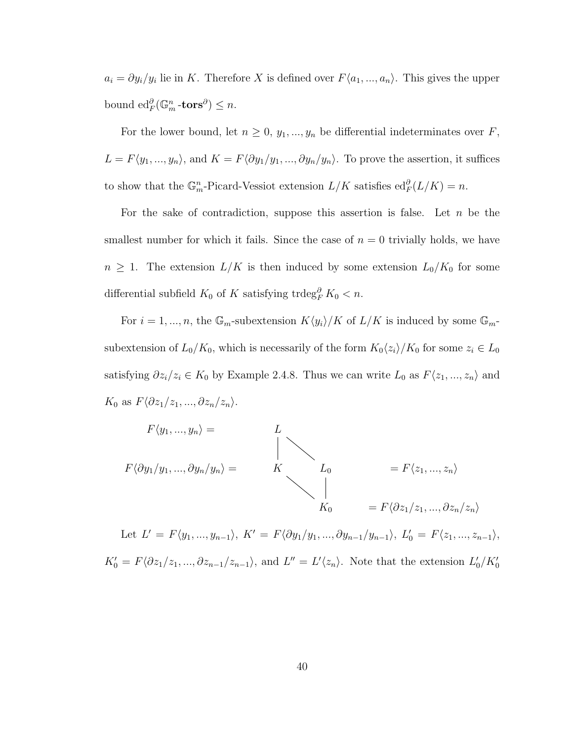$a_i = \partial y_i/y_i$  lie in K. Therefore X is defined over  $F\langle a_1, ..., a_n \rangle$ . This gives the upper bound  $\operatorname{ed}_F^{\partial}(\mathbb{G}_m^n \text{-tors}^{\partial}) \leq n$ .

For the lower bound, let  $n \geq 0$ ,  $y_1, ..., y_n$  be differential indeterminates over F,  $L = F\langle y_1, ..., y_n \rangle$ , and  $K = F\langle \partial y_1/y_1, ..., \partial y_n/y_n \rangle$ . To prove the assertion, it suffices to show that the  $\mathbb{G}_m^n$ -Picard-Vessiot extension  $L/K$  satisfies  $\mathrm{ed}_F^{\partial}(L/K) = n$ .

For the sake of contradiction, suppose this assertion is false. Let  $n$  be the smallest number for which it fails. Since the case of  $n = 0$  trivially holds, we have  $n \geq 1$ . The extension  $L/K$  is then induced by some extension  $L_0/K_0$  for some differential subfield  $K_0$  of K satisfying trdeg<sup>∂</sup><sub>F</sub>  $K_0 < n$ .

For  $i = 1, ..., n$ , the  $\mathbb{G}_m$ -subextension  $K\langle y_i \rangle/K$  of  $L/K$  is induced by some  $\mathbb{G}_m$ subextension of  $L_0/K_0$ , which is necessarily of the form  $K_0\langle z_i\rangle/K_0$  for some  $z_i \in L_0$ satisfying  $\partial z_i/z_i \in K_0$  by Example 2.4.8. Thus we can write  $L_0$  as  $F\langle z_1, ..., z_n \rangle$  and  $K_0$  as  $F\langle \partial z_1/z_1, ..., \partial z_n/z_n \rangle$ .



Let  $L' = F\langle y_1, ..., y_{n-1} \rangle$ ,  $K' = F\langle \partial y_1/y_1, ..., \partial y_{n-1}/y_{n-1} \rangle$ ,  $L'_0 = F\langle z_1, ..., z_{n-1} \rangle$ ,  $\prime$  $K'_0 = F \langle \partial z_1/z_1, ..., \partial z_{n-1}/z_{n-1} \rangle$ , and  $L'' = L'\langle z_n \rangle$ . Note that the extension  $L'_0/K'_0$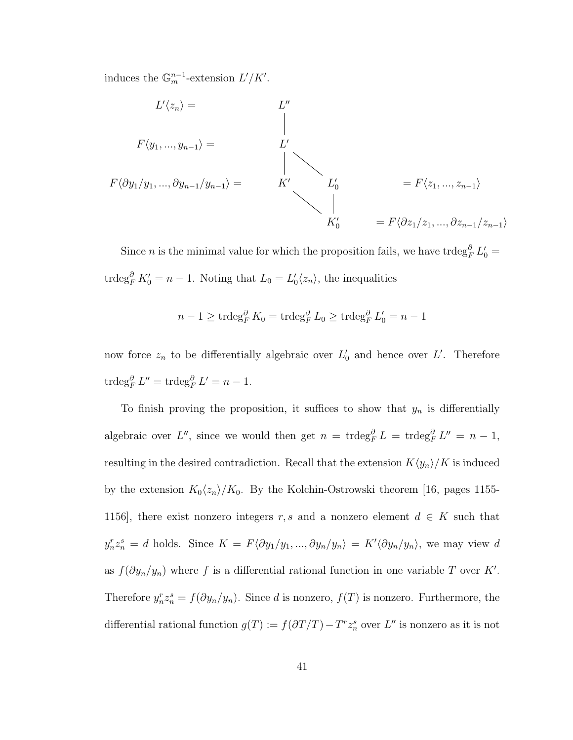induces the  $\mathbb{G}_m^{n-1}$ -extension  $L'/K'$ .

$$
L'\langle z_n \rangle = L''
$$
  
\n
$$
F\langle y_1, ..., y_{n-1} \rangle = L'
$$
  
\n
$$
F\langle \partial y_1/y_1, ..., \partial y_{n-1}/y_{n-1} \rangle = K'
$$
  
\n
$$
L'_0 = F\langle z_1, ..., z_{n-1} \rangle
$$
  
\n
$$
K'_0 = F\langle \partial z_1/z_1, ..., \partial z_{n-1}/z_{n-1} \rangle
$$

Since *n* is the minimal value for which the proposition fails, we have trdeg $_{F}^{\partial} L'_{0} =$ trdeg<sup> $\partial F K_0' = n - 1$ . Noting that  $L_0 = L_0' \langle z_n \rangle$ , the inequalities</sup>

$$
n - 1 \ge \operatorname{trdeg}_F^{\partial} K_0 = \operatorname{trdeg}_F^{\partial} L_0 \ge \operatorname{trdeg}_F^{\partial} L'_0 = n - 1
$$

now force  $z_n$  to be differentially algebraic over  $L'_0$  and hence over L'. Therefore  $\operatorname{trdeg}_F^{\partial} L'' = \operatorname{trdeg}_F^{\partial} L' = n - 1.$ 

To finish proving the proposition, it suffices to show that  $y_n$  is differentially algebraic over L'', since we would then get  $n = \text{trdeg}_F^{\partial} L = \text{trdeg}_F^{\partial} L'' = n - 1$ , resulting in the desired contradiction. Recall that the extension  $K\langle y_n \rangle/K$  is induced by the extension  $K_0\langle z_n\rangle/K_0$ . By the Kolchin-Ostrowski theorem [16, pages 1155-1156], there exist nonzero integers r, s and a nonzero element  $d \in K$  such that  $y_n^r z_n^s = d$  holds. Since  $K = F \langle \partial y_1/y_1, ..., \partial y_n/y_n \rangle = K' \langle \partial y_n/y_n \rangle$ , we may view d as  $f(\partial y_n/y_n)$  where f is a differential rational function in one variable T over K'. Therefore  $y_n^r z_n^s = f(\partial y_n/y_n)$ . Since d is nonzero,  $f(T)$  is nonzero. Furthermore, the differential rational function  $g(T) := f(\partial T/T) - T^r z_n^s$  over  $L''$  is nonzero as it is not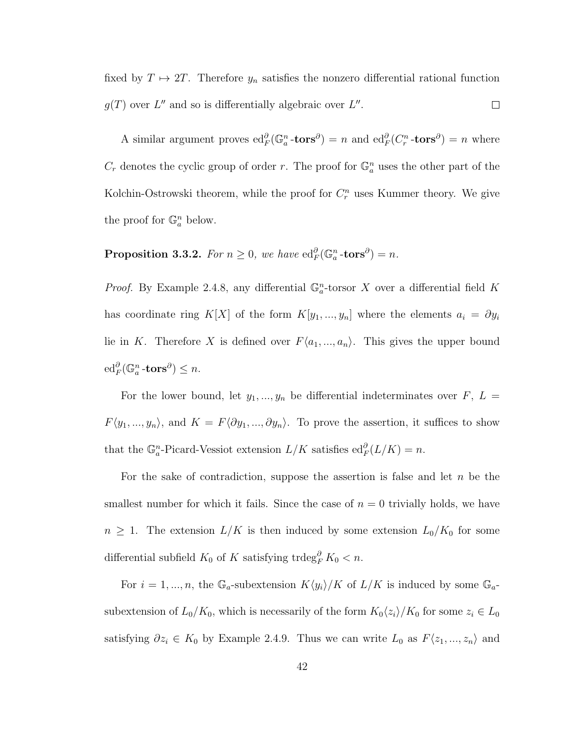fixed by  $T \mapsto 2T$ . Therefore  $y_n$  satisfies the nonzero differential rational function  $g(T)$  over L'' and so is differentially algebraic over L''.  $\Box$ 

A similar argument proves  $ed_F^{\partial}(\mathbb{G}_a^n \cdot \text{tors}^{\partial}) = n$  and  $ed_F^{\partial}(C_r^n \cdot \text{tors}^{\partial}) = n$  where  $C_r$  denotes the cyclic group of order r. The proof for  $\mathbb{G}_a^n$  uses the other part of the Kolchin-Ostrowski theorem, while the proof for  $C_r^n$  uses Kummer theory. We give the proof for  $\mathbb{G}_a^n$  below.

Proposition 3.3.2. For  $n \geq 0$ , we have  $ed_F^{\partial}(\mathbb{G}_a^n \text{-tors}^{\partial}) = n$ .

*Proof.* By Example 2.4.8, any differential  $\mathbb{G}_a^n$ -torsor X over a differential field K has coordinate ring K[X] of the form  $K[y_1, ..., y_n]$  where the elements  $a_i = \partial y_i$ lie in K. Therefore X is defined over  $F\langle a_1, ..., a_n \rangle$ . This gives the upper bound  $\operatorname{ed}_F^{\partial}(\mathbb{G}_a^n \text{-tors}^{\partial}) \leq n.$ 

For the lower bound, let  $y_1, ..., y_n$  be differential indeterminates over  $F, L =$  $F\langle y_1, ..., y_n \rangle$ , and  $K = F\langle \partial y_1, ..., \partial y_n \rangle$ . To prove the assertion, it suffices to show that the  $\mathbb{G}_a^n$ -Picard-Vessiot extension  $L/K$  satisfies  $\mathrm{ed}_F^{\partial}(L/K) = n$ .

For the sake of contradiction, suppose the assertion is false and let  $n$  be the smallest number for which it fails. Since the case of  $n = 0$  trivially holds, we have  $n \geq 1$ . The extension  $L/K$  is then induced by some extension  $L_0/K_0$  for some differential subfield  $K_0$  of K satisfying trdeg<sup>∂</sup><sub>R</sub> K<sub>0</sub> < n.

For  $i = 1, ..., n$ , the  $\mathbb{G}_a$ -subextension  $K\langle y_i \rangle/K$  of  $L/K$  is induced by some  $\mathbb{G}_a$ subextension of  $L_0/K_0$ , which is necessarily of the form  $K_0\langle z_i\rangle/K_0$  for some  $z_i \in L_0$ satisfying  $\partial z_i \in K_0$  by Example 2.4.9. Thus we can write  $L_0$  as  $F\langle z_1, ..., z_n \rangle$  and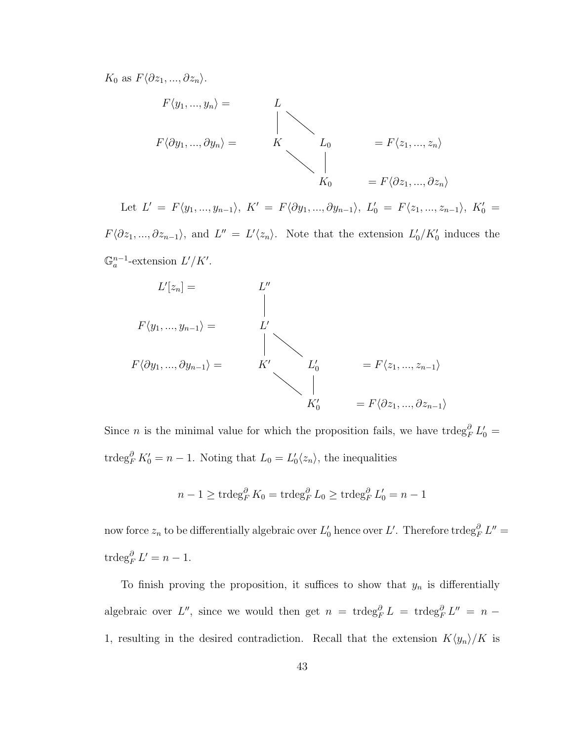$K_0$  as  $F\langle \partial z_1, ..., \partial z_n \rangle$ .



Let  $L' = F\langle y_1, ..., y_{n-1} \rangle$ ,  $K' = F\langle \partial y_1, ..., \partial y_{n-1} \rangle$ ,  $L'_0 = F\langle z_1, ..., z_{n-1} \rangle$ ,  $K'_0 =$  $F\langle \partial z_1, ..., \partial z_{n-1} \rangle$ , and  $L'' = L'\langle z_n \rangle$ . Note that the extension  $L'_0/K'_0$  induces the  $\mathbb{G}_a^{n-1}$ -extension  $L'/K'$ .



Since *n* is the minimal value for which the proposition fails, we have trdeg<sup> $\partial$ </sup><sub>*F*</sub>  $L'_0$  = trdeg<sup> $\partial F K_0' = n - 1$ . Noting that  $L_0 = L_0' \langle z_n \rangle$ , the inequalities</sup>

$$
n - 1 \geq \operatorname{trdeg}_F^{\partial} K_0 = \operatorname{trdeg}_F^{\partial} L_0 \geq \operatorname{trdeg}_F^{\partial} L'_0 = n - 1
$$

now force  $z_n$  to be differentially algebraic over  $L'_0$  hence over  $L'$ . Therefore  $\operatorname{trdeg}^{\partial}_F L'' =$  $\operatorname{trdeg}_F^{\partial} L' = n - 1.$ 

To finish proving the proposition, it suffices to show that  $y_n$  is differentially algebraic over L'', since we would then get  $n = \text{trdeg}_F^{\partial} L = \text{trdeg}_F^{\partial} L'' = n -$ 1, resulting in the desired contradiction. Recall that the extension  $K\langle y_n \rangle/K$  is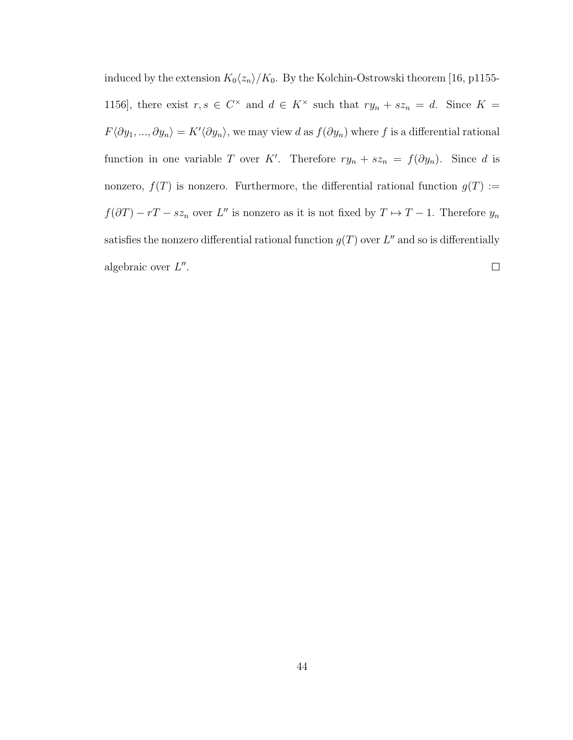induced by the extension  $K_0\langle z_n\rangle/K_0$ . By the Kolchin-Ostrowski theorem [16, p1155-1156, there exist  $r, s \in C^{\times}$  and  $d \in K^{\times}$  such that  $ry_n + sz_n = d$ . Since  $K =$  $F\langle \partial y_1,..., \partial y_n\rangle = K'\langle \partial y_n\rangle$ , we may view d as  $f(\partial y_n)$  where f is a differential rational function in one variable T over K'. Therefore  $ry_n + sz_n = f(\partial y_n)$ . Since d is nonzero,  $f(T)$  is nonzero. Furthermore, the differential rational function  $g(T) :=$  $f(\partial T) - rT - sz_n$  over L'' is nonzero as it is not fixed by  $T \mapsto T - 1$ . Therefore  $y_n$ satisfies the nonzero differential rational function  $g(T)$  over  $L''$  and so is differentially algebraic over  $L''$ .  $\Box$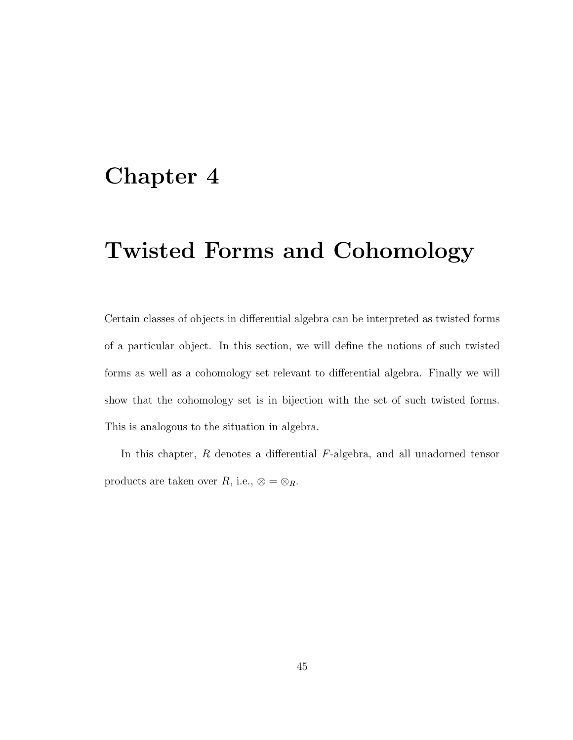### Chapter 4

# Twisted Forms and Cohomology

Certain classes of objects in differential algebra can be interpreted as twisted forms of a particular object. In this section, we will define the notions of such twisted forms as well as a cohomology set relevant to differential algebra. Finally we will show that the cohomology set is in bijection with the set of such twisted forms. This is analogous to the situation in algebra.

In this chapter, R denotes a differential F-algebra, and all unadorned tensor products are taken over  $R$ , i.e.,  $\otimes = \otimes_R$ .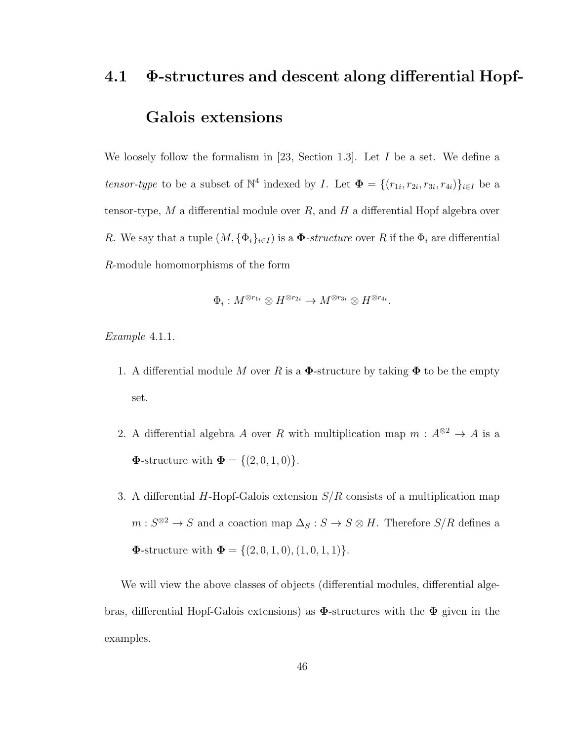# 4.1 Φ-structures and descent along differential Hopf-Galois extensions

We loosely follow the formalism in [23, Section 1.3]. Let  $I$  be a set. We define a tensor-type to be a subset of  $\mathbb{N}^4$  indexed by *I*. Let  $\mathbf{\Phi} = \{(r_{1i}, r_{2i}, r_{3i}, r_{4i})\}_{i \in I}$  be a tensor-type,  $M$  a differential module over  $R$ , and  $H$  a differential Hopf algebra over R. We say that a tuple  $(M, {\{\Phi_i\}}_{i\in I})$  is a  $\Phi$ -structure over R if the  $\Phi_i$  are differential R-module homomorphisms of the form

$$
\Phi_i: M^{\otimes r_{1i}} \otimes H^{\otimes r_{2i}} \to M^{\otimes r_{3i}} \otimes H^{\otimes r_{4i}}.
$$

Example 4.1.1.

- 1. A differential module M over R is a  $\Phi$ -structure by taking  $\Phi$  to be the empty set.
- 2. A differential algebra A over R with multiplication map  $m : A^{\otimes 2} \to A$  is a **Φ**-structure with  $\mathbf{\Phi} = \{ (2, 0, 1, 0) \}.$
- 3. A differential H-Hopf-Galois extension  $S/R$  consists of a multiplication map  $m: S^{\otimes 2} \to S$  and a coaction map  $\Delta_S : S \to S \otimes H$ . Therefore  $S/R$  defines a **Φ**-structure with  $\mathbf{\Phi} = \{(2, 0, 1, 0), (1, 0, 1, 1)\}.$

We will view the above classes of objects (differential modules, differential algebras, differential Hopf-Galois extensions) as  $\Phi$ -structures with the  $\Phi$  given in the examples.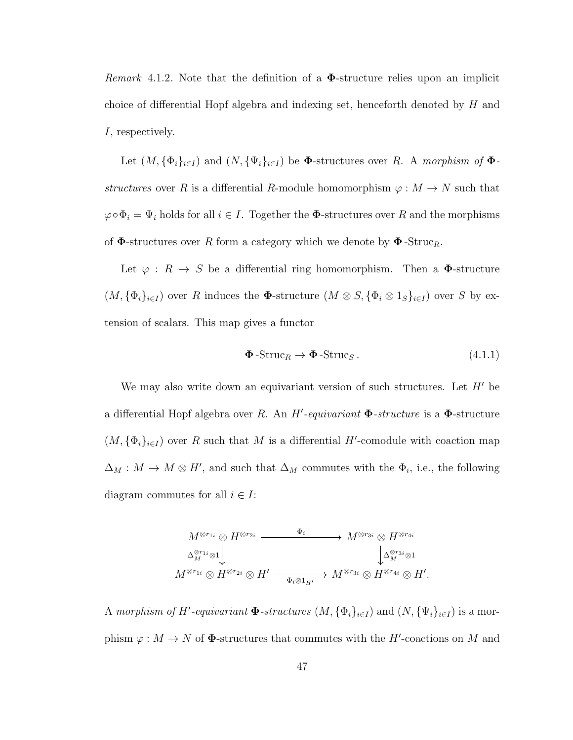*Remark* 4.1.2. Note that the definition of a  $\Phi$ -structure relies upon an implicit choice of differential Hopf algebra and indexing set, henceforth denoted by  $H$  and I, respectively.

Let  $(M, {\{\Phi_i\}}_{i\in I})$  and  $(N, {\{\Psi_i\}}_{i\in I})$  be  $\Phi$ -structures over R. A morphism of  $\Phi$ structures over R is a differential R-module homomorphism  $\varphi : M \to N$  such that  $\varphi \circ \Phi_i = \Psi_i$  holds for all  $i \in I$ . Together the  $\Phi$ -structures over R and the morphisms of  $\Phi$ -structures over R form a category which we denote by  $\Phi$ -Struc<sub>R</sub>.

Let  $\varphi: R \to S$  be a differential ring homomorphism. Then a  $\Phi$ -structure  $(M, {\{\Phi_i\}_{i\in I}})$  over R induces the  $\Phi$ -structure  $(M \otimes S, {\{\Phi_i \otimes 1_S\}_{i\in I}})$  over S by extension of scalars. This map gives a functor

$$
\Phi\text{-Struc}_R \to \Phi\text{-Struc}_S. \tag{4.1.1}
$$

We may also write down an equivariant version of such structures. Let  $H'$  be a differential Hopf algebra over R. An  $H'$ -equivariant  $\Phi$ -structure is a  $\Phi$ -structure  $(M, {\{\Phi_i\}_{i\in I}})$  over R such that M is a differential H'-comodule with coaction map  $\Delta_M : M \to M \otimes H'$ , and such that  $\Delta_M$  commutes with the  $\Phi_i$ , i.e., the following diagram commutes for all  $i \in I$ :

$$
M^{\otimes r_{1i}} \otimes H^{\otimes r_{2i}} \xrightarrow{\Phi_i} M^{\otimes r_{3i}} \otimes H^{\otimes r_{4i}}
$$
  

$$
\Delta_M^{\otimes r_{1i}} \otimes 1 \downarrow \qquad \qquad \downarrow \Delta_M^{\otimes r_{3i}} \otimes 1
$$
  

$$
M^{\otimes r_{1i}} \otimes H^{\otimes r_{2i}} \otimes H' \xrightarrow{\Phi_i \otimes 1_{H'}} M^{\otimes r_{3i}} \otimes H^{\otimes r_{4i}} \otimes H'.
$$

A morphism of H'-equivariant  $\Phi$ -structures  $(M, {\{\Phi_i\}_{i\in I}})$  and  $(N, {\{\Psi_i\}_{i\in I}})$  is a morphism  $\varphi: M \to N$  of  $\Phi$ -structures that commutes with the H'-coactions on M and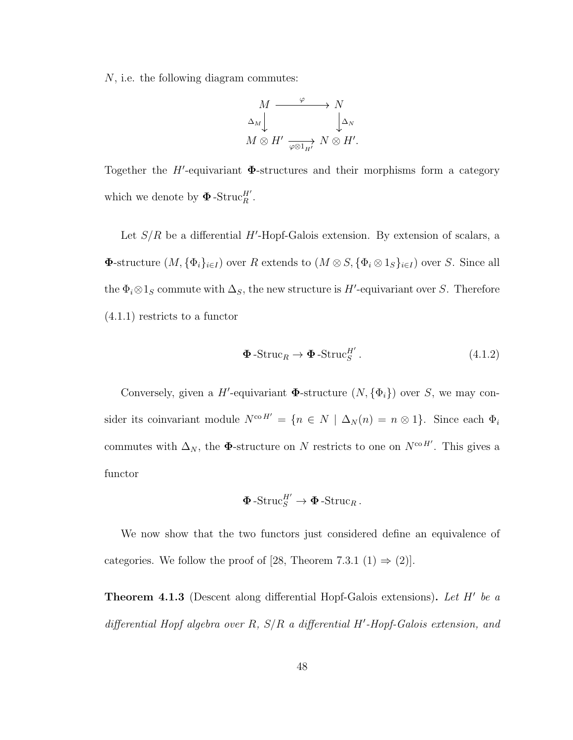N, i.e. the following diagram commutes:

$$
M \xrightarrow{\varphi} N
$$
  
\n
$$
\Delta_M \downarrow \qquad \qquad \downarrow \Delta_N
$$
  
\n
$$
M \otimes H' \xrightarrow[\varphi \otimes 1_{H'}]} N \otimes H'.
$$

Together the  $H'$ -equivariant  $\Phi$ -structures and their morphisms form a category which we denote by  $\Phi$ -Struc $_H^H'$ .

Let  $S/R$  be a differential H'-Hopf-Galois extension. By extension of scalars, a **Φ**-structure  $(M, {\{\Phi_i\}_{i\in I}})$  over R extends to  $(M \otimes S, {\{\Phi_i \otimes 1_S\}_{i\in I}})$  over S. Since all the  $\Phi_i \otimes 1_S$  commute with  $\Delta_S$ , the new structure is H'-equivariant over S. Therefore (4.1.1) restricts to a functor

$$
\Phi\text{-Struc}_R \to \Phi\text{-Struc}_S^{H'}.
$$
\n(4.1.2)

Conversely, given a H'-equivariant  $\Phi$ -structure  $(N, {\Phi_i})$  over S, we may consider its coinvariant module  $N^{\text{co }H'} = \{n \in N \mid \Delta_N(n) = n \otimes 1\}$ . Since each  $\Phi_i$ commutes with  $\Delta_N$ , the  $\Phi$ -structure on N restricts to one on  $N^{\text{co }H'}$ . This gives a functor

$$
\mathbf{\Phi}\text{-Struc}_{S}^{H'} \to \mathbf{\Phi}\text{-Struc}_{R}.
$$

We now show that the two functors just considered define an equivalence of categories. We follow the proof of [28, Theorem 7.3.1 (1)  $\Rightarrow$  (2)].

**Theorem 4.1.3** (Descent along differential Hopf-Galois extensions). Let  $H'$  be a differential Hopf algebra over R,  $S/R$  a differential H'-Hopf-Galois extension, and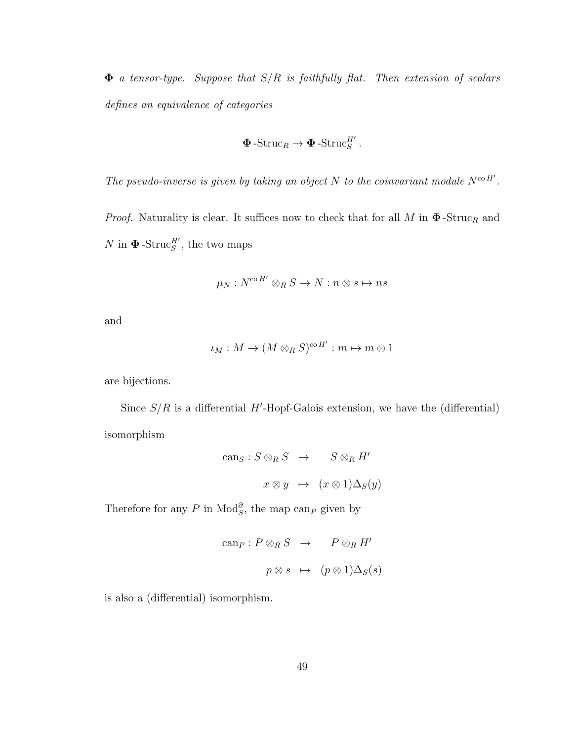$\Phi$  a tensor-type. Suppose that  $S/R$  is faithfully flat. Then extension of scalars defines an equivalence of categories

$$
\Phi\operatorname{-Struc}_R\to\Phi\operatorname{-Struc}_S^{H'}.
$$

The pseudo-inverse is given by taking an object N to the coinvariant module  $N^{\text{co }H'}$ .

*Proof.* Naturality is clear. It suffices now to check that for all M in  $\Phi$ -Struc<sub>R</sub> and  $N$  in  $\Phi$ -Struc<sup>H'</sup>, the two maps

$$
\mu_N : N^{\mathrm{co}\,H'} \otimes_R S \to N : n \otimes s \mapsto ns
$$

and

$$
\iota_M: M \to (M \otimes_R S)^{\mathrm{co}\,H'} : m \mapsto m \otimes 1
$$

are bijections.

Since  $S/R$  is a differential H'-Hopf-Galois extension, we have the (differential) isomorphism

$$
can_S: S \otimes_R S \to S \otimes_R H'
$$
  

$$
x \otimes y \mapsto (x \otimes 1) \Delta_S(y)
$$

Therefore for any P in  $\text{Mod}_{S}^{\partial}$ , the map can<sub>P</sub> given by

$$
can_P: P \otimes_R S \to P \otimes_R H'
$$
  

$$
p \otimes s \mapsto (p \otimes 1) \Delta_S(s)
$$

is also a (differential) isomorphism.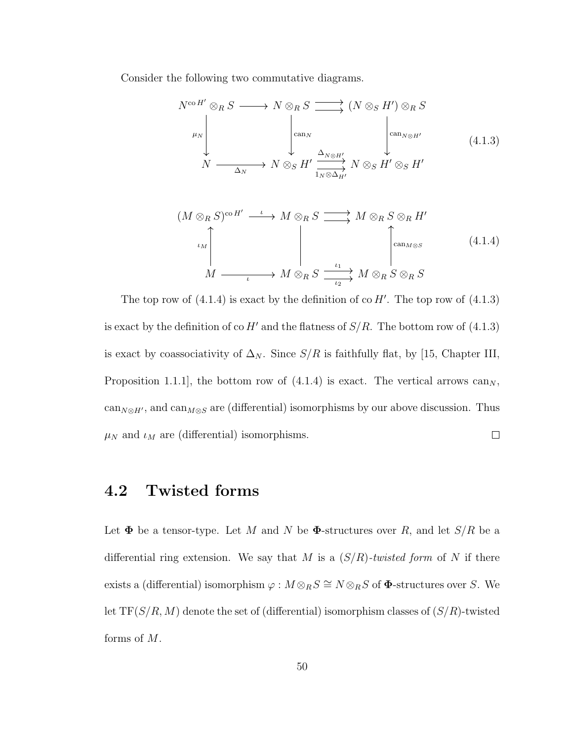Consider the following two commutative diagrams.

$$
N^{\text{co }H'} \otimes_R S \longrightarrow N \otimes_R S \longrightarrow (N \otimes_S H') \otimes_R S
$$
  
\n
$$
\downarrow^{\mu_N} \qquad \qquad \downarrow^{\text{can}_N} \qquad \qquad \downarrow^{\text{can}_{N \otimes H'}} \qquad \qquad \downarrow^{\text{can}_{N \otimes H'}} \qquad \qquad (4.1.3)
$$
  
\n
$$
N \longrightarrow N \otimes_S H' \xrightarrow{\Delta_{N \otimes H'}} N \otimes_S H' \otimes_S H'
$$

$$
(M \otimes_R S)^{\mathrm{co}\,H'} \xrightarrow{\iota} M \otimes_R S \xrightarrow{\iota} M \otimes_R S \otimes_R H'
$$
  
\n
$$
\downarrow M
$$
\n
$$
\downarrow M \xrightarrow{\iota} M \otimes_R S \xrightarrow{\iota_1} M \otimes_R S \otimes_R S
$$
\n
$$
(4.1.4)
$$

The top row of  $(4.1.4)$  is exact by the definition of co H'. The top row of  $(4.1.3)$ is exact by the definition of co H' and the flatness of  $S/R$ . The bottom row of (4.1.3) is exact by coassociativity of  $\Delta_N$ . Since  $S/R$  is faithfully flat, by [15, Chapter III, Proposition 1.1.1, the bottom row of  $(4.1.4)$  is exact. The vertical arrows can<sub>N</sub>,  $\text{can}_{N\otimes H'}$ , and  $\text{can}_{M\otimes S}$  are (differential) isomorphisms by our above discussion. Thus  $\mu_N$  and  $\iota_M$  are (differential) isomorphisms.  $\Box$ 

### 4.2 Twisted forms

Let  $\Phi$  be a tensor-type. Let M and N be  $\Phi$ -structures over R, and let  $S/R$  be a differential ring extension. We say that M is a  $(S/R)$ -twisted form of N if there exists a (differential) isomorphism  $\varphi : M \otimes_R S \cong N \otimes_R S$  of  $\Phi$ -structures over S. We let  $TF(S/R, M)$  denote the set of (differential) isomorphism classes of  $(S/R)$ -twisted forms of M.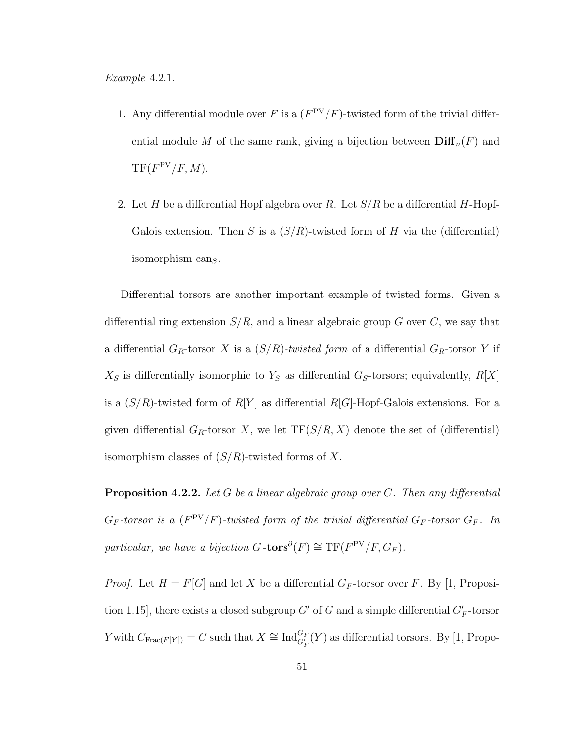- 1. Any differential module over F is a  $(F^{PV}/F)$ -twisted form of the trivial differential module M of the same rank, giving a bijection between  $\text{Diff}_n(F)$  and  $TF(F^{PV}/F, M).$
- 2. Let H be a differential Hopf algebra over R. Let  $S/R$  be a differential H-Hopf-Galois extension. Then S is a  $(S/R)$ -twisted form of H via the (differential) isomorphism can $<sub>S</sub>$ .</sub>

Differential torsors are another important example of twisted forms. Given a differential ring extension  $S/R$ , and a linear algebraic group G over C, we say that a differential  $G_R$ -torsor X is a  $(S/R)$ -twisted form of a differential  $G_R$ -torsor Y if  $X_S$  is differentially isomorphic to  $Y_S$  as differential  $G_S$ -torsors; equivalently,  $R[X]$ is a  $(S/R)$ -twisted form of  $R[Y]$  as differential  $R[G]$ -Hopf-Galois extensions. For a given differential  $G_R$ -torsor X, we let  $TF(S/R, X)$  denote the set of (differential) isomorphism classes of  $(S/R)$ -twisted forms of X.

**Proposition 4.2.2.** Let G be a linear algebraic group over  $C$ . Then any differential  $G_F$ -torsor is a ( $F^{\rm PV}/F$ )-twisted form of the trivial differential  $G_F$ -torsor  $G_F$ . In particular, we have a bijection  $G$ -tors $^{\partial}(F) \cong \text{TF}(F^{\text{PV}}/F, G_F)$ .

*Proof.* Let  $H = F[G]$  and let X be a differential  $G_F$ -torsor over F. By [1, Proposition 1.15], there exists a closed subgroup  $G'$  of G and a simple differential  $G'_F$ -torsor Y with  $C_{\text{Frac}(F[Y])} = C$  such that  $X \cong \text{Ind}_{G'_F}^{G_F}(Y)$  as differential torsors. By [1, Propo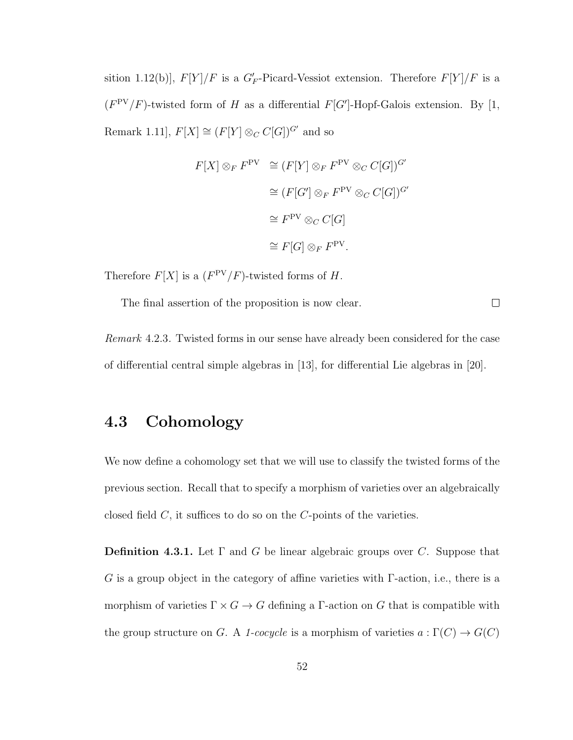sition 1.12(b)],  $F[Y]/F$  is a  $G_F'$ -Picard-Vessiot extension. Therefore  $F[Y]/F$  is a  $(F^{PV}/F)$ -twisted form of H as a differential  $F[G']$ -Hopf-Galois extension. By [1, Remark 1.11],  $F[X] \cong (F[Y] \otimes_C C[G])^{G'}$  and so

$$
F[X] \otimes_F F^{\text{PV}} \cong (F[Y] \otimes_F F^{\text{PV}} \otimes_C C[G])^{G'}
$$

$$
\cong (F[G'] \otimes_F F^{\text{PV}} \otimes_C C[G])^{G'}
$$

$$
\cong F^{\text{PV}} \otimes_C C[G]
$$

$$
\cong F[G] \otimes_F F^{\text{PV}}.
$$

Therefore  $F[X]$  is a  $(F^{PV}/F)$ -twisted forms of H.

The final assertion of the proposition is now clear.

 $\Box$ 

Remark 4.2.3. Twisted forms in our sense have already been considered for the case of differential central simple algebras in [13], for differential Lie algebras in [20].

### 4.3 Cohomology

We now define a cohomology set that we will use to classify the twisted forms of the previous section. Recall that to specify a morphism of varieties over an algebraically closed field  $C$ , it suffices to do so on the  $C$ -points of the varieties.

**Definition 4.3.1.** Let  $\Gamma$  and  $G$  be linear algebraic groups over C. Suppose that G is a group object in the category of affine varieties with  $\Gamma$ -action, i.e., there is a morphism of varieties  $\Gamma \times G \to G$  defining a  $\Gamma$ -action on G that is compatible with the group structure on G. A 1-cocycle is a morphism of varieties  $a : \Gamma(C) \to G(C)$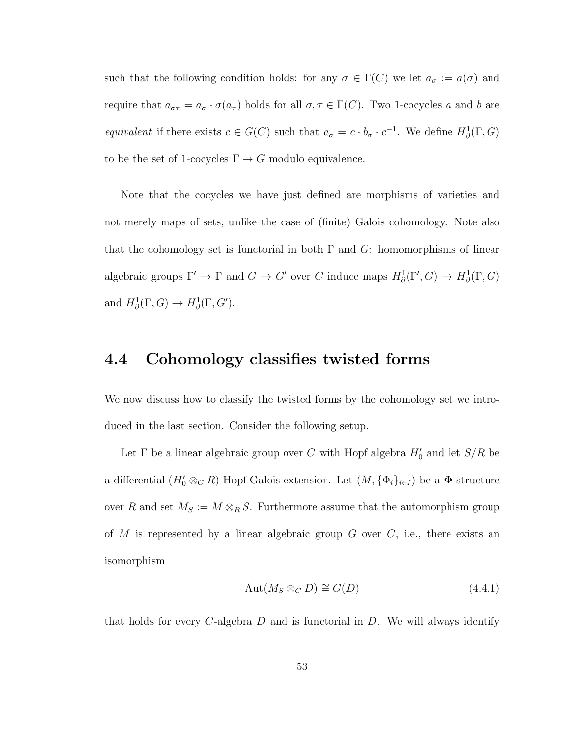such that the following condition holds: for any  $\sigma \in \Gamma(C)$  we let  $a_{\sigma} := a(\sigma)$  and require that  $a_{\sigma\tau} = a_{\sigma} \cdot \sigma(a_{\tau})$  holds for all  $\sigma, \tau \in \Gamma(C)$ . Two 1-cocycles a and b are equivalent if there exists  $c \in G(C)$  such that  $a_{\sigma} = c \cdot b_{\sigma} \cdot c^{-1}$ . We define  $H^1_{\partial}(\Gamma, G)$ to be the set of 1-cocycles  $\Gamma \to G$  modulo equivalence.

Note that the cocycles we have just defined are morphisms of varieties and not merely maps of sets, unlike the case of (finite) Galois cohomology. Note also that the cohomology set is functorial in both  $\Gamma$  and  $G$ : homomorphisms of linear algebraic groups  $\Gamma' \to \Gamma$  and  $G \to G'$  over C induce maps  $H^1_\partial(\Gamma', G) \to H^1_\partial(\Gamma, G)$ and  $H^1_\partial(\Gamma,G) \to H^1_\partial(\Gamma,G').$ 

### 4.4 Cohomology classifies twisted forms

We now discuss how to classify the twisted forms by the cohomology set we introduced in the last section. Consider the following setup.

Let  $\Gamma$  be a linear algebraic group over C with Hopf algebra  $H'_0$  and let  $S/R$  be a differential  $(H_0' \otimes_C R)$ -Hopf-Galois extension. Let  $(M, {\{\Phi_i\}}_{i \in I})$  be a  $\Phi$ -structure over R and set  $M_S := M \otimes_R S$ . Furthermore assume that the automorphism group of  $M$  is represented by a linear algebraic group  $G$  over  $C$ , i.e., there exists an isomorphism

$$
Aut(M_S \otimes_C D) \cong G(D) \tag{4.4.1}
$$

that holds for every C-algebra  $D$  and is functorial in  $D$ . We will always identify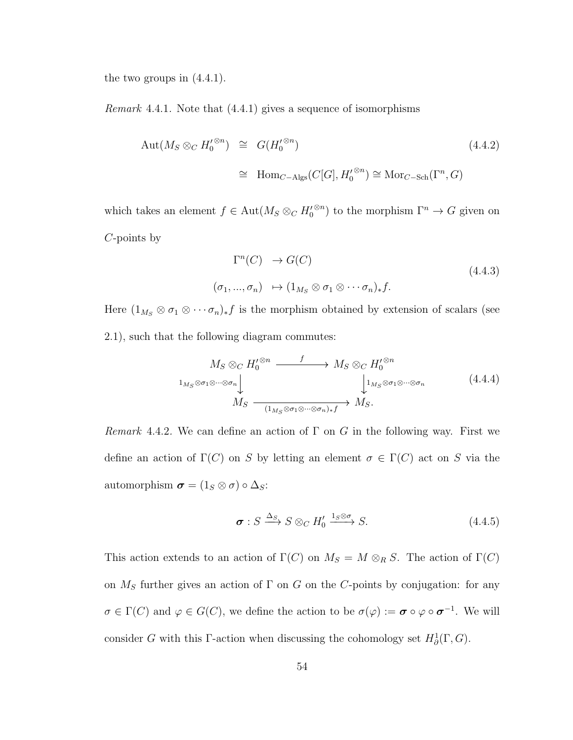the two groups in  $(4.4.1)$ .

Remark 4.4.1. Note that (4.4.1) gives a sequence of isomorphisms

$$
\begin{array}{rcl}\n\text{Aut}(M_S \otimes_C H_0^{\prime \otimes n}) & \cong & G(H_0^{\prime \otimes n}) \\
& \cong & \text{Hom}_{C-\text{Algs}}(C[G], H_0^{\prime \otimes n}) \cong \text{Mor}_{C-\text{Sch}}(\Gamma^n, G)\n\end{array} \tag{4.4.2}
$$

which takes an element  $f \in \text{Aut}(M_S \otimes_C H_0'$ <sup>⊗n</sup>) to the morphism  $\Gamma^n \to G$  given on C-points by

$$
\Gamma^n(C) \to G(C)
$$
  
\n
$$
(\sigma_1, ..., \sigma_n) \to (1_{M_S} \otimes \sigma_1 \otimes \cdots \sigma_n)_* f.
$$
\n(4.4.3)

Here  $(1_{M_S} \otimes \sigma_1 \otimes \cdots \sigma_n)_* f$  is the morphism obtained by extension of scalars (see 2.1), such that the following diagram commutes:

$$
M_S \otimes_C H_0^{\prime \otimes n} \xrightarrow{f} M_S \otimes_C H_0^{\prime \otimes n}
$$
  
\n
$$
\downarrow^{1_{M_S} \otimes \sigma_1 \otimes \cdots \otimes \sigma_n} \downarrow^{1_{M_S \otimes \sigma_1 \otimes \cdots \otimes \sigma_n}} \downarrow^{1_{M_S \otimes \sigma_1 \otimes \cdots \otimes \sigma_n}} (4.4.4)
$$
  
\n
$$
M_S \xrightarrow{\qquad \qquad (1_{M_S \otimes \sigma_1 \otimes \cdots \otimes \sigma_n)_*f}} M_S.
$$

Remark 4.4.2. We can define an action of  $\Gamma$  on G in the following way. First we define an action of  $\Gamma(C)$  on S by letting an element  $\sigma \in \Gamma(C)$  act on S via the automorphism  $\boldsymbol{\sigma} = (1_S \otimes \sigma) \circ \Delta_S$ :

$$
\sigma: S \xrightarrow{\Delta_S} S \otimes_C H'_0 \xrightarrow{1_S \otimes \sigma} S. \tag{4.4.5}
$$

This action extends to an action of  $\Gamma(C)$  on  $M_S = M \otimes_R S$ . The action of  $\Gamma(C)$ on  $M<sub>S</sub>$  further gives an action of  $\Gamma$  on G on the C-points by conjugation: for any  $\sigma \in \Gamma(C)$  and  $\varphi \in G(C)$ , we define the action to be  $\sigma(\varphi) := \sigma \circ \varphi \circ \sigma^{-1}$ . We will consider G with this Γ-action when discussing the cohomology set  $H^1_\partial(\Gamma, G)$ .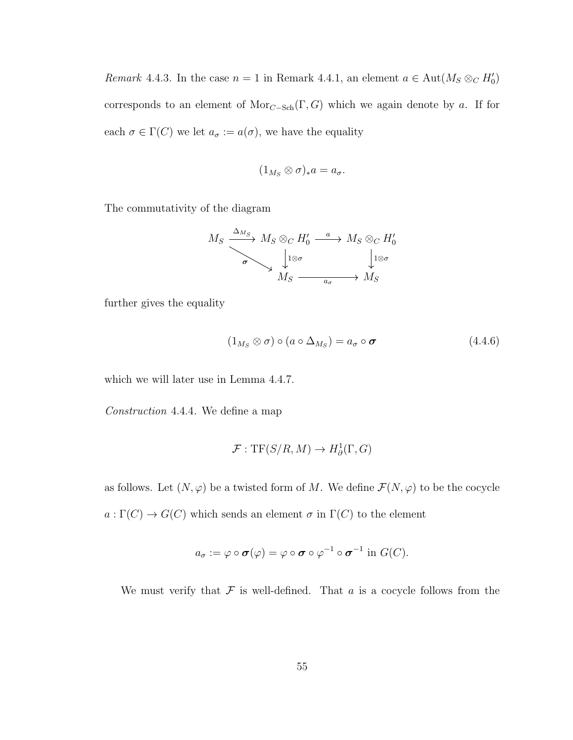Remark 4.4.3. In the case  $n = 1$  in Remark 4.4.1, an element  $a \in Aut(M_S \otimes_C H_0')$ corresponds to an element of  $Mor_{C-Sch}(\Gamma, G)$  which we again denote by a. If for each  $\sigma \in \Gamma(C)$  we let  $a_{\sigma} := a(\sigma)$ , we have the equality

$$
(1_{M_S}\otimes\sigma)_*a=a_\sigma.
$$

The commutativity of the diagram

$$
M_S \xrightarrow{\Delta_{M_S}} M_S \otimes_C H'_0 \xrightarrow{a} M_S \otimes_C H'_0
$$
  
\n
$$
\downarrow^{1 \otimes \sigma} \qquad \qquad \downarrow^{1 \otimes \sigma} \qquad \qquad \downarrow^{1 \otimes \sigma}
$$
  
\n
$$
M_S \xrightarrow{a_{\sigma}} M_S
$$

further gives the equality

$$
(1_{M_S} \otimes \sigma) \circ (a \circ \Delta_{M_S}) = a_{\sigma} \circ \sigma \tag{4.4.6}
$$

which we will later use in Lemma 4.4.7.

Construction 4.4.4. We define a map

$$
\mathcal{F}: \mathrm{TF}(S/R, M) \to H^1_\partial(\Gamma, G)
$$

as follows. Let  $(N, \varphi)$  be a twisted form of M. We define  $\mathcal{F}(N, \varphi)$  to be the cocycle  $a:\Gamma(C)\to G(C)$  which sends an element  $\sigma$  in  $\Gamma(C)$  to the element

$$
a_{\sigma} := \varphi \circ \sigma(\varphi) = \varphi \circ \sigma \circ \varphi^{-1} \circ \sigma^{-1} \text{ in } G(C).
$$

We must verify that  $\mathcal F$  is well-defined. That  $a$  is a cocycle follows from the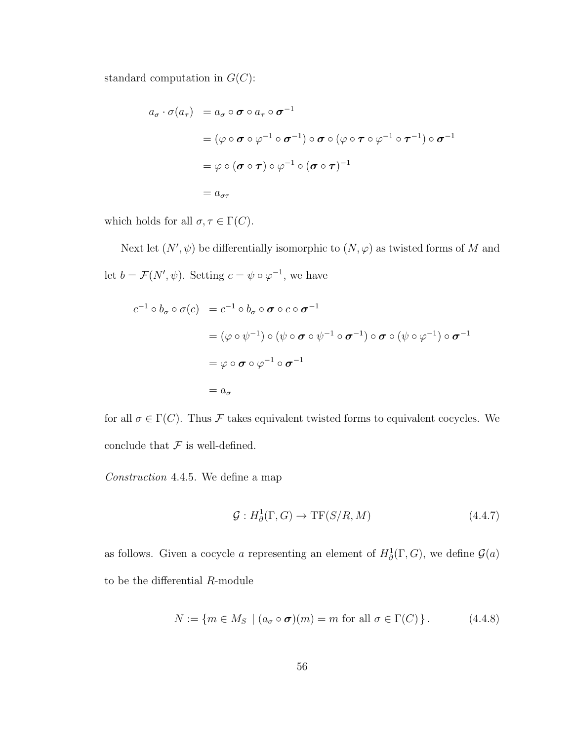standard computation in  $G(C)$ :

$$
a_{\sigma} \cdot \sigma(a_{\tau}) = a_{\sigma} \circ \sigma \circ a_{\tau} \circ \sigma^{-1}
$$
  
=  $(\varphi \circ \sigma \circ \varphi^{-1} \circ \sigma^{-1}) \circ \sigma \circ (\varphi \circ \tau \circ \varphi^{-1} \circ \tau^{-1}) \circ \sigma^{-1}$   
=  $\varphi \circ (\sigma \circ \tau) \circ \varphi^{-1} \circ (\sigma \circ \tau)^{-1}$   
=  $a_{\sigma\tau}$ 

which holds for all  $\sigma,\tau\in \Gamma(C).$ 

Next let  $(N', \psi)$  be differentially isomorphic to  $(N, \varphi)$  as twisted forms of M and let  $b = \mathcal{F}(N', \psi)$ . Setting  $c = \psi \circ \varphi^{-1}$ , we have

$$
c^{-1} \circ b_{\sigma} \circ \sigma(c) = c^{-1} \circ b_{\sigma} \circ \sigma \circ c \circ \sigma^{-1}
$$
  
=  $(\varphi \circ \psi^{-1}) \circ (\psi \circ \sigma \circ \psi^{-1} \circ \sigma^{-1}) \circ \sigma \circ (\psi \circ \varphi^{-1}) \circ \sigma^{-1}$   
=  $\varphi \circ \sigma \circ \varphi^{-1} \circ \sigma^{-1}$   
=  $a_{\sigma}$ 

for all  $\sigma \in \Gamma(C)$ . Thus  ${\mathcal F}$  takes equivalent twisted forms to equivalent cocycles. We conclude that  ${\mathcal F}$  is well-defined.

Construction 4.4.5. We define a map

$$
\mathcal{G}: H^1_{\partial}(\Gamma, G) \to \mathrm{TF}(S/R, M) \tag{4.4.7}
$$

as follows. Given a cocycle a representing an element of  $H^1_\partial(\Gamma, G)$ , we define  $\mathcal{G}(a)$ to be the differential R-module

$$
N := \{ m \in M_S \mid (a_{\sigma} \circ \sigma)(m) = m \text{ for all } \sigma \in \Gamma(C) \}. \tag{4.4.8}
$$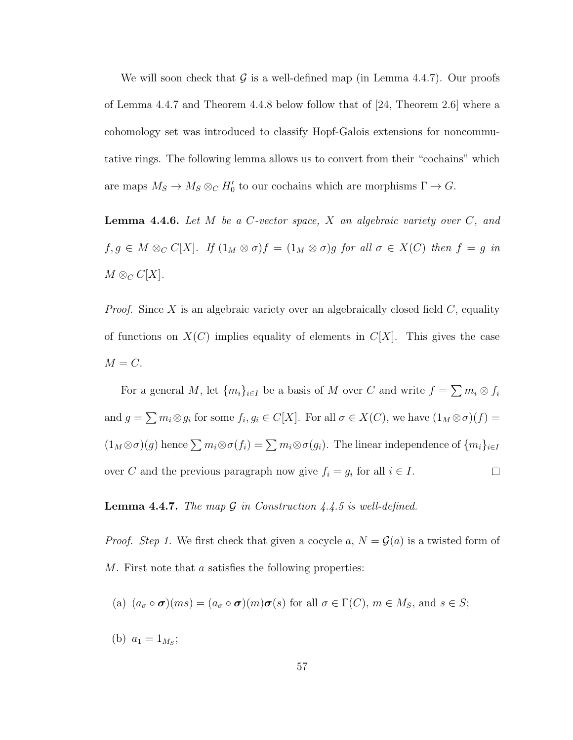We will soon check that  $\mathcal G$  is a well-defined map (in Lemma 4.4.7). Our proofs of Lemma 4.4.7 and Theorem 4.4.8 below follow that of [24, Theorem 2.6] where a cohomology set was introduced to classify Hopf-Galois extensions for noncommutative rings. The following lemma allows us to convert from their "cochains" which are maps  $M_S \to M_S \otimes_C H'_0$  to our cochains which are morphisms  $\Gamma \to G$ .

**Lemma 4.4.6.** Let  $M$  be a  $C$ -vector space,  $X$  an algebraic variety over  $C$ , and  $f, g \in M \otimes_C C[X]$ . If  $(1_M \otimes \sigma)f = (1_M \otimes \sigma)g$  for all  $\sigma \in X(C)$  then  $f = g$  in  $M \otimes_C C[X]$ .

*Proof.* Since X is an algebraic variety over an algebraically closed field  $C$ , equality of functions on  $X(C)$  implies equality of elements in  $C[X]$ . This gives the case  $M = C$ .

For a general M, let  $\{m_i\}_{i\in I}$  be a basis of M over C and write  $f = \sum m_i \otimes f_i$ and  $g = \sum m_i \otimes g_i$  for some  $f_i, g_i \in C[X]$ . For all  $\sigma \in X(C)$ , we have  $(1_M \otimes \sigma)(f) =$  $(1_M \otimes \sigma)(g)$  hence  $\sum m_i \otimes \sigma(f_i) = \sum m_i \otimes \sigma(g_i)$ . The linear independence of  $\{m_i\}_{i\in I}$ over C and the previous paragraph now give  $f_i = g_i$  for all  $i \in I$ .  $\Box$ 

**Lemma 4.4.7.** The map  $G$  in Construction 4.4.5 is well-defined.

*Proof.* Step 1. We first check that given a cocycle a,  $N = \mathcal{G}(a)$  is a twisted form of M. First note that a satisfies the following properties:

(a) 
$$
(a_{\sigma} \circ \sigma)(ms) = (a_{\sigma} \circ \sigma)(m)\sigma(s)
$$
 for all  $\sigma \in \Gamma(C)$ ,  $m \in M_S$ , and  $s \in S$ ;

(b)  $a_1 = 1_{M_S};$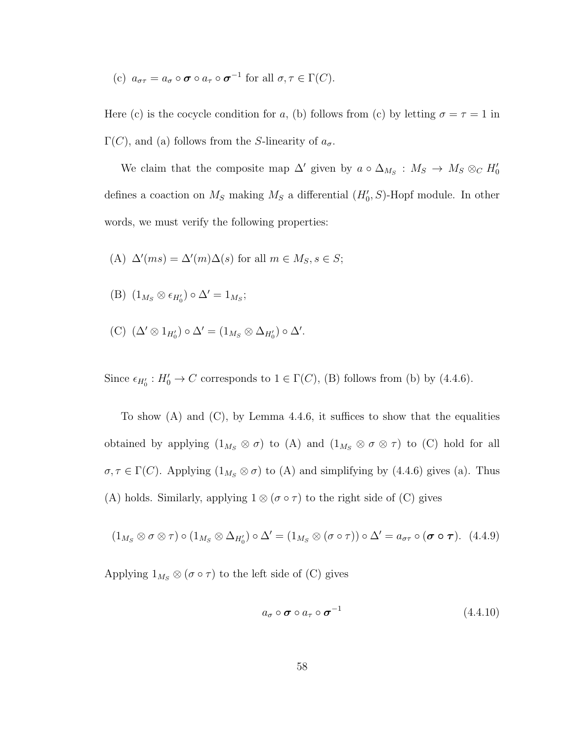(c)  $a_{\sigma\tau} = a_{\sigma} \circ \sigma \circ a_{\tau} \circ \sigma^{-1}$  for all  $\sigma, \tau \in \Gamma(C)$ .

Here (c) is the cocycle condition for a, (b) follows from (c) by letting  $\sigma = \tau = 1$  in  $\Gamma(C)$ , and (a) follows from the *S*-linearity of  $a_{\sigma}$ .

We claim that the composite map  $\Delta'$  given by  $a \circ \Delta_{M_S} : M_S \to M_S \otimes_C H'_0$ defines a coaction on  $M_S$  making  $M_S$  a differential  $(H'_0, S)$ -Hopf module. In other words, we must verify the following properties:

(A) 
$$
\Delta'(ms) = \Delta'(m)\Delta(s)
$$
 for all  $m \in M_S, s \in S$ ;

(B) 
$$
(1_{M_S} \otimes \epsilon_{H'_0}) \circ \Delta' = 1_{M_S};
$$

(C)  $(\Delta' \otimes 1_{H'_0}) \circ \Delta' = (1_{M_S} \otimes \Delta_{H'_0}) \circ \Delta'.$ 

Since  $\epsilon_{H_0'} : H_0' \to C$  corresponds to  $1 \in \Gamma(C)$ , (B) follows from (b) by (4.4.6).

To show  $(A)$  and  $(C)$ , by Lemma 4.4.6, it suffices to show that the equalities obtained by applying  $(1_{M_S} \otimes \sigma)$  to  $(A)$  and  $(1_{M_S} \otimes \sigma \otimes \tau)$  to  $(C)$  hold for all  $\sigma, \tau \in \Gamma(C)$ . Applying  $(1_{M_S} \otimes \sigma)$  to  $(A)$  and simplifying by  $(4.4.6)$  gives  $(a)$ . Thus (A) holds. Similarly, applying  $1 \otimes (\sigma \circ \tau)$  to the right side of (C) gives

$$
(1_{M_S} \otimes \sigma \otimes \tau) \circ (1_{M_S} \otimes \Delta_{H_0'}) \circ \Delta' = (1_{M_S} \otimes (\sigma \circ \tau)) \circ \Delta' = a_{\sigma \tau} \circ (\sigma \circ \tau). \tag{4.4.9}
$$

Applying  $1_{M_S} \otimes (\sigma \circ \tau)$  to the left side of (C) gives

$$
a_{\sigma} \circ \boldsymbol{\sigma} \circ a_{\tau} \circ \boldsymbol{\sigma}^{-1} \tag{4.4.10}
$$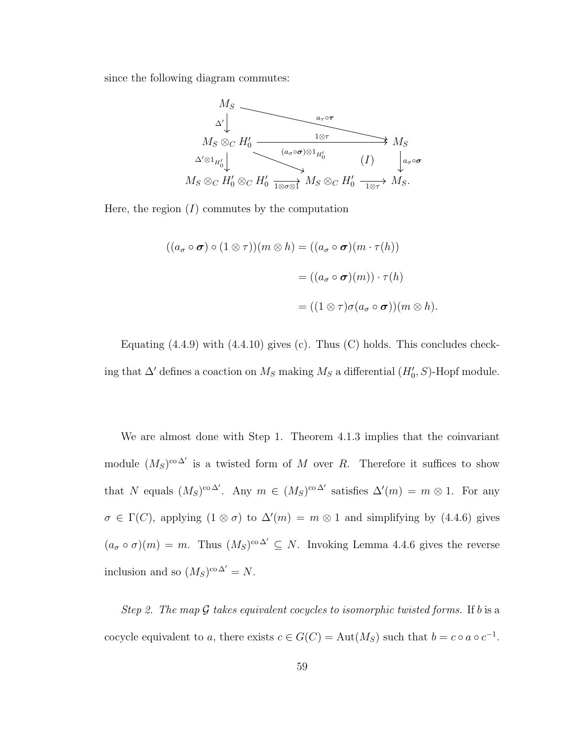since the following diagram commutes:



Here, the region  $(I)$  commutes by the computation

$$
((a_{\sigma} \circ \sigma) \circ (1 \otimes \tau))(m \otimes h) = ((a_{\sigma} \circ \sigma)(m \cdot \tau(h))
$$

$$
= ((a_{\sigma} \circ \sigma)(m)) \cdot \tau(h)
$$

$$
= ((1 \otimes \tau)\sigma(a_{\sigma} \circ \sigma))(m \otimes h).
$$

Equating  $(4.4.9)$  with  $(4.4.10)$  gives  $(c)$ . Thus  $(C)$  holds. This concludes checking that  $\Delta'$  defines a coaction on  $M_S$  making  $M_S$  a differential  $(H'_0, S)$ -Hopf module.

We are almost done with Step 1. Theorem 4.1.3 implies that the coinvariant module  $(M_S)^{co \Delta'}$  is a twisted form of M over R. Therefore it suffices to show that N equals  $(M_S)^{co\Delta'}$ . Any  $m \in (M_S)^{co\Delta'}$  satisfies  $\Delta'(m) = m \otimes 1$ . For any  $\sigma \in \Gamma(C)$ , applying  $(1 \otimes \sigma)$  to  $\Delta'(m) = m \otimes 1$  and simplifying by  $(4.4.6)$  gives  $(a_{\sigma} \circ \sigma)(m) = m$ . Thus  $(M_S)^{co \Delta'} \subseteq N$ . Invoking Lemma 4.4.6 gives the reverse inclusion and so  $(M_S)^{\text{co }\Delta'} = N$ .

Step 2. The map  $\mathcal G$  takes equivalent cocycles to isomorphic twisted forms. If b is a cocycle equivalent to a, there exists  $c \in G(C) = \text{Aut}(M_S)$  such that  $b = c \circ a \circ c^{-1}$ .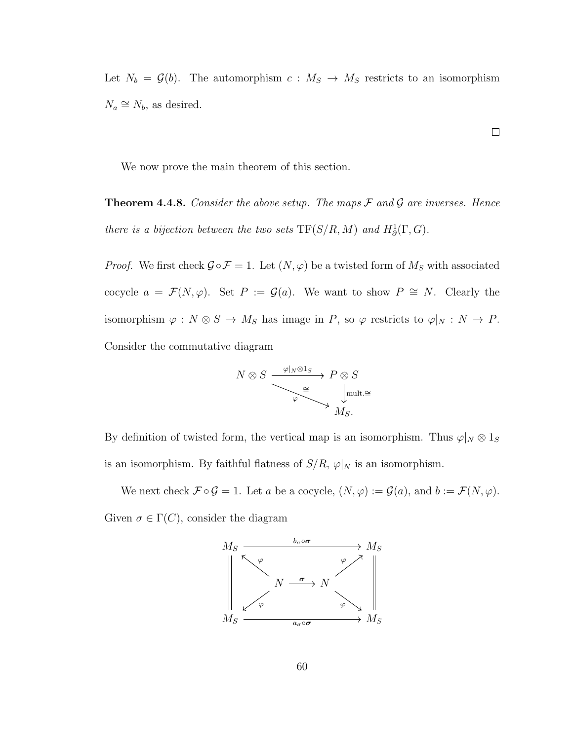Let  $N_b = \mathcal{G}(b)$ . The automorphism  $c : M_S \to M_S$  restricts to an isomorphism  $N_a \cong N_b$ , as desired.

We now prove the main theorem of this section.

**Theorem 4.4.8.** Consider the above setup. The maps  $\mathcal F$  and  $\mathcal G$  are inverses. Hence there is a bijection between the two sets  $TF(S/R, M)$  and  $H^1_\partial(\Gamma, G)$ .

*Proof.* We first check  $\mathcal{G} \circ \mathcal{F} = 1$ . Let  $(N, \varphi)$  be a twisted form of  $M_S$  with associated cocycle  $a = \mathcal{F}(N, \varphi)$ . Set  $P := \mathcal{G}(a)$ . We want to show  $P \cong N$ . Clearly the isomorphism  $\varphi : N \otimes S \to M_S$  has image in P, so  $\varphi$  restricts to  $\varphi|_N : N \to P$ . Consider the commutative diagram

$$
N \otimes S \xrightarrow{\varphi|_N \otimes 1_S} P \otimes S
$$
  

$$
\xrightarrow{\cong} \downarrow^{\text{mult.}}_{M_S}.
$$

By definition of twisted form, the vertical map is an isomorphism. Thus  $\varphi|_N \otimes 1_S$ is an isomorphism. By faithful flatness of  $S/R$ ,  $\varphi|_N$  is an isomorphism.

We next check  $\mathcal{F} \circ \mathcal{G} = 1$ . Let a be a cocycle,  $(N, \varphi) := \mathcal{G}(a)$ , and  $b := \mathcal{F}(N, \varphi)$ . Given  $\sigma \in \Gamma(C)$ , consider the diagram



 $\Box$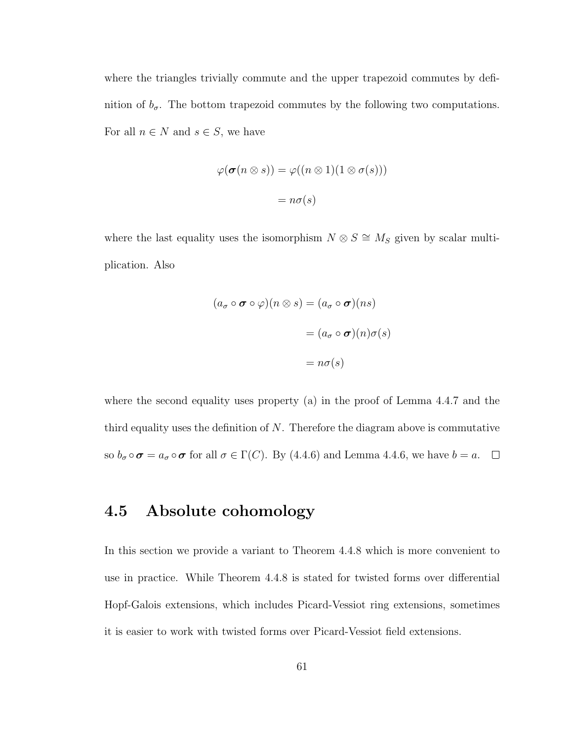where the triangles trivially commute and the upper trapezoid commutes by definition of  $b_{\sigma}$ . The bottom trapezoid commutes by the following two computations. For all  $n \in N$  and  $s \in S$ , we have

$$
\varphi(\boldsymbol{\sigma}(n \otimes s)) = \varphi((n \otimes 1)(1 \otimes \sigma(s)))
$$

$$
= n\sigma(s)
$$

where the last equality uses the isomorphism  $N \otimes S \cong M_S$  given by scalar multiplication. Also

$$
(a_{\sigma} \circ \boldsymbol{\sigma} \circ \varphi)(n \otimes s) = (a_{\sigma} \circ \boldsymbol{\sigma})(ns)
$$

$$
= (a_{\sigma} \circ \boldsymbol{\sigma})(n)\sigma(s)
$$

$$
= n\sigma(s)
$$

where the second equality uses property (a) in the proof of Lemma 4.4.7 and the third equality uses the definition of  $N$ . Therefore the diagram above is commutative so  $b_{\sigma} \circ \sigma = a_{\sigma} \circ \sigma$  for all  $\sigma \in \Gamma(C)$ . By (4.4.6) and Lemma 4.4.6, we have  $b = a$ .  $\Box$ 

### 4.5 Absolute cohomology

In this section we provide a variant to Theorem 4.4.8 which is more convenient to use in practice. While Theorem 4.4.8 is stated for twisted forms over differential Hopf-Galois extensions, which includes Picard-Vessiot ring extensions, sometimes it is easier to work with twisted forms over Picard-Vessiot field extensions.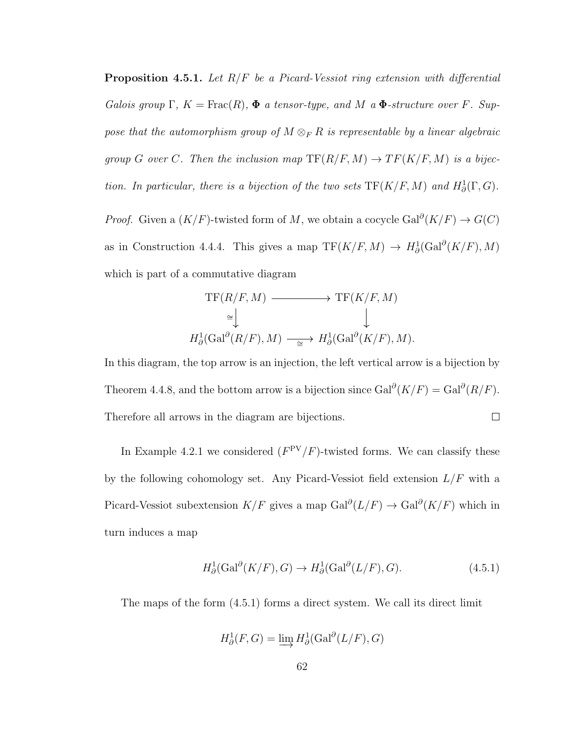**Proposition 4.5.1.** Let  $R/F$  be a Picard-Vessiot ring extension with differential Galois group  $\Gamma$ ,  $K = \text{Frac}(R)$ ,  $\Phi$  a tensor-type, and M a  $\Phi$ -structure over F. Suppose that the automorphism group of  $M \otimes_F R$  is representable by a linear algebraic group G over C. Then the inclusion map  $TF(R/F, M) \to TF(K/F, M)$  is a bijection. In particular, there is a bijection of the two sets  $TF(K/F, M)$  and  $H^1_\partial(\Gamma, G)$ .

*Proof.* Given a  $(K/F)$ -twisted form of M, we obtain a cocycle Gal<sup>∂</sup> $(K/F)$   $\rightarrow$   $G(C)$ as in Construction 4.4.4. This gives a map  $TF(K/F, M) \rightarrow H^1_\partial(\text{Gal}^\partial(K/F), M)$ which is part of a commutative diagram

$$
\mathrm{TF}(R/F, M) \longrightarrow \mathrm{TF}(K/F, M)
$$
  
\n
$$
\cong \bigcup_{H^1_0(\mathrm{Gal}^{\partial}(R/F), M) \longrightarrow H^1_0(\mathrm{Gal}^{\partial}(K/F), M).
$$

In this diagram, the top arrow is an injection, the left vertical arrow is a bijection by Theorem 4.4.8, and the bottom arrow is a bijection since  $Gal^{\partial}(K/F) = Gal^{\partial}(R/F)$ . Therefore all arrows in the diagram are bijections.  $\Box$ 

In Example 4.2.1 we considered  $(F^{PV}/F)$ -twisted forms. We can classify these by the following cohomology set. Any Picard-Vessiot field extension  $L/F$  with a Picard-Vessiot subextension  $K/F$  gives a map  $Gal^{\partial}(L/F) \to Gal^{\partial}(K/F)$  which in turn induces a map

$$
H^1_\partial(\text{Gal}^\partial(K/F), G) \to H^1_\partial(\text{Gal}^\partial(L/F), G). \tag{4.5.1}
$$

The maps of the form (4.5.1) forms a direct system. We call its direct limit

$$
H^1_\partial(F, G) = \varinjlim H^1_\partial(\text{Gal}^\partial(L/F), G)
$$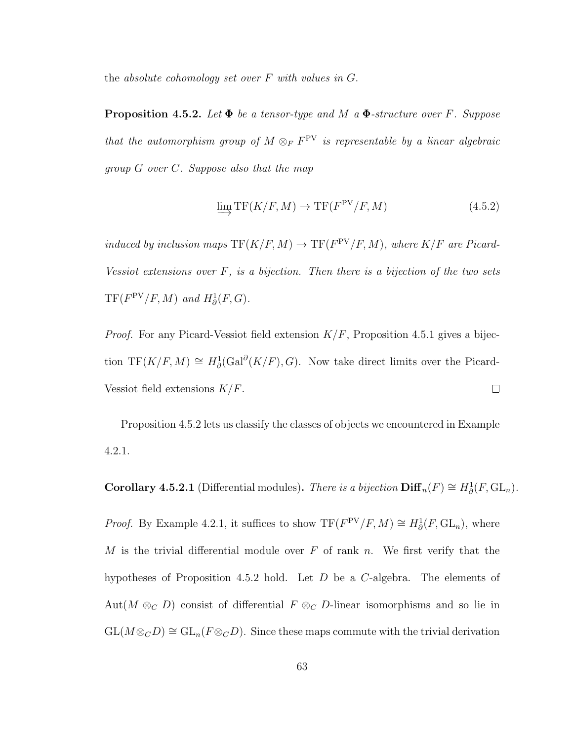the absolute cohomology set over  $F$  with values in  $G$ .

**Proposition 4.5.2.** Let  $\Phi$  be a tensor-type and M a  $\Phi$ -structure over F. Suppose that the automorphism group of  $M \otimes_F F^{\text{PV}}$  is representable by a linear algebraic group G over C. Suppose also that the map

$$
\lim_{\longrightarrow} \text{TF}(K/F, M) \to \text{TF}(F^{\text{PV}}/F, M) \tag{4.5.2}
$$

induced by inclusion maps  $TF(K/F, M) \to TF(F^{PV}/F, M)$ , where  $K/F$  are Picard-Vessiot extensions over  $F$ , is a bijection. Then there is a bijection of the two sets  $TF(F^{PV}/F, M)$  and  $H^1_\partial(F, G)$ .

*Proof.* For any Picard-Vessiot field extension  $K/F$ , Proposition 4.5.1 gives a bijection TF(K/F, M)  $\cong H^1_\partial(\text{Gal}^\partial(K/F), G)$ . Now take direct limits over the Picard-Vessiot field extensions  $K/F$ .  $\Box$ 

Proposition 4.5.2 lets us classify the classes of objects we encountered in Example 4.2.1.

**Corollary 4.5.2.1** (Differential modules). There is a bijection  $\text{Diff}_n(F) \cong H^1_\partial(F, GL_n)$ .

*Proof.* By Example 4.2.1, it suffices to show  $TF(F^{PV}/F, M) \cong H^1_\partial(F, GL_n)$ , where M is the trivial differential module over F of rank n. We first verify that the hypotheses of Proposition 4.5.2 hold. Let  $D$  be a C-algebra. The elements of Aut( $M \otimes_{\mathcal{C}} D$ ) consist of differential  $F \otimes_{\mathcal{C}} D$ -linear isomorphisms and so lie in  $GL(M \otimes_c D) \cong GL_n(F \otimes_c D)$ . Since these maps commute with the trivial derivation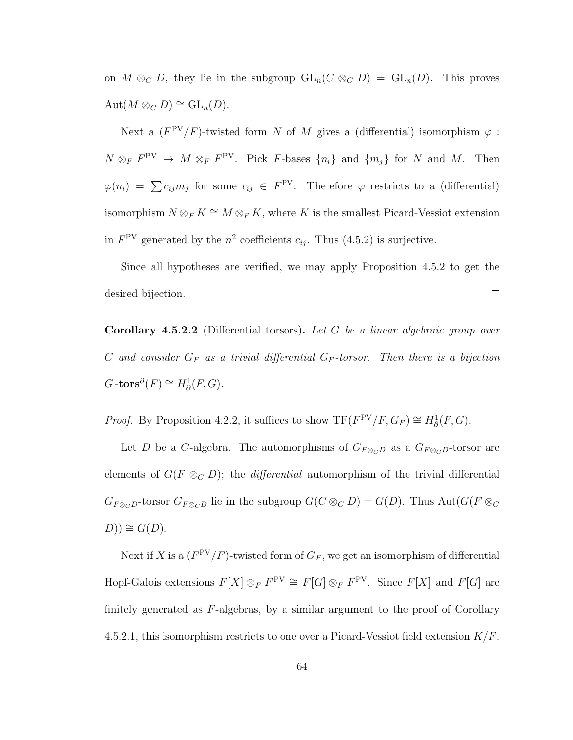on  $M \otimes_C D$ , they lie in the subgroup  $GL_n(C \otimes_C D) = GL_n(D)$ . This proves  $\mathrm{Aut}(M \otimes_C D) \cong \mathrm{GL}_n(D).$ 

Next a  $(F^{PV}/F)$ -twisted form N of M gives a (differential) isomorphism  $\varphi$ :  $N \otimes_F F^{\text{PV}} \to M \otimes_F F^{\text{PV}}$ . Pick F-bases  $\{n_i\}$  and  $\{m_j\}$  for N and M. Then  $\varphi(n_i) = \sum c_{ij} m_j$  for some  $c_{ij} \in F^{\text{PV}}$ . Therefore  $\varphi$  restricts to a (differential) isomorphism  $N \otimes_F K \cong M \otimes_F K$ , where K is the smallest Picard-Vessiot extension in  $F^{\text{PV}}$  generated by the  $n^2$  coefficients  $c_{ij}$ . Thus (4.5.2) is surjective.

Since all hypotheses are verified, we may apply Proposition 4.5.2 to get the desired bijection.  $\Box$ 

**Corollary 4.5.2.2** (Differential torsors). Let G be a linear algebraic group over C and consider  $G_F$  as a trivial differential  $G_F$ -torsor. Then there is a bijection  $G\text{-tors}^\partial(F) \cong H^1_\partial(F,G).$ 

*Proof.* By Proposition 4.2.2, it suffices to show  $TF(F^{PV}/F, G_F) \cong H^1_\partial(F, G)$ .

Let D be a C-algebra. The automorphisms of  $G_{F \otimes_C D}$  as a  $G_{F \otimes_C D}$ -torsor are elements of  $G(F \otimes_C D)$ ; the *differential* automorphism of the trivial differential  $G_{F\otimes_C D}$ -torsor  $G_{F\otimes_C D}$  lie in the subgroup  $G(C \otimes_C D) = G(D)$ . Thus  $Aut(G(F \otimes_C D))$  $D$ )) ≅  $G(D)$ .

Next if X is a  $(F^{PV}/F)$ -twisted form of  $G_F$ , we get an isomorphism of differential Hopf-Galois extensions  $F[X] \otimes_F F^{\text{PV}} \cong F[G] \otimes_F F^{\text{PV}}$ . Since  $F[X]$  and  $F[G]$  are finitely generated as  $F$ -algebras, by a similar argument to the proof of Corollary 4.5.2.1, this isomorphism restricts to one over a Picard-Vessiot field extension  $K/F$ .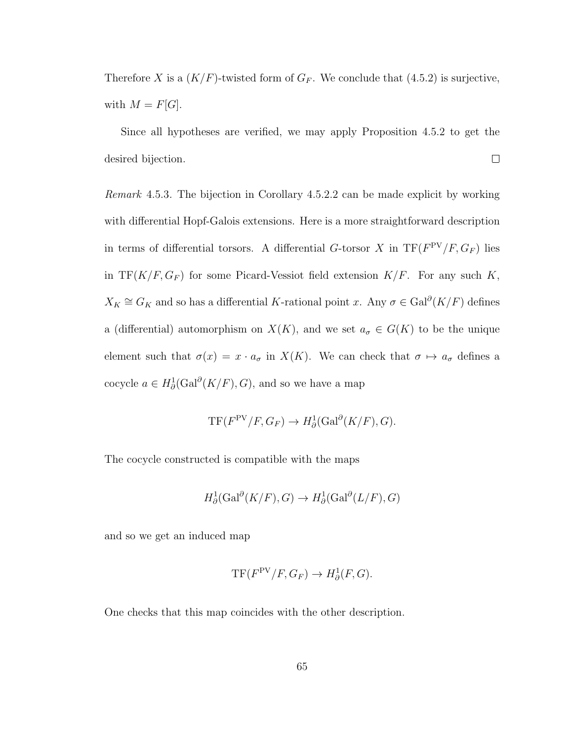Therefore X is a  $(K/F)$ -twisted form of  $G_F$ . We conclude that (4.5.2) is surjective, with  $M = F[G]$ .

Since all hypotheses are verified, we may apply Proposition 4.5.2 to get the  $\Box$ desired bijection.

Remark 4.5.3. The bijection in Corollary 4.5.2.2 can be made explicit by working with differential Hopf-Galois extensions. Here is a more straightforward description in terms of differential torsors. A differential G-torsor X in  $TF(F^{PV}/F, G_F)$  lies in TF( $K/F$ ,  $G_F$ ) for some Picard-Vessiot field extension  $K/F$ . For any such K,  $X_K \cong G_K$  and so has a differential K-rational point x. Any  $\sigma \in \text{Gal}^{\partial}(K/F)$  defines a (differential) automorphism on  $X(K)$ , and we set  $a_{\sigma} \in G(K)$  to be the unique element such that  $\sigma(x) = x \cdot a_{\sigma}$  in  $X(K)$ . We can check that  $\sigma \mapsto a_{\sigma}$  defines a cocycle  $a \in H^1_\partial(\mathrm{Gal}^\partial(K/F), G)$ , and so we have a map

$$
TF(F^{PV}/F, G_F) \to H^1_{\partial}(\text{Gal}^{\partial}(K/F), G).
$$

The cocycle constructed is compatible with the maps

$$
H^1_\partial(\text{Gal}^\partial(K/F), G) \to H^1_\partial(\text{Gal}^\partial(L/F), G)
$$

and so we get an induced map

$$
\mathrm{TF}(F^{\mathrm{PV}}/F, G_F) \to H^1_\partial(F, G).
$$

One checks that this map coincides with the other description.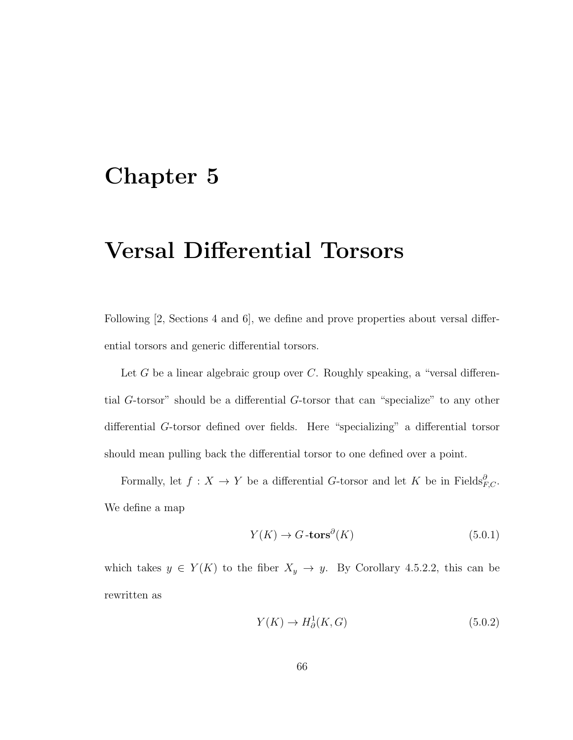## Chapter 5

# Versal Differential Torsors

Following [2, Sections 4 and 6], we define and prove properties about versal differential torsors and generic differential torsors.

Let G be a linear algebraic group over  $C$ . Roughly speaking, a "versal differential G-torsor" should be a differential G-torsor that can "specialize" to any other differential G-torsor defined over fields. Here "specializing" a differential torsor should mean pulling back the differential torsor to one defined over a point.

Formally, let  $f: X \to Y$  be a differential G-torsor and let K be in Fields ${}^{\partial}_{F,C}$ . We define a map

$$
Y(K) \to G\text{-tors}^{\partial}(K) \tag{5.0.1}
$$

which takes  $y \in Y(K)$  to the fiber  $X_y \to y$ . By Corollary 4.5.2.2, this can be rewritten as

$$
Y(K) \to H^1_{\partial}(K, G) \tag{5.0.2}
$$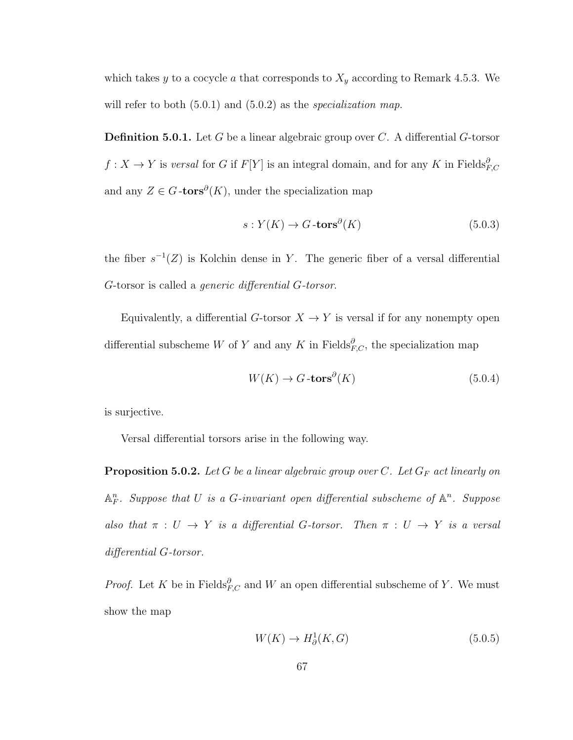which takes y to a cocycle a that corresponds to  $X_y$  according to Remark 4.5.3. We will refer to both  $(5.0.1)$  and  $(5.0.2)$  as the *specialization map*.

**Definition 5.0.1.** Let  $G$  be a linear algebraic group over  $C$ . A differential  $G$ -torsor  $f: X \to Y$  is versal for G if  $F[Y]$  is an integral domain, and for any K in Fields ${}^{\partial}_{F,C}$ and any  $Z \in G$ -tors<sup> $\partial(K)$ </sup>, under the specialization map

$$
s: Y(K) \to G \text{-tors}^{\partial}(K) \tag{5.0.3}
$$

the fiber  $s^{-1}(Z)$  is Kolchin dense in Y. The generic fiber of a versal differential G-torsor is called a generic differential G-torsor.

Equivalently, a differential  $G$ -torsor  $X \to Y$  is versal if for any nonempty open differential subscheme W of Y and any K in Fields $^{\partial}_{F,C}$ , the specialization map

$$
W(K) \to G \text{-tors}^{\partial}(K) \tag{5.0.4}
$$

is surjective.

Versal differential torsors arise in the following way.

**Proposition 5.0.2.** Let G be a linear algebraic group over C. Let  $G_F$  act linearly on  $\mathbb{A}^n_F$ . Suppose that U is a G-invariant open differential subscheme of  $\mathbb{A}^n$ . Suppose also that  $\pi : U \to Y$  is a differential G-torsor. Then  $\pi : U \to Y$  is a versal differential G-torsor.

*Proof.* Let K be in Fields ${}^{\partial}_{F,C}$  and W an open differential subscheme of Y. We must show the map

$$
W(K) \to H^1_{\partial}(K, G) \tag{5.0.5}
$$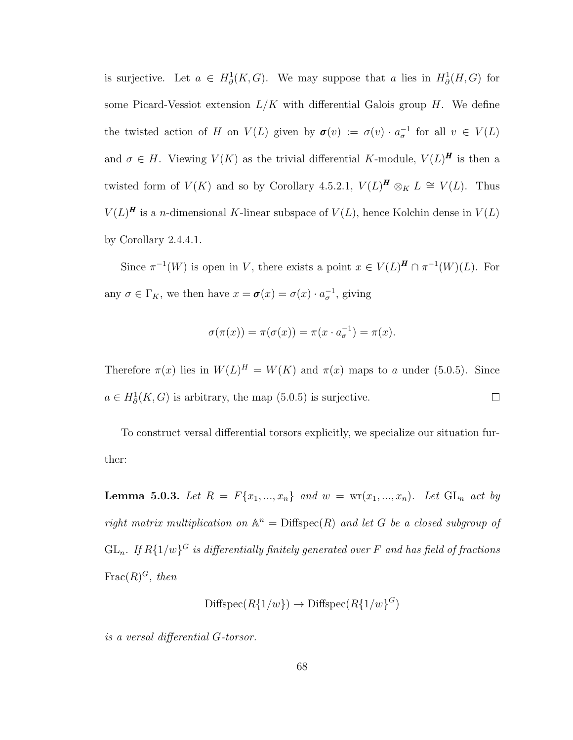is surjective. Let  $a \in H^1_\partial(K, G)$ . We may suppose that a lies in  $H^1_\partial(H, G)$  for some Picard-Vessiot extension  $L/K$  with differential Galois group H. We define the twisted action of H on  $V(L)$  given by  $\boldsymbol{\sigma}(v) := \sigma(v) \cdot a_{\sigma}^{-1}$  for all  $v \in V(L)$ and  $\sigma \in H$ . Viewing  $V(K)$  as the trivial differential K-module,  $V(L)^{H}$  is then a twisted form of  $V(K)$  and so by Corollary 4.5.2.1,  $V(L)^{H} \otimes_{K} L \cong V(L)$ . Thus  $V(L)^{H}$  is a *n*-dimensional K-linear subspace of  $V(L)$ , hence Kolchin dense in  $V(L)$ by Corollary 2.4.4.1.

Since  $\pi^{-1}(W)$  is open in V, there exists a point  $x \in V(L)^{\mathbf{H}} \cap \pi^{-1}(W)(L)$ . For any  $\sigma \in \Gamma_K$ , we then have  $x = \sigma(x) = \sigma(x) \cdot a_{\sigma}^{-1}$ , giving

$$
\sigma(\pi(x)) = \pi(\sigma(x)) = \pi(x \cdot a_{\sigma}^{-1}) = \pi(x).
$$

Therefore  $\pi(x)$  lies in  $W(L)^H = W(K)$  and  $\pi(x)$  maps to a under (5.0.5). Since  $a \in H^1_\partial(K, G)$  is arbitrary, the map (5.0.5) is surjective.  $\Box$ 

To construct versal differential torsors explicitly, we specialize our situation further:

**Lemma 5.0.3.** Let  $R = F\{x_1, ..., x_n\}$  and  $w = \text{wr}(x_1, ..., x_n)$ . Let  $GL_n$  act by right matrix multiplication on  $\mathbb{A}^n = \text{Diffspec}(R)$  and let G be a closed subgroup of  $\operatorname{GL}_n$ . If  $R\{1/w\}^G$  is differentially finitely generated over  $F$  and has field of fractions  $\operatorname{Frac}(R)^G$ , then

$$
\text{Diffspec}(R\{1/w\}) \to \text{Diffspec}(R\{1/w\}^G)
$$

is a versal differential G-torsor.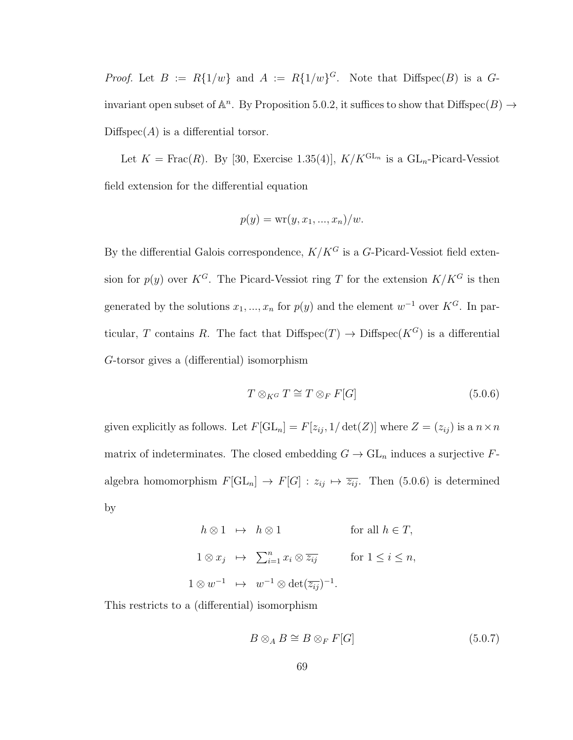*Proof.* Let  $B := R\{1/w\}$  and  $A := R\{1/w\}^G$ . Note that Diffspec $(B)$  is a  $G$ invariant open subset of  $\mathbb{A}^n$ . By Proposition 5.0.2, it suffices to show that  $\text{Diffspec}(B) \to$  $Diffspec(A)$  is a differential torsor.

Let  $K = \text{Frac}(R)$ . By [30, Exercise 1.35(4)],  $K/K^{GL_n}$  is a  $GL_n$ -Picard-Vessiot field extension for the differential equation

$$
p(y) = \text{wr}(y, x_1, \ldots, x_n)/w.
$$

By the differential Galois correspondence,  $K/K<sup>G</sup>$  is a G-Picard-Vessiot field extension for  $p(y)$  over  $K^G$ . The Picard-Vessiot ring T for the extension  $K/K^G$  is then generated by the solutions  $x_1, ..., x_n$  for  $p(y)$  and the element  $w^{-1}$  over  $K^G$ . In particular, T contains R. The fact that  $\text{Diffspec}(T) \to \text{Diffspec}(K^G)$  is a differential G-torsor gives a (differential) isomorphism

$$
T \otimes_{K^G} T \cong T \otimes_F F[G] \tag{5.0.6}
$$

given explicitly as follows. Let  $F[\mathrm{GL}_n] = F[z_{ij}, 1/\det(Z)]$  where  $Z = (z_{ij})$  is a  $n \times n$ matrix of indeterminates. The closed embedding  $G \to GL_n$  induces a surjective Falgebra homomorphism  $F[\mathrm{GL}_n] \to F[G] : z_{ij} \mapsto \overline{z_{ij}}$ . Then (5.0.6) is determined by

$$
h \otimes 1 \mapsto h \otimes 1 \qquad \text{for all } h \in T,
$$
  

$$
1 \otimes x_j \mapsto \sum_{i=1}^n x_i \otimes \overline{z_{ij}} \qquad \text{for } 1 \le i \le n,
$$
  

$$
1 \otimes w^{-1} \mapsto w^{-1} \otimes \det(\overline{z_{ij}})^{-1}.
$$

This restricts to a (differential) isomorphism

$$
B \otimes_A B \cong B \otimes_F F[G] \tag{5.0.7}
$$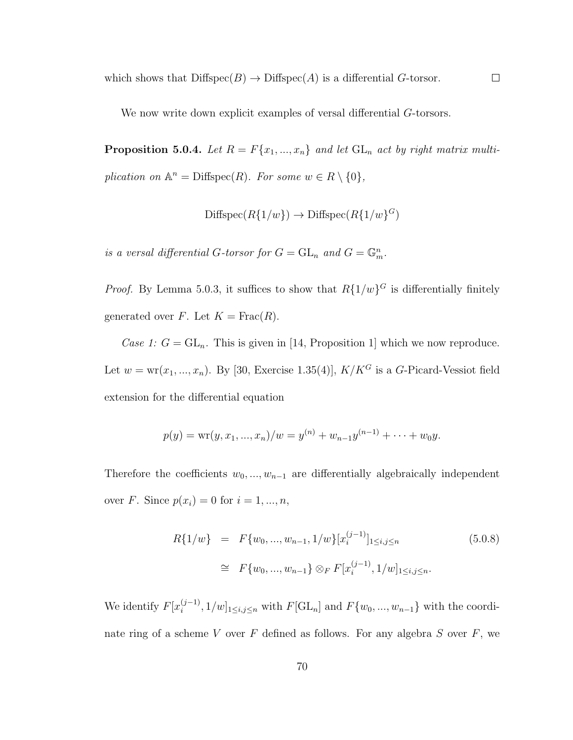which shows that  $\text{Diffspec}(B) \to \text{Diffspec}(A)$  is a differential G-torsor.

We now write down explicit examples of versal differential  $G$ -torsors.

**Proposition 5.0.4.** Let  $R = F\{x_1, ..., x_n\}$  and let  $GL_n$  act by right matrix multiplication on  $\mathbb{A}^n = \text{Diffspec}(R)$ . For some  $w \in R \setminus \{0\},$ 

 $\Box$ 

$$
\text{Diffspec}(R\{1/w\}) \to \text{Diffspec}(R\{1/w\}^G)
$$

is a versal differential G-torsor for  $G = GL_n$  and  $G = \mathbb{G}_m^n$ .

*Proof.* By Lemma 5.0.3, it suffices to show that  $R\{1/w\}^G$  is differentially finitely generated over F. Let  $K = \text{Frac}(R)$ .

Case 1:  $G = GL_n$ . This is given in [14, Proposition 1] which we now reproduce. Let  $w = \text{wr}(x_1, ..., x_n)$ . By [30, Exercise 1.35(4)],  $K/K^G$  is a G-Picard-Vessiot field extension for the differential equation

$$
p(y) = \text{wr}(y, x_1, ..., x_n)/w = y^{(n)} + w_{n-1}y^{(n-1)} + ... + w_0y.
$$

Therefore the coefficients  $w_0, ..., w_{n-1}$  are differentially algebraically independent over *F*. Since  $p(x_i) = 0$  for  $i = 1, ..., n$ ,

$$
R\{1/w\} = F\{w_0, ..., w_{n-1}, 1/w\}[x_i^{(j-1)}]_{1 \le i,j \le n}
$$
\n
$$
\cong F\{w_0, ..., w_{n-1}\} \otimes_F F[x_i^{(j-1)}, 1/w]_{1 \le i,j \le n}.
$$
\n(5.0.8)

We identify  $F[x_i^{(j-1)}]$  $\{S^{(j-1)}_{i}, 1/w\}_{1 \leq i,j \leq n}$  with  $F[\mathrm{GL}_{n}]$  and  $F\{w_0, ..., w_{n-1}\}\)$  with the coordinate ring of a scheme  $V$  over  $F$  defined as follows. For any algebra  $S$  over  $F$ , we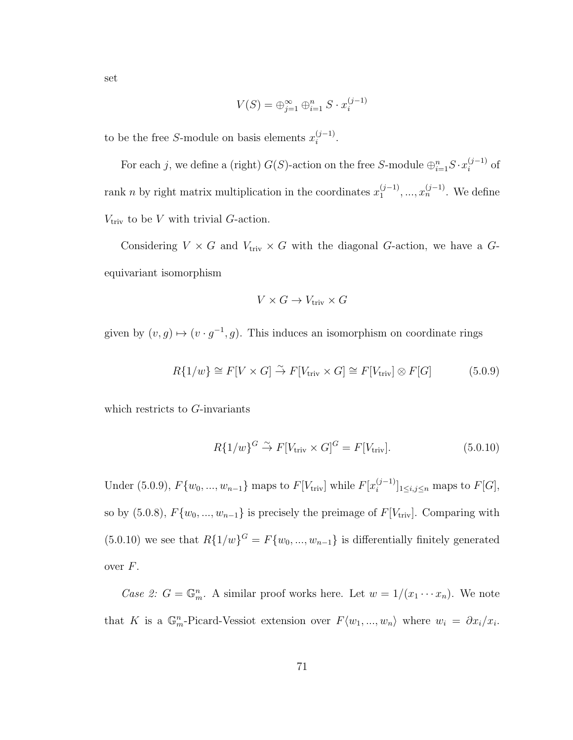$$
V(S) = \bigoplus_{j=1}^{\infty} \bigoplus_{i=1}^{n} S \cdot x_i^{(j-1)}
$$

to be the free S-module on basis elements  $x_i^{(j-1)}$  $i^{(j-1)}$ .

For each j, we define a (right)  $G(S)$ -action on the free S-module  $\bigoplus_{i=1}^{n} S \cdot x_i^{(j-1)}$  $i^{(j-1)}$  of rank *n* by right matrix multiplication in the coordinates  $x_1^{(j-1)}$  $x_1^{(j-1)},...,x_n^{(j-1)}$ . We define  $V_{\text{triv}}$  to be V with trivial G-action.

i

Considering  $V \times G$  and  $V_{\text{triv}} \times G$  with the diagonal G-action, we have a Gequivariant isomorphism

$$
V \times G \to V_{\text{triv}} \times G
$$

given by  $(v, g) \mapsto (v \cdot g^{-1}, g)$ . This induces an isomorphism on coordinate rings

$$
R\{1/w\} \cong F[V \times G] \stackrel{\sim}{\to} F[V_{\text{triv}} \times G] \cong F[V_{\text{triv}}] \otimes F[G] \tag{5.0.9}
$$

which restricts to G-invariants

$$
R\{1/w\}^G \stackrel{\sim}{\to} F[V_{\text{triv}} \times G]^G = F[V_{\text{triv}}]. \tag{5.0.10}
$$

Under (5.0.9),  $F\{w_0, ..., w_{n-1}\}\$ maps to  $F[V_{\text{triv}}]$  while  $F[x_i^{(j-1)}]$  $[i]$ <sub>i</sub> $\leq i,j \leq n$  maps to  $F[G],$ so by (5.0.8),  $F{w_0, ..., w_{n-1}}$  is precisely the preimage of  $F[V_{\text{triv}}]$ . Comparing with  $(5.0.10)$  we see that  $R\{1/w\}$ <sup> $G = F\{w_0, ..., w_{n-1}\}$  is differentially finitely generated</sup> over F.

Case 2:  $G = \mathbb{G}_m^n$ . A similar proof works here. Let  $w = 1/(x_1 \cdots x_n)$ . We note that K is a  $\mathbb{G}_m^n$ -Picard-Vessiot extension over  $F\langle w_1, ..., w_n \rangle$  where  $w_i = \partial x_i/x_i$ .

set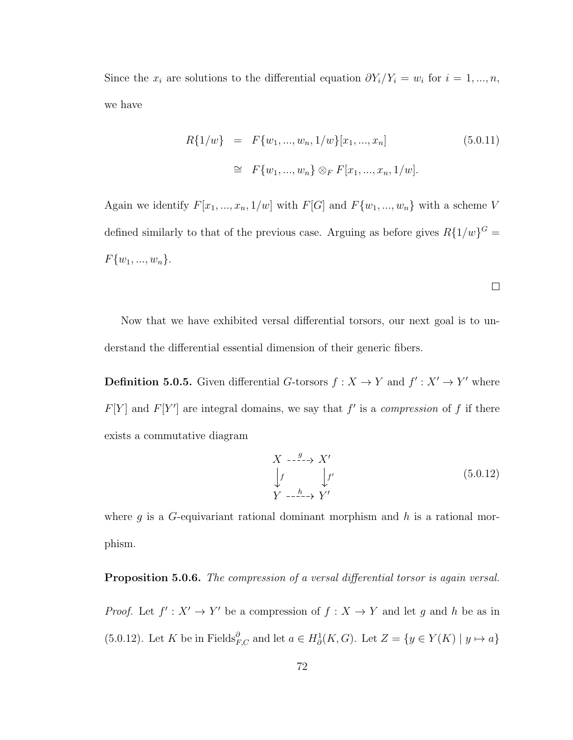Since the  $x_i$  are solutions to the differential equation  $\partial Y_i/Y_i = w_i$  for  $i = 1, ..., n$ , we have

$$
R\{1/w\} = F\{w_1, ..., w_n, 1/w\}[x_1, ..., x_n]
$$
(5.0.11)  

$$
\cong F\{w_1, ..., w_n\} \otimes_F F[x_1, ..., x_n, 1/w].
$$

Again we identify  $F[x_1, ..., x_n, 1/w]$  with  $F[G]$  and  $F\{w_1, ..., w_n\}$  with a scheme V defined similarly to that of the previous case. Arguing as before gives  $R\{1/w\}^G =$  $F\{w_1, ..., w_n\}.$ 

Now that we have exhibited versal differential torsors, our next goal is to understand the differential essential dimension of their generic fibers.

**Definition 5.0.5.** Given differential G-torsors  $f: X \to Y$  and  $f': X' \to Y'$  where  $F[Y]$  and  $F[Y']$  are integral domains, we say that f' is a compression of f if there exists a commutative diagram

$$
\begin{array}{ccc}\nX & \xrightarrow{g} & X' \\
\downarrow f & & \downarrow f' \\
Y & \xrightarrow{h} & Y'\n\end{array} \tag{5.0.12}
$$

 $\Box$ 

where g is a G-equivariant rational dominant morphism and h is a rational morphism.

#### **Proposition 5.0.6.** The compression of a versal differential torsor is again versal.

*Proof.* Let  $f' : X' \to Y'$  be a compression of  $f : X \to Y$  and let g and h be as in (5.0.12). Let K be in Fields ${}_{F,C}^{\partial}$  and let  $a \in H^1_\partial(K, G)$ . Let  $Z = \{y \in Y(K) \mid y \mapsto a\}$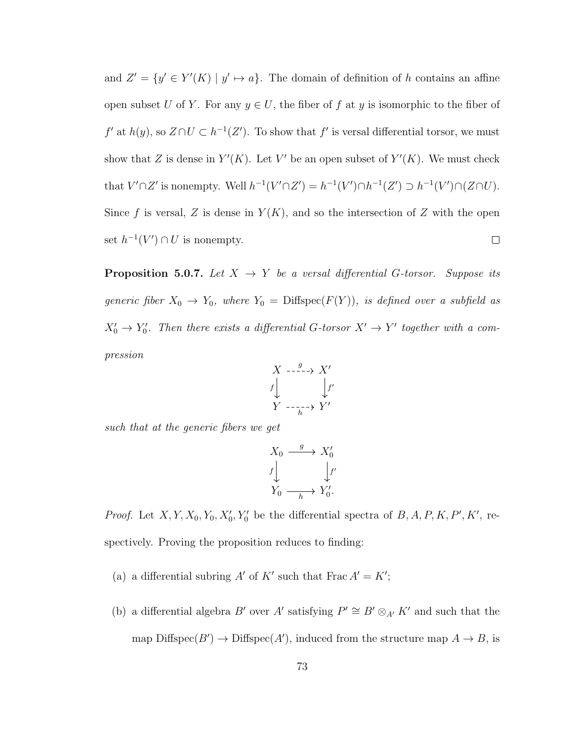and  $Z' = \{y' \in Y'(K) \mid y' \mapsto a\}.$  The domain of definition of h contains an affine open subset U of Y. For any  $y \in U$ , the fiber of f at y is isomorphic to the fiber of  $f'$  at  $h(y)$ , so  $Z \cap U \subset h^{-1}(Z')$ . To show that f' is versal differential torsor, we must show that Z is dense in  $Y'(K)$ . Let V' be an open subset of  $Y'(K)$ . We must check that  $V' \cap Z'$  is nonempty. Well  $h^{-1}(V' \cap Z') = h^{-1}(V') \cap h^{-1}(Z') \supset h^{-1}(V') \cap (Z \cap U)$ . Since f is versal, Z is dense in  $Y(K)$ , and so the intersection of Z with the open set  $h^{-1}(V') \cap U$  is nonempty.  $\Box$ 

**Proposition 5.0.7.** Let  $X \rightarrow Y$  be a versal differential G-torsor. Suppose its generic fiber  $X_0 \to Y_0$ , where  $Y_0 = \text{Diffspec}(F(Y))$ , is defined over a subfield as  $X'_0 \to Y'_0$ . Then there exists a differential G-torsor  $X' \to Y'$  together with a compression

$$
\begin{array}{ccc}\nX & \xrightarrow{\quad g \quad \quad} & X' \\
f & & \downarrow f' \\
Y & \xrightarrow{\quad \quad} & Y'\n\end{array}
$$

such that at the generic fibers we get

$$
\begin{array}{ccc}\nX_0 & \xrightarrow{g} & X'_0 \\
\downarrow f & & \downarrow f' \\
Y_0 & \xrightarrow[h]{\longrightarrow} & Y'_0.\n\end{array}
$$

*Proof.* Let  $X, Y, X_0, Y_0, X'_0, Y'_0$  be the differential spectra of  $B, A, P, K, P', K'$ , respectively. Proving the proposition reduces to finding:

- (a) a differential subring A' of K' such that Frac  $A' = K'$ ;
- (b) a differential algebra B' over A' satisfying  $P' \cong B' \otimes_{A'} K'$  and such that the map Diffspec $(B') \to \text{Diffspec}(A')$ , induced from the structure map  $A \to B$ , is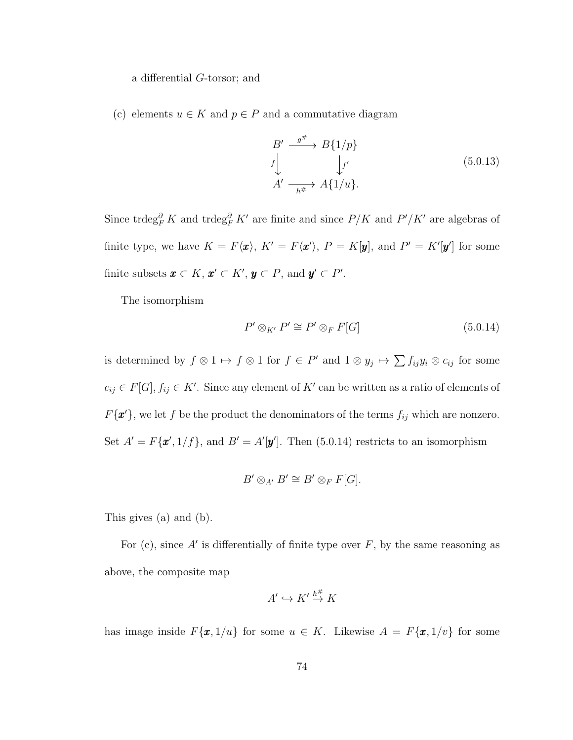a differential G-torsor; and

(c) elements  $u \in K$  and  $p \in P$  and a commutative diagram

$$
B' \xrightarrow{g^{\#}} B\{1/p\}
$$
  

$$
f \downarrow f'
$$
  

$$
A' \xrightarrow[h^{\#} A\{1/u\}].
$$
  
(5.0.13)

Since trdeg ${}^{\partial}_{F}K$  and trdeg ${}^{\partial}_{F}K'$  are finite and since  $P/K$  and  $P'/K'$  are algebras of finite type, we have  $K = F\langle x \rangle$ ,  $K' = F\langle x' \rangle$ ,  $P = K[y]$ , and  $P' = K'[y']$  for some finite subsets  $\boldsymbol{x} \subset K$ ,  $\boldsymbol{x}' \subset K'$ ,  $\boldsymbol{y} \subset P$ , and  $\boldsymbol{y}' \subset P'$ .

The isomorphism

$$
P' \otimes_{K'} P' \cong P' \otimes_F F[G] \tag{5.0.14}
$$

is determined by  $f \otimes 1 \mapsto f \otimes 1$  for  $f \in P'$  and  $1 \otimes y_j \mapsto \sum f_{ij}y_i \otimes c_{ij}$  for some  $c_{ij} \in F[G], f_{ij} \in K'$ . Since any element of K' can be written as a ratio of elements of  $F\{\mathbf{x}'\}$ , we let f be the product the denominators of the terms  $f_{ij}$  which are nonzero. Set  $A' = F\{\mathbf{x}', 1/f\}$ , and  $B' = A'[\mathbf{y}']$ . Then (5.0.14) restricts to an isomorphism

$$
B' \otimes_{A'} B' \cong B' \otimes_F F[G].
$$

This gives (a) and (b).

For (c), since  $A'$  is differentially of finite type over  $F$ , by the same reasoning as above, the composite map

$$
A' \hookrightarrow K' \stackrel{h^{\#}}{\rightarrow} K
$$

has image inside  $F\{\mathbf{x}, 1/u\}$  for some  $u \in K$ . Likewise  $A = F\{\mathbf{x}, 1/v\}$  for some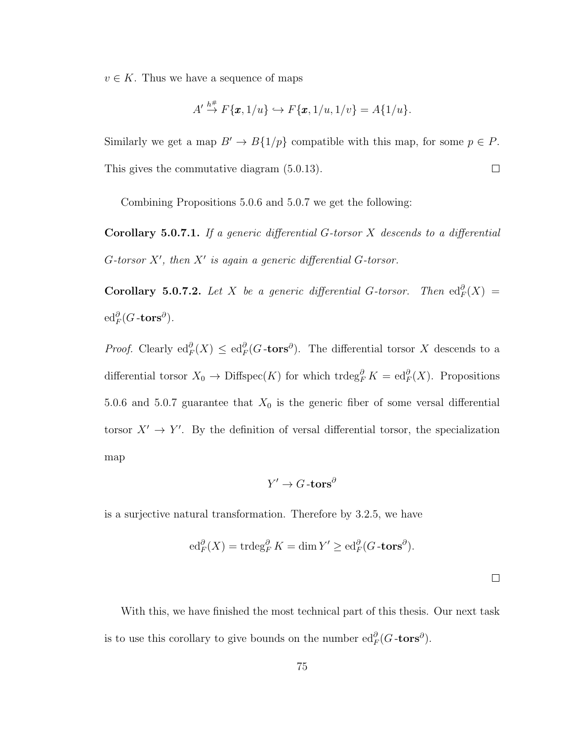$v \in K$ . Thus we have a sequence of maps

$$
A' \stackrel{h^{\#}}{\rightarrow} F\{\pmb{x},1/u\} \hookrightarrow F\{\pmb{x},1/u,1/v\} = A\{1/u\}.
$$

Similarly we get a map  $B' \to B\{1/p\}$  compatible with this map, for some  $p \in P$ . This gives the commutative diagram (5.0.13).  $\Box$ 

Combining Propositions 5.0.6 and 5.0.7 we get the following:

**Corollary 5.0.7.1.** If a generic differential  $G$ -torsor  $X$  descends to a differential G-torsor  $X'$ , then  $X'$  is again a generic differential G-torsor.

**Corollary 5.0.7.2.** Let X be a generic differential G-torsor. Then  $\text{ed}_F^{\partial}(X) =$  ${\rm ed}_F^{\partial}(G\operatorname{-tors}^\partial).$ 

*Proof.* Clearly  $\text{ed}_F^{\partial}(X) \leq \text{ed}_F^{\partial}(G\text{-tors}^{\partial})$ . The differential torsor X descends to a differential torsor  $X_0 \to \text{Diffspec}(K)$  for which trdeg ${}^{\partial}_F K = \text{ed}_F^{\partial}(X)$ . Propositions 5.0.6 and 5.0.7 guarantee that  $X_0$  is the generic fiber of some versal differential torsor  $X' \to Y'$ . By the definition of versal differential torsor, the specialization map

$$
Y' \to G\text{-tors}^\partial
$$

is a surjective natural transformation. Therefore by 3.2.5, we have

$$
\mathrm{ed}_F^{\partial}(X) = \mathrm{trdeg}_F^{\partial} K = \dim Y' \ge \mathrm{ed}_F^{\partial} (G \text{-tors}^{\partial}).
$$

 $\Box$ 

With this, we have finished the most technical part of this thesis. Our next task is to use this corollary to give bounds on the number  $\mathrm{ed}_F^{\partial}(G\text{-tors}^{\partial}).$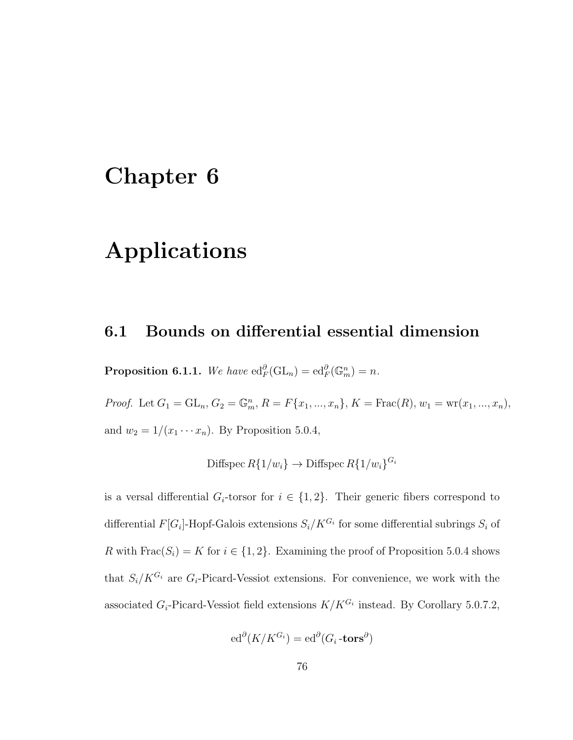# Chapter 6

# Applications

### 6.1 Bounds on differential essential dimension

**Proposition 6.1.1.** We have  $ed_F^{\partial}(\mathrm{GL}_n) = ed_F^{\partial}(\mathbb{G}_m^n) = n$ .

*Proof.* Let  $G_1 = GL_n, G_2 = \mathbb{G}_m^n$ ,  $R = F\{x_1, ..., x_n\}$ ,  $K = \text{Frac}(R)$ ,  $w_1 = \text{wr}(x_1, ..., x_n)$ , and  $w_2 = 1/(x_1 \cdots x_n)$ . By Proposition 5.0.4,

$$
\text{Diffspec } R\{1/w_i\} \to \text{Diffspec } R\{1/w_i\}^{G_i}
$$

is a versal differential  $G_i$ -torsor for  $i \in \{1,2\}$ . Their generic fibers correspond to differential  $F[G_i]$ -Hopf-Galois extensions  $S_i/K^{G_i}$  for some differential subrings  $S_i$  of R with  $Frac(S_i) = K$  for  $i \in \{1, 2\}$ . Examining the proof of Proposition 5.0.4 shows that  $S_i/K^{G_i}$  are  $G_i$ -Picard-Vessiot extensions. For convenience, we work with the associated  $G_i$ -Picard-Vessiot field extensions  $K/K^{G_i}$  instead. By Corollary 5.0.7.2,

$$
\mathrm{ed}^{\partial}(K/K^{G_i}) = \mathrm{ed}^{\partial}(G_i\text{-tors}^{\partial})
$$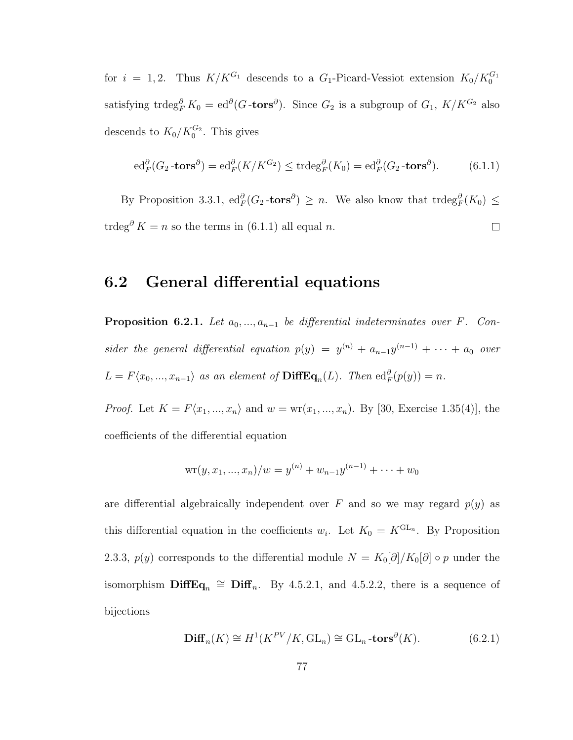for  $i = 1, 2$ . Thus  $K/K^{G_1}$  descends to a  $G_1$ -Picard-Vessiot extension  $K_0/K_0^{G_1}$ satisfying trdeg ${}^{\partial}_{F}K_0 = ed^{\partial}(G\textrm{-tors}^{\partial})$ . Since  $G_2$  is a subgroup of  $G_1$ ,  $K/K^{G_2}$  also descends to  $K_0/K_0^{G_2}$ . This gives

$$
\mathrm{ed}_F^{\partial}(G_2\text{-tors}^{\partial}) = \mathrm{ed}_F^{\partial}(K/K^{G_2}) \le \mathrm{trdeg}_F^{\partial}(K_0) = \mathrm{ed}_F^{\partial}(G_2\text{-tors}^{\partial}).\tag{6.1.1}
$$

By Proposition 3.3.1,  $ed_F^{\partial}(G_2 \text{-tors}^{\partial}) \geq n$ . We also know that  $trdeg_F^{\partial}(K_0) \leq$ trdeg<sup> $\partial K = n$ </sup> so the terms in (6.1.1) all equal *n*.  $\Box$ 

### 6.2 General differential equations

**Proposition 6.2.1.** Let  $a_0, ..., a_{n-1}$  be differential indeterminates over F. Consider the general differential equation  $p(y) = y^{(n)} + a_{n-1}y^{(n-1)} + \cdots + a_0$  over  $L = F\langle x_0, ..., x_{n-1} \rangle$  as an element of  $\text{DiffEq}_n(L)$ . Then  $\text{ed}_F^{\partial}(p(y)) = n$ .

*Proof.* Let  $K = F(x_1, ..., x_n)$  and  $w = \text{wr}(x_1, ..., x_n)$ . By [30, Exercise 1.35(4)], the coefficients of the differential equation

$$
\mathrm{wr}(y,x_1,...,x_n)/w=y^{(n)}+w_{n-1}y^{(n-1)}+\cdots+w_0
$$

are differential algebraically independent over F and so we may regard  $p(y)$  as this differential equation in the coefficients  $w_i$ . Let  $K_0 = K^{GL_n}$ . By Proposition 2.3.3,  $p(y)$  corresponds to the differential module  $N = K_0[\partial]/K_0[\partial] \circ p$  under the isomorphism  $\text{DiffEq}_n \cong \text{Diff}_n$ . By 4.5.2.1, and 4.5.2.2, there is a sequence of bijections

$$
\mathbf{Diff}_n(K) \cong H^1(K^{PV}/K, \mathrm{GL}_n) \cong \mathrm{GL}_n \text{-tors}^{\partial}(K). \tag{6.2.1}
$$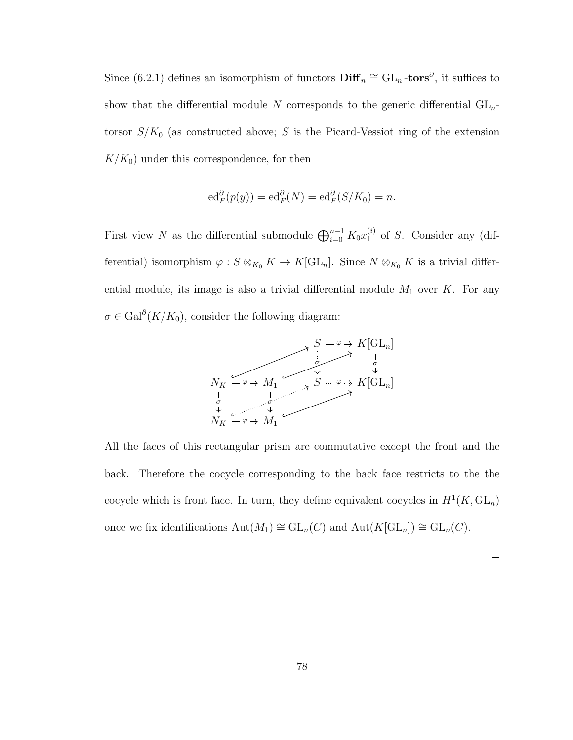Since (6.2.1) defines an isomorphism of functors  $\text{Diff}_n \cong GL_n$ -tors<sup>∂</sup>, it suffices to show that the differential module N corresponds to the generic differential  $GL_n$ torsor  $S/K_0$  (as constructed above; S is the Picard-Vessiot ring of the extension  $K/K_0$ ) under this correspondence, for then

$$
\mathrm{ed}_F^{\partial}(p(y)) = \mathrm{ed}_F^{\partial}(N) = \mathrm{ed}_F^{\partial}(S/K_0) = n.
$$

First view N as the differential submodule  $\bigoplus_{i=0}^{n-1} K_0 x_1^{(i)}$  $_1^{(i)}$  of S. Consider any (differential) isomorphism  $\varphi$  :  $S \otimes_{K_0} K \to K[\mathrm{GL}_n]$ . Since  $N \otimes_{K_0} K$  is a trivial differential module, its image is also a trivial differential module  $M_1$  over  $K$ . For any  $\sigma \in \text{Gal}^{\partial}(K/K_0)$ , consider the following diagram:



All the faces of this rectangular prism are commutative except the front and the back. Therefore the cocycle corresponding to the back face restricts to the the cocycle which is front face. In turn, they define equivalent cocycles in  $H^1(K, GL_n)$ once we fix identifications  $\text{Aut}(M_1) \cong \text{GL}_n(C)$  and  $\text{Aut}(K[\text{GL}_n]) \cong \text{GL}_n(C)$ .

 $\Box$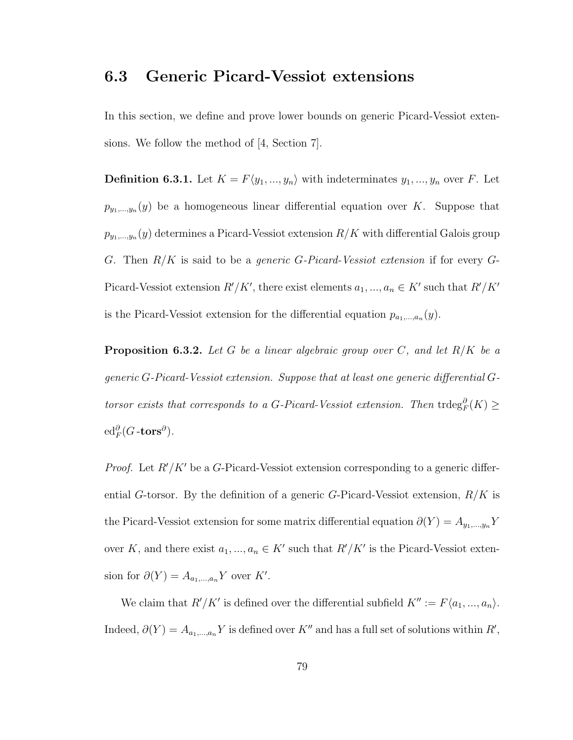### 6.3 Generic Picard-Vessiot extensions

In this section, we define and prove lower bounds on generic Picard-Vessiot extensions. We follow the method of [4, Section 7].

**Definition 6.3.1.** Let  $K = F\langle y_1, ..., y_n \rangle$  with indeterminates  $y_1, ..., y_n$  over F. Let  $p_{y_1,...,y_n}(y)$  be a homogeneous linear differential equation over K. Suppose that  $p_{y_1,...,y_n}(y)$  determines a Picard-Vessiot extension  $R/K$  with differential Galois group G. Then  $R/K$  is said to be a *generic G-Picard-Vessiot extension* if for every G-Picard-Vessiot extension  $R'/K'$ , there exist elements  $a_1, ..., a_n \in K'$  such that  $R'/K'$ is the Picard-Vessiot extension for the differential equation  $p_{a_1,...,a_n}(y)$ .

**Proposition 6.3.2.** Let G be a linear algebraic group over C, and let  $R/K$  be a generic G-Picard-Vessiot extension. Suppose that at least one generic differential Gtorsor exists that corresponds to a G-Picard-Vessiot extension. Then  $trdeg_F^{\partial}(K) \geq$  ${\rm ed}_F^{\partial}(G\operatorname{-tors}^\partial).$ 

*Proof.* Let  $R'/K'$  be a G-Picard-Vessiot extension corresponding to a generic differential G-torsor. By the definition of a generic G-Picard-Vessiot extension,  $R/K$  is the Picard-Vessiot extension for some matrix differential equation  $\partial(Y) = A_{y_1,...,y_n} Y$ over K, and there exist  $a_1, ..., a_n \in K'$  such that  $R'/K'$  is the Picard-Vessiot extension for  $\partial(Y) = A_{a_1,...,a_n} Y$  over K'.

We claim that  $R'/K'$  is defined over the differential subfield  $K'' := F\langle a_1, ..., a_n \rangle$ . Indeed,  $\partial(Y) = A_{a_1,...,a_n} Y$  is defined over K'' and has a full set of solutions within R',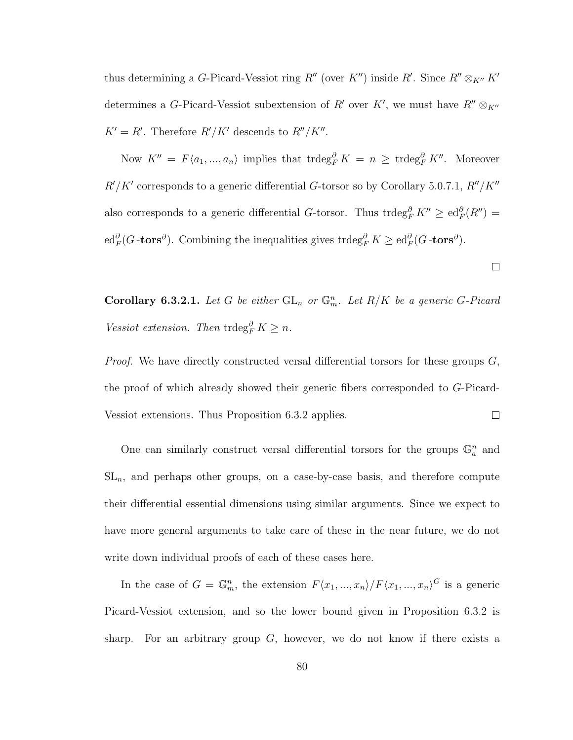thus determining a G-Picard-Vessiot ring  $R''$  (over  $K''$ ) inside  $R'$ . Since  $R'' \otimes_{K''} K'$ determines a G-Picard-Vessiot subextension of R' over K', we must have  $R'' \otimes_{K''} R''$  $K' = R'$ . Therefore  $R'/K'$  descends to  $R''/K''$ .

Now  $K'' = F\langle a_1, ..., a_n \rangle$  implies that  $trdeg_F^{\partial} K = n \geq trdeg_F^{\partial} K''$ . Moreover  $R'/K'$  corresponds to a generic differential G-torsor so by Corollary 5.0.7.1,  $R''/K''$ also corresponds to a generic differential G-torsor. Thus trdeg<sup> $\partial_K K'' \geq \text{ed}_F^{\partial}(R'') =$ </sup>  $\mathrm{ed}_F^{\partial}(G\text{-tors}^{\partial})$ . Combining the inequalities gives trdeg $_F^{\partial} K \geq \mathrm{ed}_F^{\partial}(G\text{-tors}^{\partial})$ .

**Corollary 6.3.2.1.** Let G be either  $GL_n$  or  $\mathbb{G}_m^n$ . Let  $R/K$  be a generic G-Picard Vessiot extension. Then  $trdeg_F^{\partial} K \geq n$ .

 $\Box$ 

*Proof.* We have directly constructed versal differential torsors for these groups  $G$ , the proof of which already showed their generic fibers corresponded to G-Picard-Vessiot extensions. Thus Proposition 6.3.2 applies.  $\Box$ 

One can similarly construct versal differential torsors for the groups  $\mathbb{G}_a^n$  and  $SL_n$ , and perhaps other groups, on a case-by-case basis, and therefore compute their differential essential dimensions using similar arguments. Since we expect to have more general arguments to take care of these in the near future, we do not write down individual proofs of each of these cases here.

In the case of  $G = \mathbb{G}_m^n$ , the extension  $F\langle x_1, ..., x_n \rangle / F\langle x_1, ..., x_n \rangle^G$  is a generic Picard-Vessiot extension, and so the lower bound given in Proposition 6.3.2 is sharp. For an arbitrary group  $G$ , however, we do not know if there exists a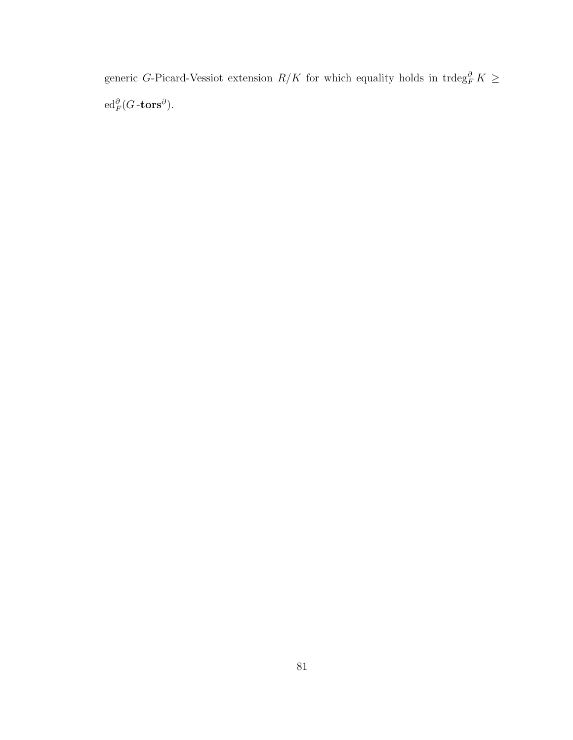generic G-Picard-Vessiot extension  $R/K$  for which equality holds in trdeg $_R^{\partial} K \geq$  $\operatorname{ed}_F^{\partial}(G\operatorname{-tors}^{\partial}).$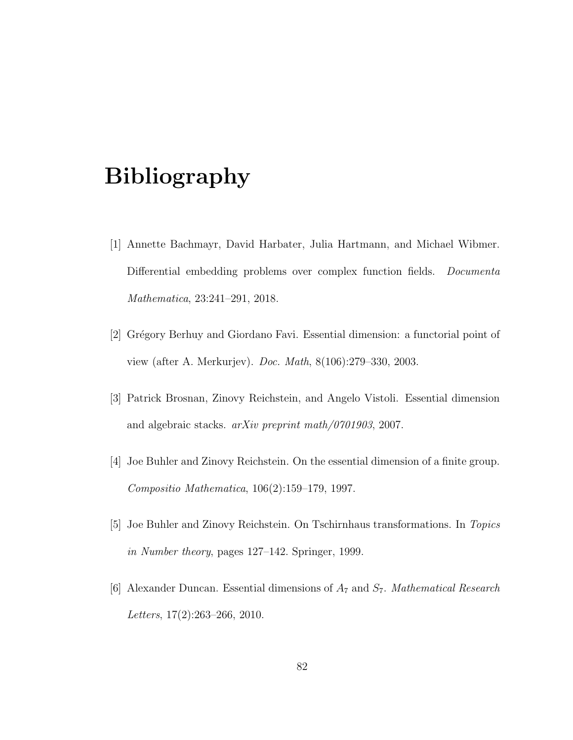# Bibliography

- [1] Annette Bachmayr, David Harbater, Julia Hartmann, and Michael Wibmer. Differential embedding problems over complex function fields. Documenta Mathematica, 23:241–291, 2018.
- [2] Grégory Berhuy and Giordano Favi. Essential dimension: a functorial point of view (after A. Merkurjev). Doc. Math, 8(106):279–330, 2003.
- [3] Patrick Brosnan, Zinovy Reichstein, and Angelo Vistoli. Essential dimension and algebraic stacks. arXiv preprint math/0701903, 2007.
- [4] Joe Buhler and Zinovy Reichstein. On the essential dimension of a finite group. Compositio Mathematica, 106(2):159–179, 1997.
- [5] Joe Buhler and Zinovy Reichstein. On Tschirnhaus transformations. In Topics in Number theory, pages 127–142. Springer, 1999.
- [6] Alexander Duncan. Essential dimensions of  $A_7$  and  $S_7$ . *Mathematical Research* Letters, 17(2):263–266, 2010.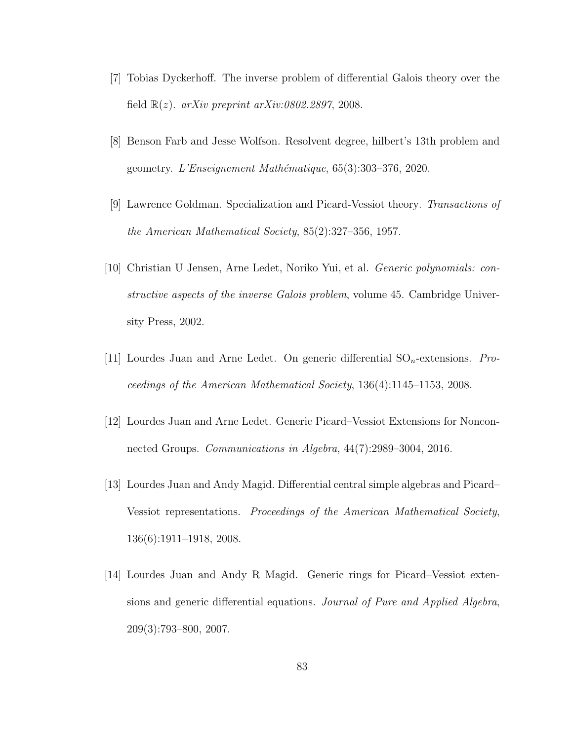- [7] Tobias Dyckerhoff. The inverse problem of differential Galois theory over the field  $\mathbb{R}(z)$ . arXiv preprint arXiv:0802.2897, 2008.
- [8] Benson Farb and Jesse Wolfson. Resolvent degree, hilbert's 13th problem and geometry. L'Enseignement Mathématique,  $65(3):303-376$ , 2020.
- [9] Lawrence Goldman. Specialization and Picard-Vessiot theory. Transactions of the American Mathematical Society, 85(2):327–356, 1957.
- [10] Christian U Jensen, Arne Ledet, Noriko Yui, et al. Generic polynomials: constructive aspects of the inverse Galois problem, volume 45. Cambridge University Press, 2002.
- [11] Lourdes Juan and Arne Ledet. On generic differential  $SO_n$ -extensions. *Pro*ceedings of the American Mathematical Society, 136(4):1145–1153, 2008.
- [12] Lourdes Juan and Arne Ledet. Generic Picard–Vessiot Extensions for Nonconnected Groups. Communications in Algebra, 44(7):2989–3004, 2016.
- [13] Lourdes Juan and Andy Magid. Differential central simple algebras and Picard– Vessiot representations. Proceedings of the American Mathematical Society, 136(6):1911–1918, 2008.
- [14] Lourdes Juan and Andy R Magid. Generic rings for Picard–Vessiot extensions and generic differential equations. Journal of Pure and Applied Algebra, 209(3):793–800, 2007.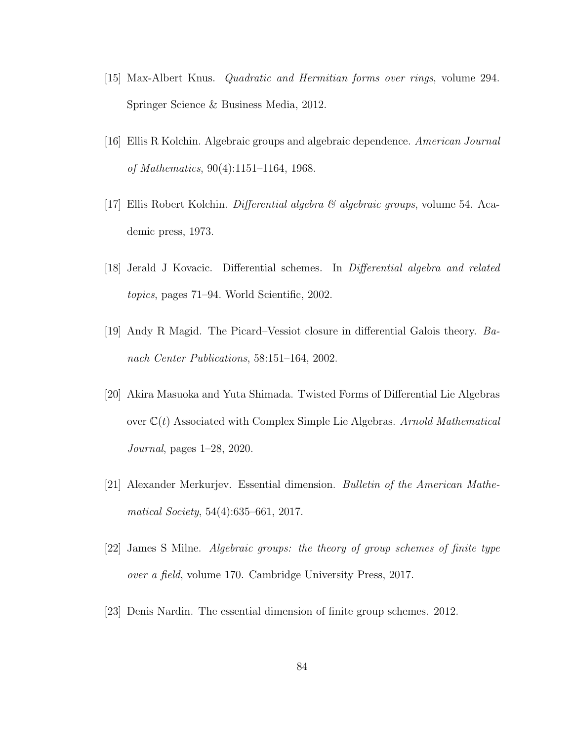- [15] Max-Albert Knus. Quadratic and Hermitian forms over rings, volume 294. Springer Science & Business Media, 2012.
- [16] Ellis R Kolchin. Algebraic groups and algebraic dependence. American Journal of Mathematics, 90(4):1151–1164, 1968.
- [17] Ellis Robert Kolchin. *Differential algebra*  $\mathcal{C}$  *algebraic groups*, volume 54. Academic press, 1973.
- [18] Jerald J Kovacic. Differential schemes. In Differential algebra and related topics, pages 71–94. World Scientific, 2002.
- [19] Andy R Magid. The Picard–Vessiot closure in differential Galois theory. Banach Center Publications, 58:151–164, 2002.
- [20] Akira Masuoka and Yuta Shimada. Twisted Forms of Differential Lie Algebras over  $\mathbb{C}(t)$  Associated with Complex Simple Lie Algebras. Arnold Mathematical Journal, pages 1–28, 2020.
- [21] Alexander Merkurjev. Essential dimension. Bulletin of the American Mathematical Society, 54(4):635–661, 2017.
- [22] James S Milne. Algebraic groups: the theory of group schemes of finite type over a field, volume 170. Cambridge University Press, 2017.
- [23] Denis Nardin. The essential dimension of finite group schemes. 2012.